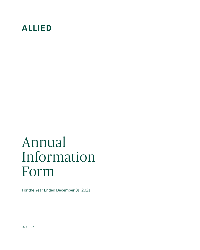

# Annual Information Form

For the Year Ended December 31, 2021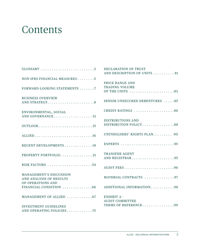### Contents

|                                | <b>DECLARATION OF TRUST</b><br>AND DESCRIPTION OF UNITS 81 |
|--------------------------------|------------------------------------------------------------|
| NON-IFRS FINANCIAL MEASURES5   |                                                            |
|                                | PRICE RANGE AND                                            |
| FORWARD-LOOKING STATEMENTS 7   | <b>TRADING VOLUME</b>                                      |
|                                | OF THE UNITS 83                                            |
| <b>BUSINESS OVERVIEW</b>       |                                                            |
|                                | SENIOR UNSECURED DEBENTURES 85                             |
|                                |                                                            |
| ENVIRONMENTAL, SOCIAL          | CREDIT RATINGS 86                                          |
| AND GOVERNANCE12               |                                                            |
|                                | DISTRIBUTIONS AND<br>DISTRIBUTION POLICY88                 |
| OUTLOOK15                      |                                                            |
|                                | UNITHOLDERS' RIGHTS PLAN 90                                |
|                                |                                                            |
|                                |                                                            |
| RECENT DEVELOPMENTS 18         |                                                            |
| PROPERTY PORTFOLIO21           | <b>TRANSFER AGENT</b>                                      |
|                                | AND REGISTRAR95                                            |
| RISK FACTORS 54                |                                                            |
|                                |                                                            |
| <b>MANAGEMENT'S DISCUSSION</b> |                                                            |
| AND ANALYSIS OF RESULTS        | MATERIAL CONTRACTS 97                                      |
| OF OPERATIONS AND              |                                                            |
| FINANCIAL CONDITION 66         | ADDITIONAL INFORMATION98                                   |
|                                |                                                            |
| MANAGEMENT OF ALLIED 67        | EXHIBIT A -                                                |
|                                | <b>AUDIT COMMITTEE</b><br>TERMS OF REFERENCE99             |
| <b>INVESTMENT GUIDELINES</b>   |                                                            |
| AND OPERATING POLICIES. 75     |                                                            |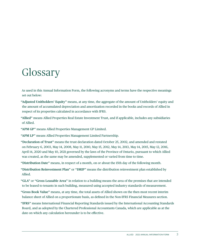### Glossary

As used in this Annual Information Form, the following acronyms and terms have the respective meanings set out below:

**"Adjusted Unitholders' Equity"** means, at any time, the aggregate of the amount of Unitholders' equity and the amount of accumulated depreciation and amortization recorded in the books and records of Allied in respect of its properties calculated in accordance with IFRS.

**"Allied"** means Allied Properties Real Estate Investment Trust, and if applicable, includes any subsidiaries of Allied.

**"APM GP"** means Allied Properties Management GP Limited.

**"APM LP"** means Allied Properties Management Limited Partnership.

**"Declaration of Trust"** means the trust declaration dated October 25, 2002, and amended and restated on February 6, 2003, May 14, 2008, May 11, 2010, May 15, 2012, May 14, 2013, May 14, 2015, May 12, 2016, April 14, 2020 and May 10, 2021 governed by the laws of the Province of Ontario, pursuant to which Allied was created, as the same may be amended, supplemented or varied from time to time.

**"Distribution Date"** means, in respect of a month, on or about the 15th day of the following month.

**"Distribution Reinvestment Plan"** or **"DRIP"** means the distribution reinvestment plan established by Allied.

**"GLA"** or **"Gross Leasable Area"** in relation to a building means the area of the premises that are intended to be leased to tenants in such building, measured using accepted industry standards of measurement.

**"Gross Book Value"** means, at any time, the total assets of Allied shown on the then most recent interim balance sheet of Allied on a proportionate basis, as defined in the Non-IFRS Financial Measures section.

**"IFRS"** means International Financial Reporting Standards issued by the International Accounting Standards Board, and as adopted by the Chartered Professional Accountants Canada, which are applicable as at the date on which any calculation hereunder is to be effective.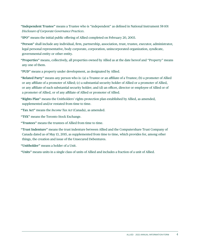**"Independent Trustee"** means a Trustee who is "independent" as defined in National Instrument 58-101 *Disclosure of Corporate Governance Practices*.

**"IPO"** means the initial public offering of Allied completed on February 20, 2003.

**"Person"** shall include any individual, firm, partnership, association, trust, trustee, executor, administrator, legal personal representative, body corporate, corporation, unincorporated organization, syndicate, governmental entity or other entity.

**"Properties"** means, collectively, all properties owned by Allied as at the date hereof and "Property" means any one of them.

**"PUD"** means a property under development, as designated by Allied.

**"Related Party"** means any person who is: (a) a Trustee or an affiliate of a Trustee; (b) a promoter of Allied or any affiliate of a promoter of Allied; (c) a substantial security holder of Allied or a promoter of Allied, or any affiliate of such substantial security holder; and (d) an officer, director or employee of Allied or of a promoter of Allied, or of any affiliate of Allied or promoter of Allied.

**"Rights Plan"** means the Unitholders' rights protection plan established by Allied, as amended, supplemented and/or restated from time to time.

**"Tax Act"** means the *Income Tax Act* (Canada), as amended.

**"TSX"** means the Toronto Stock Exchange.

**"Trustees"** means the trustees of Allied from time to time.

**"Trust Indenture"** means the trust indenture between Allied and the Computershare Trust Company of Canada dated as of May 13, 2015, as supplemented from time to time, which provides for, among other things, the creation and issue of the Unsecured Debentures.

**"Unitholder"** means a holder of a Unit.

**"Units"** means units in a single class of units of Allied and includes a fraction of a unit of Allied.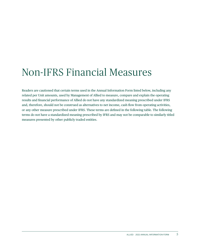### Non-IFRS Financial Measures

Readers are cautioned that certain terms used in the Annual Information Form listed below, including any related per Unit amounts, used by Management of Allied to measure, compare and explain the operating results and financial performance of Allied do not have any standardized meaning prescribed under IFRS and, therefore, should not be construed as alternatives to net income, cash flow from operating activities, or any other measure prescribed under IFRS. These terms are defined in the following table. The following terms do not have a standardized meaning prescribed by IFRS and may not be comparable to similarly titled measures presented by other publicly traded entities.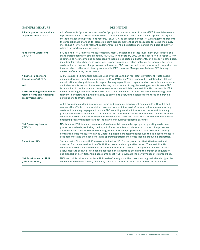| <b>NON-IFRS MEASURE</b>                                                       | <b>DEFINITION</b>                                                                                                                                                                                                                                                                                                                                                                                                                                                                                                                                                                                                                                                        |
|-------------------------------------------------------------------------------|--------------------------------------------------------------------------------------------------------------------------------------------------------------------------------------------------------------------------------------------------------------------------------------------------------------------------------------------------------------------------------------------------------------------------------------------------------------------------------------------------------------------------------------------------------------------------------------------------------------------------------------------------------------------------|
| Allied's proportionate share<br>or proportionate basis                        | All references to "proportionate share" or "proportionate basis" refer to a non-IFRS financial measure<br>representing Allied's proportionate share of equity accounted investments. Allied applies the equity<br>method of accounting to its joint venture, TELUS Sky, as prescribed under IFRS. Management presents<br>the proportionate share of its interests in joint arrangements that are accounted for using the equity<br>method as it is viewed as relevant in demonstrating Allied's performance and is the basis of many of<br>Allied's key performance measures.                                                                                            |
| <b>Funds from Operations</b><br>("FFO")                                       | FFO is a non-IFRS financial measure used by most Canadian real estate investment trusts based on a<br>standardized definition established by REALPAC in its February 2019 White Paper ("White Paper"). FFO<br>is defined as net income and comprehensive income less certain adjustments, on a proportionate basis,<br>including fair value changes in investment properties and derivative instruments, incremental leasing<br>costs and amortization of improvement allowances. FFO is reconciled to net income and comprehensive<br>income, which is the most directly comparable IFRS measure. Management believes FFO is a key<br>measure of operating performance. |
| <b>Adjusted Funds from</b><br>Operations ("AFFO")                             | AFFO is a non-IFRS financial measure used by most Canadian real estate investment trusts based<br>on a standardized definition established by REALPAC in its White Paper. AFFO is defined as FFO less<br>amortization of straight-line rents, regular leasing expenditures, regular and recoverable maintenance                                                                                                                                                                                                                                                                                                                                                          |
| and                                                                           | capital expenditures, and incremental leasing costs (related to regular leasing expenditures). AFFO<br>is reconciled to net income and comprehensive income, which is the most directly comparable IFRS                                                                                                                                                                                                                                                                                                                                                                                                                                                                  |
| AFFO excluding condominium<br>related items and financing<br>prepayment costs | measure. Management considers AFFO to be a useful measure of recurring economic earnings and<br>relevant in understanding Allied's ability to service its debt, fund capital expenditures and provide<br>distributions to Unitholders.                                                                                                                                                                                                                                                                                                                                                                                                                                   |
|                                                                               | AFFO excluding condominium related items and financing prepayment costs starts with AFFO and<br>removes the effects of condominium revenue, condominium cost of sales, condominium marketing<br>costs and financing prepayment costs. AFFO excluding condominium related items and financing<br>prepayment costs is reconciled to net income and comprehensive income, which is the most directly<br>comparable IFRS measure. Management believes this is a useful measure as these condominium and<br>financing prepayment items are not indicative of recurring economic earnings.                                                                                     |
| <b>Net Operating Income</b><br>("NOI")                                        | NOI is a non-IFRS financial measure defined as rental revenue less property operating costs on a<br>proportionate basis, excluding the impact of non-cash items such as amortization of improvement<br>allowances and the amortization of straight-line rents on a proportionate basis. The most directly<br>comparable IFRS measure to NOI is Operating Income. Management believes this is a useful measure<br>as it demonstrates the cash generating operating performance of its income producing properties.                                                                                                                                                        |
| <b>Same Asset NOI</b>                                                         | Same asset NOI is a non-IFRS measure defined as NOI for the properties that Allied owned and<br>operated for the entire duration of both the current and comparative period. The most directly<br>comparable IFRS measure to same asset NOI is Operating Income. Management believes this is a<br>useful measure as NOI growth can be assessed on its portfolio excluding the impact of acquisition<br>and disposition activities. Allied uses same asset NOI to evaluate the performance of its properties.                                                                                                                                                             |
| Net Asset Value per Unit<br>("NAV per Unit")                                  | NAV per Unit is calculated as total Unitholders' equity as at the corresponding period ended (per the<br>consolidated balance sheets) divided by the actual number of Units outstanding at period end.                                                                                                                                                                                                                                                                                                                                                                                                                                                                   |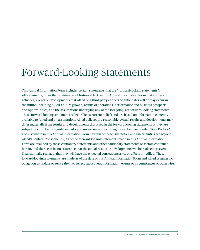### Forward-Looking Statements

This Annual Information Form includes certain statements that are "forward-looking statements". All statements, other than statements of historical fact, in this Annual Information Form that address activities, events or developments that Allied or a third party expects or anticipates will or may occur in the future, including Allied's future growth, results of operations, performance and business prospects and opportunities, and the assumptions underlying any of the foregoing, are forward-looking statements. These forward-looking statements reflect Allied's current beliefs and are based on information currently available to Allied and on assumptions Allied believes are reasonable. Actual results and developments may differ materially from results and developments discussed in the forward-looking statements as they are subject to a number of significant risks and uncertainties, including those discussed under "Risk Factors" and elsewhere in this Annual Information Form. Certain of these risk factors and uncertainties are beyond Allied's control. Consequently, all of the forward-looking statements made in this Annual Information Form are qualified by these cautionary statements and other cautionary statements or factors contained herein, and there can be no assurance that the actual results or developments will be realized or, even if substantially realized, that they will have the expected consequences to, or effects on, Allied. These forward-looking statements are made as of the date of this Annual Information Form and Allied assumes no obligation to update or revise them to reflect subsequent information, events or circumstances or otherwise.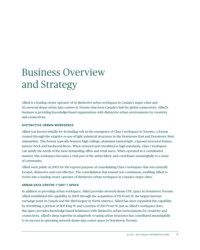# Business Overview and Strategy

Allied is a leading owner operator of (i) distinctive urban workspace in Canada's major cities and (ii) network-dense urban data centres in Toronto that form Canada's hub for global connectivity. Allied's business is providing knowledge-based organizations with distinctive urban environments for creativity and connectivity.

### **DISTINCTIVE URBAN WORKSPACE**

Allied was known initially for its leading role in the emergence of Class I workspace in Toronto, a format created through the adaptive re-use of light industrial structures in the Downtown East and Downtown West submarkets. This format typically features high ceilings, abundant natural light, exposed structural frames, interior brick and hardwood floors. When restored and retrofitted to high standards, Class I workspace can satisfy the needs of the most demanding office and retail users. When operated in a coordinated manner, this workspace becomes a vital part of the urban fabric and contributes meaningfully to a sense of community.

Allied went public in 2003 for the express purpose of consolidating Class I workspace that was centrally located, distinctive and cost-effective. The consolidation that ensued was continuous, enabling Allied to evolve into a leading owner operator of distinctive urban workspace in Canada's major cities.

### **URBAN DATA CENTRE ("UDC") SPACE**

In addition to providing urban workspace, Allied provides network-dense UDC space in Downtown Toronto. Allied established this capability in 2009 through the acquisition of 151 Front W, the largest internet exchange point in Canada and the third largest in North America. Allied has since expanded this capability by retrofitting a portion of 905 King W and a portion of 250 Front W. Just as Allied's workspace does, this space provides knowledge-based businesses with distinctive urban environments for creativity and connectivity. Allied's deep expertise in adaptively re-using urban structures has contributed meaningfully to its success in operating network-dense data centre space in Downtown Toronto.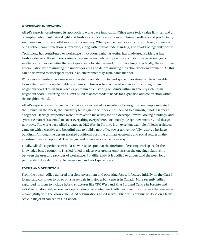### **WORKSPACE INNOVATION**

Allied's experience informed its approach to workspace innovation. Office users today value light, air and an open-plan. Abundant natural light and fresh air contribute enormously to human wellness and productivity. An open-plan improves collaboration and creativity. When people can move around and freely connect with one another, communication is improved, along with mutual understanding, and sparks of ingenuity occur.

Technology has contributed to workspace innovation. Light harvesting has made great strides, as has fresh air delivery. Raised-floor systems have made aesthetic and practical contributions in recent years. Aesthetically, they declutter the workspace and obviate the need for drop-ceilings. Practically, they improve air circulation by pressurizing the underfloor area and de-pressurizing the actual work environment. All this can be delivered to workspace users in an environmentally sustainable manner.

Workspace amenities have made an equivalent contribution to workspace innovation. While achievable to an extent within a single building, amenity-richness is best achieved within a surrounding urban neighbourhood. This in turn places a premium on clustering buildings within an amenity-rich urban neighbourhood. Clustering also allows Allied to accommodate needs for expansion and contraction within the neighbourhood.

Allied's experience with Class I workspace also increased its sensitivity to design. When people migrated to the suburbs in the 1950s, the sensitivity to design in the inner-cities seemed to diminish, if not disappear altogether. Heritage properties were destroyed to make way for non-descript, inward-looking buildings, and synthetic materials seemed to cover everything everywhere. Fortunately, design now matters, and design now pays. The workspace Allied created at QRC West in Toronto is an excellent example. Allied's architects came up with a creative and beautiful way to build a new office tower above two fully-restored heritage buildings. Although the design entailed additional cost, the ultimate economic and social return on the investment was exceptional. The design paid off in every conceivable way.

Finally, Allied's experience with Class I workspace put it at the forefront of creating workspace for the knowledge-based economy. This led Allied to place ever-greater emphasis on the ongoing relationship between the user and provider of workspace. Put differently, it led Allied to understand the need for a partnership-like relationship between itself and workspace users.

### **FOCUS AND DEFINITION**

From the outset, Allied adhered to a clear investment and operating focus. It focused initially on the Class I format and continues to do so on a large scale in major urban centres in Canada. More recently, Allied expanded its focus to include hybrid structures like QRC West and King Portland Centre in Toronto and 425 Viger in Montréal, where heritage buildings were integrated with new structures in a way that resonated meaningfully with the knowledge-based organizations Allied serves. Allied will continue to do so on a large scale in major urban centres in Canada.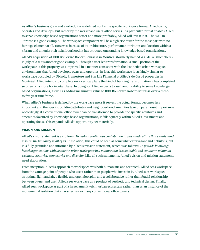As Allied's business grew and evolved, it was defined not by the specific workspace format Allied owns, operates and develops, but rather by the workspace users Allied serves. If a particular format enables Allied to serve knowledge-based organizations better and more profitably, Allied will invest in it. The Well in Toronto is a good example. The workspace component will be a high-rise tower for the most part with no heritage element at all. However, because of its architecture, performance attributes and location within a vibrant and amenity-rich neighbourhood, it has attracted outstanding knowledge-based organizations.

Allied's acquisition of 1001 Boulevard Robert-Bourassa in Montréal (formerly named 700 de la Gauchetière) in July of 2019 is another good example. Through a user-led transformation, a small portion of the workspace at this property was improved in a manner consistent with the distinctive urban workspace environments that Allied develops, owns and operates. In fact, this workspace is strikingly similar to workspace occupied by Ubisoft, Framestore and Sun Life Financial at Allied's de Gaspé properties in Montréal. Allied intends to complete on a vertical plane the kind of building transformation it has completed so often on a more horizontal plane. In doing so, Allied expects to augment its ability to serve knowledgebased organizations, as well as adding meaningful value to 1001 Boulevard Robert-Bourassa over a threeto five-year timeframe.

When Allied's business is defined by the workspace users it serves, the actual format becomes less important and the specific building attributes and neighbourhood amenities take on paramount importance. Accordingly, if a conventional office tower can be transformed to provide the specific attributes and amenities favoured by knowledge-based organizations, it falls squarely within Allied's investment and operating focus. This expands Allied's opportunity-set materially.

### **VISION AND MISSION**

Allied's vision statement is as follows: *To make a continuous contribution to cities and culture that elevates and inspires the humanity in all of us*. In isolation, this could be seen as somewhat extravagant and nebulous, but it is fully grounded and informed by Allied's mission statement, which is as follows: *To provide knowledgebased organizations with distinctive urban workspace in a manner that is sustainable and conducive to human wellness, creativity, connectivity and diversity*. Like all such statements, Allied's vision and mission statements need elaboration.

From inception, Allied's approach to workspace was both humanistic and technical. Allied sees workspace from the vantage point of people who use it rather than people who invest in it. Allied sees workspace as optimal light and air, a flexible and open floorplan and a collaborative rather than feudal relationship between owner and user. Allied sees workspace as a product of aesthetic and technical design. Finally, Allied sees workspace as part of a large, amenity-rich, urban ecosystem rather than as an instance of the monumental isolation that characterizes so many conventional office towers.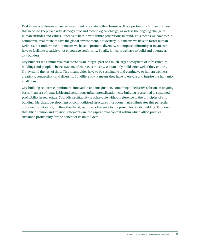Real estate is no longer a passive investment or a static tolling business. It is a profoundly human business that needs to keep pace with demographic and technological change, as well as the ongoing change in human attitudes and values. It needs to be run with future generations in mind. This means we have to run commercial real estate to save the global environment, not destroy it. It means we have to foster human wellness, not undermine it. It means we have to promote diversity, not impose uniformity. It means we have to facilitate creativity, not encourage conformity. Finally, it means we have to build and operate as city builders.

City builders see commercial real estate as an integral part of a much larger ecosystem of infrastructure, buildings and people. The ecosystem, of course, is the city. We can only build cities well if they endure, if they stand the test of time. This means cities have to be sustainable and conducive to human wellness, creativity, connectivity and diversity. Put differently, it means they have to elevate and inspire the humanity in all of us.

City building requires commitment, innovation and imagination, something Allied strives for on an ongoing basis. In an era of remarkable and continuous urban intensification, city building is essential to sustained profitability in real estate. Sporadic profitability is achievable without reference to the principles of city building. Merchant development of commoditized structures in a boom market illustrates this perfectly. Sustained profitability, on the other hand, requires adherence to the principles of city building. It follows that Allied's vision and mission statements are the aspirational context within which Allied pursues sustained profitability for the benefit of its unitholders.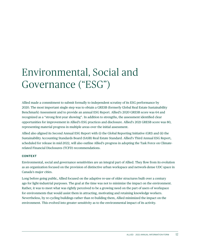# Environmental, Social and Governance ("ESG")

Allied made a commitment to submit formally to independent scrutiny of its ESG performance by 2020. The most important single step was to obtain a GRESB (formerly Global Real Estate Sustainability Benchmark) Assessment and to provide an annual ESG Report. Allied's 2020 GRESB score was 64 and recognized as a "strong first-year showing". In addition to strengths, the assessment identified clear opportunities for improvement in Allied's ESG practices and disclosure. Allied's 2021 GRESB score was 80, representing material progress in multiple areas over the initial assessment.

Allied also aligned its Second Annual ESG Report with (i) the Global Reporting Initiative (GRI) and (ii) the Sustainability Accounting Standards Board (SASB) Real Estate Standard. Allied's Third Annual ESG Report, scheduled for release in mid-2022, will also outline Allied's progress in adopting the Task Force on Climaterelated Financial Disclosures (TCFD) recommendations.

### **CONTEXT**

Environmental, social and governance sensitivities are an integral part of Allied. They flow from its evolution as an organization focused on the provision of distinctive urban workspace and network-dense UDC space in Canada's major cities.

Long before going public, Allied focused on the adaptive re-use of older structures built over a century ago for light-industrial purposes. The goal at the time was not to minimize the impact on the environment. Rather, it was to meet what was rightly perceived to be a growing need on the part of users of workspace for environments that would assist them in attracting, motivating and retaining knowledge workers. Nevertheless, by re-cycling buildings rather than re-building them, Allied minimized the impact on the environment. This evolved into greater sensitivity as to the environmental impact of its activity.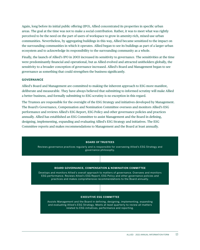Again, long before its initial public offering (IPO), Allied concentrated its properties in specific urban areas. The goal at the time was not to make a social contribution. Rather, it was to meet what was rightly perceived to be the need on the part of users of workspace to grow in amenity-rich, mixed-use urban communities. Nevertheless, by aggregating buildings in this way, Allied became sensitized to the impact on the surrounding communities in which it operates. Allied began to see its buildings as part of a larger urban ecosystem and to acknowledge its responsibility to the surrounding community as a whole.

Finally, the launch of Allied's IPO in 2003 increased its sensitivity to governance. The sensitivities at the time were predominantly financial and operational, but as Allied evolved and attracted unitholders globally, the sensitivity to a broader conception of governance increased. Allied's Board and Management began to see governance as something that could strengthen the business significantly.

### **GOVERNANCE**

Allied's Board and Management are committed to making the inherent approach to ESG more manifest, deliberate and measurable. They have always believed that submitting to informed scrutiny will make Allied a better business, and formally submitting to ESG scrutiny is no exception in this regard.

The Trustees are responsible for the oversight of the ESG Strategy and initiatives developed by Management. The Board's Governance, Compensation and Nomination Committee oversees and monitors Allied's ESG performance and reviews Allied's ESG Report, ESG Policy and other governance policies and practices annually. Allied has established an ESG Committee to assist Management and the Board in defining, designing, implementing, expanding and evaluating Allied's ESG Strategy and initiatives. The ESG Committee reports and makes recommendations to Management and the Board at least annually.

#### **BOARD OF TRUSTEES**

Reviews governance practices regularly and is responsible for overseeing Allied's ESG Strategy and governance philosophy.

#### **BOARD GOVERNANCE, COMPENSATION & NOMINATION COMMITTEE**

Develops and monitors Allied's overall approach to matters of governance. Oversees and monitors ESG performance. Reviews Allied's ESG Report, ESG Policy and other governance policies and practices and makes comprehensive recommendations to the Board annually.

#### **EXECUTIVE ESG COMMITTEE**

Assists Management and the Board in defining, designing, implementing, expanding and evaluating Allied's ESG Strategy. Meets at least quarterly to review all matters related to ESG initiatives, performance and reporting.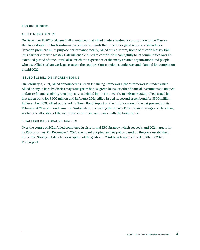### **ESG HIGHLIGHTS**

### ALLIED MUSIC CENTRE

On December 8, 2020, Massey Hall announced that Allied made a landmark contribution to the Massey Hall Revitalization. This transformative support expands the project's original scope and introduces Canada's premiere multi-purpose performance facility, Allied Music Centre, home of historic Massey Hall. This partnership with Massey Hall will enable Allied to contribute meaningfully to its communities over an extended period of time. It will also enrich the experience of the many creative organizations and people who use Allied's urban workspace across the country. Construction is underway and planned for completion in mid-2022.

### ISSUED \$1.1 BILLION OF GREEN BONDS

On February 3, 2021, Allied announced its Green Financing Framework (the "Framework") under which Allied or any of its subsidiaries may issue green bonds, green loans, or other financial instruments to finance and/or re-finance eligible green projects, as defined in the Framework. In February 2021, Allied issued its first green bond for \$600 million and in August 2021, Allied issued its second green bond for \$500 million. In December 2021, Allied published its Green Bond Report on the full allocation of the net proceeds of its February 2021 green bond issuance. Sustainalytics, a leading third party ESG research ratings and data firm, verified the allocation of the net proceeds were in compliance with the Framework.

### ESTABLISHED ESG GOALS & TARGETS

Over the course of 2021, Allied completed its first formal ESG Strategy, which set goals and 2024 targets for its ESG priorities. On December 1, 2021, the Board adopted an ESG policy based on the goals established in the ESG Strategy. A detailed description of the goals and 2024 targets are included in Allied's 2020 ESG Report.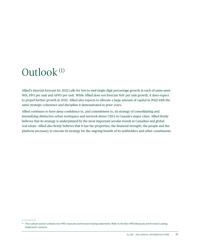### Outlook<sup>(1)</sup>

Allied's internal forecast for 2022 calls for low-to-mid-single-digit percentage growth in each of same-asset NOI, FFO per unit and AFFO per unit. While Allied does not forecast NAV per unit growth, it does expect to propel further growth in 2022. Allied also expects to allocate a large amount of capital in 2022 with the same strategic coherence and discipline it demonstrated in prior years.

Allied continues to have deep confidence in, and commitment to, its strategy of consolidating and intensifying distinctive urban workspace and network-dense UDCs in Canada's major cities. Allied firmly believes that its strategy is underpinned by the most important secular trends in Canadian and global real estate. Allied also firmly believes that it has the properties, the financial strength, the people and the platform necessary to execute its strategy for the ongoing benefit of its unitholders and other constituents.

<sup>(1)</sup> This outlook section contains non-IFRS measures and forward-looking statements. Refer to the Non-IFRS Measures and Forward-Looking Statements' sections.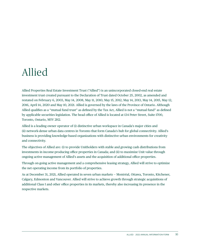# Allied

Allied Properties Real Estate Investment Trust ("Allied") is an unincorporated closed-end real estate investment trust created pursuant to the Declaration of Trust dated October 25, 2002, as amended and restated on February 6, 2003, May 14, 2008, May 11, 2010, May 15, 2012, May 14, 2013, May 14, 2015, May 12, 2016, April 14, 2020 and May 10, 2021. Allied is governed by the laws of the Province of Ontario. Although Allied qualifies as a "mutual fund trust" as defined by the Tax Act, Allied is not a "mutual fund" as defined by applicable securities legislation. The head office of Allied is located at 134 Peter Street, Suite 1700, Toronto, Ontario, M5V 2H2.

Allied is a leading owner operator of (i) distinctive urban workspace in Canada's major cities and (ii) network-dense urban data centres in Toronto that form Canada's hub for global connectivity. Allied's business is providing knowledge-based organizations with distinctive urban environments for creativity and connectivity.

The objectives of Allied are: (i) to provide Unitholders with stable and growing cash distributions from investments in income-producing office properties in Canada; and (ii) to maximize Unit value through ongoing active management of Allied's assets and the acquisition of additional office properties.

Through on-going active management and a comprehensive leasing strategy, Allied will strive to optimize the net operating income from its portfolio of properties.

As at December 31, 2021, Allied operated in seven urban markets — Montréal, Ottawa, Toronto, Kitchener, Calgary, Edmonton and Vancouver. Allied will strive to achieve growth through strategic acquisitions of additional Class I and other office properties in its markets, thereby also increasing its presence in the respective markets.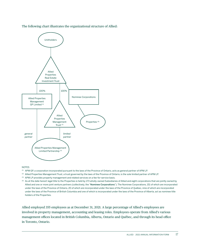The following chart illustrates the organizational structure of Allied:



#### NOTES

- (1) APM GP, a corporation incorporated pursuant to the laws of the Province of Ontario, acts as general partner of APM LP.
- (2) Allied Properties Management Trust, a trust governed by the laws of the Province of Ontario, is the sole limited partner of APM LP.
- (3) APM LP provides property management and related services on a fee-for-service basis.
- (4) As at the date hereof, legal title to the Properties is held by 173 wholly-owned Subsidiaries of Allied and eight corporations that are jointly owned by Allied and one or more joint venture partners (collectively, the "Nominee Corporations"). The Nominee Corporations, 151 of which are incorporated under the laws of the Province of Ontario, 20 of which are incorporated under the laws of the Province of Québec, nine of which are incorporated under the laws of the Province of British Columbia and one of which is incorporated under the laws of the Province of Alberta, act as nominee title holders of the Properties.

Allied employed 355 employees as at December 31, 2021. A large percentage of Allied's employees are involved in property management, accounting and leasing roles. Employees operate from Allied's various management offices located in British Columbia, Alberta, Ontario and Québec, and through its head office in Toronto, Ontario.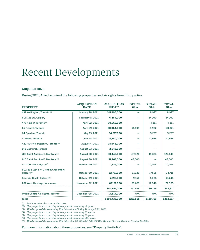### Recent Developments

### **ACQUISITIONS**

During 2021, Allied acquired the following properties and air rights from third parties:

| <b>PROPERTY</b>                                              | <b>ACQUISITION</b><br><b>DATE</b> | <b>ACQUISITION</b><br>COST <sup>(1)</sup> | <b>OFFICE</b><br><b>GLA</b> | <b>RETAIL</b><br><b>GLA</b> | <b>TOTAL</b><br><b>GLA</b> |
|--------------------------------------------------------------|-----------------------------------|-------------------------------------------|-----------------------------|-----------------------------|----------------------------|
| 432 Wellington, Toronto <sup>(2)</sup>                       | <b>January 28, 2021</b>           | \$17,806,000                              |                             | 8.997                       | 8.997                      |
| 608-1st SW, Calgary                                          | February 8, 2021                  | 6,464,000                                 |                             | 34,100                      | 34,100                     |
| 478 King W, Toronto (3)                                      | April 22, 2021                    | 10,963,000                                |                             | 4,351                       | 4,351                      |
| 65 Front E, Toronto                                          | April 29, 2021                    | 20,064,000                                | 14,899                      | 5,922                       | 20,821                     |
| 64 Spadina, Toronto                                          | May 19, 2021                      | 14,617,000                                |                             | 5,297                       | 5,297                      |
| 12 Brant, Toronto                                            | June 18, 2021                     | 16,180,000                                |                             | 11,936                      | 11,936                     |
| 422-424 Wellington W, Toronto (4)                            | August 4, 2021                    | 28,648,000                                |                             |                             |                            |
| 143 Bathurst, Toronto                                        | August 23, 2021                   | 2,945,000                                 |                             |                             |                            |
| 700 Saint Antoine E, Montréal (5)                            | August 30, 2021                   | 80,449,000                                | 107,320                     | 15,323                      | 122,643                    |
| 810 Saint Antoine E, Montréal (6)                            | August 30, 2021                   | 51,263,000                                | 43,500                      |                             | 43,500                     |
| 731-10th SW, Calgary <sup>(7)</sup>                          | October 19, 2021                  | 7,975,000                                 |                             | 10.404                      | 10,404                     |
| 802-838 11th SW, Glenbow Assembly,<br>Calgary <sup>(7)</sup> | October 19, 2021                  | 12,787,000                                | 17,020                      | 17,695                      | 34,715                     |
| Sherwin Block, Calgary <sup>(7)</sup>                        | October 19, 2021                  | 7,299,000                                 | 9.160                       | 4.088                       | 13,248                     |
| 207 West Hastings, Vancouver                                 | November 12, 2021                 | 67,161,000                                | 59,659                      | 12,646                      | 72,305                     |
|                                                              |                                   | 344,621,000                               | 251,558                     | 130,759                     | 382,317                    |
| Union Centre Air Rights, Toronto                             | December 15, 2021                 | 14,814,000                                | N/A                         | N/A                         | N/A                        |
| <b>Total</b>                                                 |                                   | \$359,435,000                             | \$251,558                   | \$130,759                   | \$382,317                  |

*(1) Purchase price plus transaction costs.* 

*(2) This property has a parking lot component containing 10 spaces.* 

*(3) Allied acquired the remaining 50% interest in 478 King W on April 22, 2021.*

*(4) This property has a parking lot component containing 20 spaces.*

*(5) This property has a parking lot component containing 21 spaces.*

*(6) This property has a parking lot component containing 132 spaces.*

*(7) Allied acquired the remaining 50% interest in 731-10th SW, 802-838 11th SW, and Sherwin Block on October 19, 2021.*

For more information about these properties, see "Property Portfolio".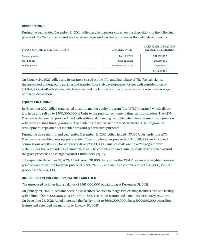### **DISPOSITIONS**

During the year ended December 31, 2021, Allied and its partners closed on the dispositions of the following phases of The Well air rights and associated underground parking and transfer floor slab developments:

| PHASE OF THE WELL AIR RIGHTS | CLOSING DATE      | <b>CASH CONSIDERATION</b><br>(AT ALLIED'S SHARE) |
|------------------------------|-------------------|--------------------------------------------------|
| Second phase                 | April 7, 2021     | \$31.152.000                                     |
| Third phase                  | June 11, 2021     | 24.287.000                                       |
| Fourth phase                 | December 20, 2021 | 16.153.000                                       |
|                              |                   | \$71,592,000                                     |

On January 24, 2022, Allied and its partners closed on the fifth and final phase of The Well air rights, the associated underground parking and transfer floor slab developments for net cash consideration of \$14,841,000 (at Allied's share), which represented the fair value at the time of disposition so there is no gain or loss on disposition.

### **EQUITY FINANCING**

In November 2021, Allied established an at-the-market equity program (the "ATM Program") which allows it to issue and sell up to \$300,000,000 of Units to the public, from time to time, at its discretion. The ATM Program is designed to provide Allied with additional financing flexibility which may be used in conjunction with other existing funding sources. Allied intends to use the net proceeds from the ATM Program for development, repayment of indebtedness and general trust purposes.

During the three months and year ended December 31, 2021, Allied issued 477,100 Units under the ATM Program at a weighted average price of \$44.07 per Unit for gross proceeds of \$21,028,000, and incurred commissions of \$315,000, for net proceeds of \$20,713,000. Issuance costs on the ATM Program were \$634,000 for the year ended December 31, 2021. The commissions and issuance costs were applied against the gross proceeds and charged against Unitholders' equity.

Subsequent to December 31, 2021, Allied issued 211,800 Units under the ATM Program at a weighted average price of \$44.02 per Unit for gross proceeds of \$9,324,000, and incurred commissions of \$140,000, for net proceeds of \$9,184,000.

### **UNSECURED REVOLVING OPERATING FACILITIES**

The unsecured facilities had a balance of \$365,000,000 outstanding at December 31, 2021.

On January 29, 2021, Allied amended the unsecured facilities to merge two existing facilities into one facility with a limit of \$500,000,000 plus a \$100,000,000 accordion feature and a maturity of January 30, 2024. On December 31, 2021, Allied increased the facility limit to \$600,000,000 plus a \$100,000,000 accordion feature and extended the maturity to January 30, 2025.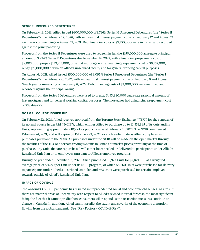### **SENIOR UNSECURED DEBENTURES**

On February 12, 2021, Allied issued \$600,000,000 of 1.726% Series H Unsecured Debentures (the "Series H Debentures") due February 12, 2026, with semi-annual interest payments due on February 12 and August 12 each year commencing on August 12, 2021. Debt financing costs of \$3,100,000 were incurred and recorded against the principal owing.

Proceeds from the Series H Debentures were used to redeem in full the \$150,000,000 aggregate principal amount of 3.934% Series B Debentures due November 14, 2022, with a financing prepayment cost of \$8,003,000, prepay \$139,213,000, on a first mortgage with a financing prepayment cost of \$6,158,000, repay \$75,000,000 drawn on Allied's unsecured facility and for general working capital purposes.

On August 6, 2021, Allied issued \$500,000,000 of 3.095% Series I Unsecured Debentures (the "Series I Debentures") due February 6, 2032, with semi-annual interest payments due on February 6 and August 6 each year commencing on February 6, 2022. Debt financing costs of \$3,000,000 were incurred and recorded against the principal owing.

Proceeds from the Series I Debentures were used to prepay \$493,840,000 aggregate principal amount of first mortgages and for general working capital purposes. The mortgages had a financing prepayment cost of \$38,449,000.

### **NORMAL COURSE ISSUER BID**

On February 22, 2021, Allied received approval from the Toronto Stock Exchange ("TSX") for the renewal of its normal course issuer bid ("NCIB"), which entitles Allied to purchase up to 12,531,845 of its outstanding Units, representing approximately 10% of its public float as at February 11, 2021. The NCIB commenced February 24, 2021, and will expire on February 23, 2022, or such earlier date as Allied completes its purchases pursuant to the NCIB. All purchases under the NCIB will be made on the open market through the facilities of the TSX or alternate trading systems in Canada at market prices prevailing at the time of purchase. Any Units that are repurchased will either be cancelled or delivered to participants under Allied's Restricted Unit Plan or to employees pursuant to Allied's employee programs.

During the year ended December 31, 2021, Allied purchased 58,923 Units for \$2,169,000 at a weighted average price of \$36.80 per Unit under its NCIB program, of which 58,260 Units were purchased for delivery to participants under Allied's Restricted Unit Plan and 663 Units were purchased for certain employee rewards outside of Allied's Restricted Unit Plan.

### **IMPACT OF COVID-19**

The ongoing COVID-19 pandemic has resulted in unprecedented social and economic challenges. As a result, there are material areas of uncertainty with respect to Allied's revised internal forecast, the most significant being the fact that it cannot predict how consumers will respond as the restriction measures continue or change in Canada. In addition, Allied cannot predict the extent and severity of the economic disruption flowing from the global pandemic. See "Risk Factors – COVID-19 Risk".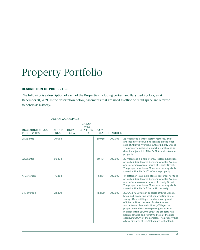## Property Portfolio

### **DESCRIPTION OF PROPERTIES**

The following is a description of each of the Properties including certain ancillary parking lots, as at December 31, 2021. In the description below, basements that are used as office or retail space are referred to herein as a storey.

| <b>DECEMBER 31, 2021</b><br><b>PROPERTIES</b> | <b>OFFICE</b><br><b>GLA</b> | <b>RETAIL</b><br><b>GLA</b> | <b>URBAN</b><br><b>DATA</b><br><b>CENTRES</b><br><b>GLA</b> | <b>TOTAL</b><br><b>GLA</b> | <b>LEASED %</b> |                                                                                                                                                                                                                                                                                                                                                                                                                                                                                                                 |
|-----------------------------------------------|-----------------------------|-----------------------------|-------------------------------------------------------------|----------------------------|-----------------|-----------------------------------------------------------------------------------------------------------------------------------------------------------------------------------------------------------------------------------------------------------------------------------------------------------------------------------------------------------------------------------------------------------------------------------------------------------------------------------------------------------------|
| 28 Atlantic                                   | 10,065                      |                             |                                                             | 10,065                     | 100.0%          | 28 Atlantic is a three-storey, restored, brick-<br>and-beam office building located on the west<br>side of Atlantic Avenue, south of Liberty Street.<br>The property includes six parking stalls and is<br>directly adjacent to Allied's 32 Atlantic Avenue<br>property.                                                                                                                                                                                                                                        |
| 32 Atlantic                                   | 50.434                      |                             |                                                             | 50.434                     | 100.0%          | 32 Atlantic is a single-storey, restored, heritage<br>office building located between Atlantic Avenue<br>and Jefferson Avenue, south of Liberty Street.<br>The property includes 21 surface parking stalls<br>shared with Allied's 47 Jefferson property.                                                                                                                                                                                                                                                       |
| 47 Jefferson                                  | 6.884                       |                             |                                                             | 6.884                      | 100.0%          | 47 Jefferson is a single-storey, restored, heritage<br>office building located between Atlantic Avenue<br>and Jefferson Avenue, south of Liberty Street.<br>The property includes 21 surface parking stalls<br>shared with Allied's 32 Atlantic property.                                                                                                                                                                                                                                                       |
| 64 Jefferson                                  | 78.820                      |                             |                                                             | 78.820                     | 100.0%          | 30, 64, & 70 Jefferson consists of three Class I,<br>brick-and-beam, and steel construction single-<br>storey office buildings. Located directly south<br>of Liberty Street between Pardee Avenue<br>and Jefferson Avenue in Liberty Village, the<br>property has 120 surface parking stalls. Built<br>in phases from 1900 to 1950, the property has<br>been renovated and retrofitted to suit the user<br>occupying 100% of the complex. The property has<br>a total site area of 112,709 square feet of land. |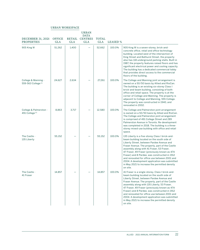|                                                       |                             |            | <b>URBAN</b><br><b>DATA</b>  |                            |                 |                                                                                                                                                                                                                                                                                                                                                                                                                                                                                                                |
|-------------------------------------------------------|-----------------------------|------------|------------------------------|----------------------------|-----------------|----------------------------------------------------------------------------------------------------------------------------------------------------------------------------------------------------------------------------------------------------------------------------------------------------------------------------------------------------------------------------------------------------------------------------------------------------------------------------------------------------------------|
| DECEMBER 31, 2021<br><b>PROPERTIES</b>                | <b>OFFICE</b><br><b>GLA</b> | <b>GLA</b> | RETAIL CENTRES<br><b>GLA</b> | <b>TOTAL</b><br><b>GLA</b> | <b>LEASED %</b> |                                                                                                                                                                                                                                                                                                                                                                                                                                                                                                                |
| 905 King W                                            | 51,262                      | 1,400      |                              | 52,662                     | 100.0%          | 905 King W is a seven-storey, brick-and-<br>concrete office, retail and office technology<br>building. Located west of the intersection of<br>King Street and Bathurst Street, the property<br>also has 118 underground parking stalls. Built in<br>1987, the property features raised floors and has<br>significant electrical power and cooling capacity.<br>The building has a dedicated commercial lobby<br>that provides direct access to the commercial<br>floors of the building.                       |
| College & Manning -<br>559-563 College <sup>(1)</sup> | 24.627                      | 2,634      |                              | 27.261                     | 100.0%          | The College and Manning joint arrangement is<br>owned on a 50/50 basis by Allied and RioCan.<br>The building is an existing six-storey Class I<br>brick-and-beam building, consisting of both<br>office and retail space. The property is at the<br>corner of College and Manning. The property is<br>adjacent to College and Manning, 555 College.<br>The property was constructed in 1940, and<br>renovated in 2002.                                                                                         |
| College & Palmerston -<br>491 College <sup>(1)</sup>  | 8.863                       | 3,717      |                              | 12,580                     | 100.0%          | The College and Palmerston joint arrangement<br>is owned on a 50/50 basis by Allied and RioCan.<br>The College and Palmerston joint arrangement<br>is comprised of 491 College Street and 289<br>Palmerston Avenue in Toronto. Re-development<br>was completed in 2018. The building is a three-<br>storey mixed-use building with office and retail<br>space.                                                                                                                                                 |
| The Castle -<br>135 Liberty                           | 55,152                      |            |                              | 55,152                     | 100.0%          | 135 Liberty is a five-storey Class I brick-and-<br>beam building located on the south side of<br>Liberty Street, between Pardee Avenue and<br>Fraser Avenue. The property, part of the Castle<br>assembly along with 41 Fraser, 53 Fraser,<br>47 Fraser, 49 Fraser (previously known as 47A<br>Fraser) and 8 Pardee, was constructed in 1912<br>and renovated for office use between 2001 and<br>2004. A development application was submitted<br>in May 2021 to increase the permitted density<br>on site.    |
| The Castle -<br>41 Fraser                             | 14,857                      |            |                              | 14,857                     | 100.0%          | 41 Fraser is a single-storey, Class I brick-and-<br>beam building located on the south side of<br>Liberty Street, between Pardee Avenue and<br>Fraser Avenue. The property, part of the Castle<br>assembly along with 135 Liberty, 53 Fraser,<br>47 Fraser, 49 Fraser (previously known as 47A<br>Fraser) and 8 Pardee, was constructed in 1912<br>and renovated for office use between 2001 and<br>2004. A development application was submitted<br>in May 2021 to increase the permitted density<br>on site. |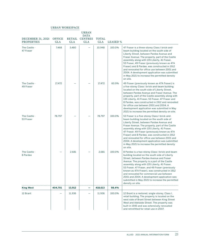| <b>DECEMBER 31, 2021</b><br><b>PROPERTIES</b> | <b>OFFICE</b><br><b>GLA</b> | <b>GLA</b> | URBAN<br><b>DATA</b><br>RETAIL CENTRES<br><b>GLA</b> | <b>TOTAL</b><br><b>GLA</b> | <b>LEASED %</b> |                                                                                                                                                                                                                                                                                                                                                                                                                                                                                                                    |
|-----------------------------------------------|-----------------------------|------------|------------------------------------------------------|----------------------------|-----------------|--------------------------------------------------------------------------------------------------------------------------------------------------------------------------------------------------------------------------------------------------------------------------------------------------------------------------------------------------------------------------------------------------------------------------------------------------------------------------------------------------------------------|
| The Castle -<br>47 Fraser                     | 7,468                       | 3,480      |                                                      | 10,948                     | 100.0%          | 47 Fraser is a three-storey Class I brick-and-<br>beam building located on the south side of<br>Liberty Street, between Pardee Avenue and<br>Fraser Avenue. The property, part of the Castle<br>assembly along with 135 Liberty, 41 Fraser,<br>53 Fraser, 49 Fraser (previously known as 47A<br>Fraser) and 8 Pardee, was constructed in 1912<br>and renovated for office use between 2001 and<br>2004. A development application was submitted<br>in May 2021 to increase the permitted density<br>on site.       |
| The Castle -<br>49 Fraser                     | 17,472                      |            |                                                      | 17.472                     | 60.9%           | 49 Fraser (previously known as 47A Fraser) is<br>a five-storey Class I brick-and-beam building<br>located on the south side of Liberty Street,<br>between Pardee Avenue and Fraser Avenue. The<br>property, part of the Castle assembly along with<br>135 Liberty, 41 Fraser, 53 Fraser, 47 Fraser and<br>8 Pardee, was constructed in 1912 and renovated<br>for office use between 2001 and 2004. A<br>development application was submitted in May<br>2021 to increase the permitted density on site.            |
| The Castle -<br>53 Fraser                     | 78,797                      |            |                                                      | 78,797                     | 100.0%          | 53 Fraser is a five-storey Class I brick-and-<br>beam building located on the south side of<br>Liberty Street, between Pardee Avenue and<br>Fraser Avenue. The property, part of the Castle<br>assembly along with 135 Liberty, 41 Fraser,<br>47 Fraser, 49 Fraser (previously known as 47A<br>Fraser) and 8 Pardee, was constructed in 1912<br>and renovated for office use between 2001 and<br>2004. A development application was submitted<br>in May 2021 to increase the permitted density<br>on site.        |
| The Castle -<br>8 Pardee                      |                             | 2,681      |                                                      | 2,681                      | 100.0%          | 8 Pardee is a two-storey Class I brick-and-beam<br>building located on the south side of Liberty<br>Street, between Pardee Avenue and Fraser<br>Avenue. The property is a part of the Castle<br>assembly along with 135 Liberty, 41 Fraser,<br>53 Fraser, 47 Fraser, and 49 Fraser (previously<br>known as 47A Fraser), was constructed in 1912<br>and renovated for commercial use between<br>2001 and 2004. A development application was<br>submitted in May 2021 to increase the permitted<br>density on site. |
| <b>King West</b>                              | 404,701                     | 13,912     |                                                      | 418,613                    | 98.4%           |                                                                                                                                                                                                                                                                                                                                                                                                                                                                                                                    |
| 12 Brant                                      |                             | 11,936     |                                                      | 11,936                     | 100.0%          | 12 Brant is a restored, single-storey, Class I,<br>retail building. The property is located on the<br>west side of Brant Street between King Street<br>West and Adelaide Street. The property was<br>built in 1945 and was extensively renovated<br>and retrofitted for retail use in 2007.                                                                                                                                                                                                                        |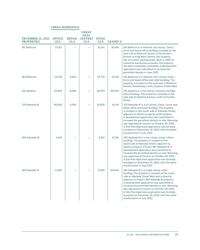|                                               |                             |            | <b>URBAN</b><br><b>DATA</b>  |                            |                 |                                                                                                                                                                                                                                                                                                                                                                                                                                                                                              |
|-----------------------------------------------|-----------------------------|------------|------------------------------|----------------------------|-----------------|----------------------------------------------------------------------------------------------------------------------------------------------------------------------------------------------------------------------------------------------------------------------------------------------------------------------------------------------------------------------------------------------------------------------------------------------------------------------------------------------|
| <b>DECEMBER 31, 2021</b><br><b>PROPERTIES</b> | <b>OFFICE</b><br><b>GLA</b> | <b>GLA</b> | RETAIL CENTRES<br><b>GLA</b> | <b>TOTAL</b><br><b>GLA</b> | <b>LEASED %</b> |                                                                                                                                                                                                                                                                                                                                                                                                                                                                                              |
| 141 Bathurst                                  | 10,101                      |            |                              | 10,101                     | 83.0%           | 141 Bathurst is a restored, two-storey, Class I,<br>brick-and-beam office building. Located on the<br>east side of Bathurst Street, in the western<br>portion of King West Central, the property<br>has 13 surface parking stalls. Built in 1926 for<br>industrial warehouse purposes, the property<br>has been completely renovated. A development<br>application was submitted to increase the<br>permitted density in June 2021.                                                          |
| 183 Bathurst                                  | 24.136                      | 5,643      |                              | 29.779                     | 53.2%           | 183 Bathurst is a restored, four-storey, Class I,<br>brick-and-beam office and retail building. The<br>property is located on the east side of Bathurst<br>Street, immediately north of Queen Street West.                                                                                                                                                                                                                                                                                   |
| 241 Spadina                                   | 24,833                      | 6,046      |                              | 30,879                     | 100.0%          | 241 Spadina is a five-storey, restored, heritage<br>office building. The property is located on the<br>east side of Spadina Avenue, south of Dundas<br>Street.                                                                                                                                                                                                                                                                                                                               |
| 379 Adelaide W                                | 38.560                      | 3.045      |                              | 41.605                     | 43.1%           | 379 Adelaide W is a six-storey, Class I, brick-and-<br>beam office and retail building. The property<br>is located on the south side of Adelaide Street,<br>adjacent to Allied's property at 96 Spadina.<br>A development application was submitted to<br>increase the permitted density on site. Rezoning<br>was approved at Council on October 29, 2019.<br>A Site Plan Approvals application was formally<br>accepted on December 16, 2019, with the latest<br>resubmission in July 2021. |
| 383 Adelaide W                                | 4,515                       |            |                              | 4,515                      | 47.2%           | 383 Adelaide W is a two-storey, Class I office<br>building. The property is located on the<br>south side of Adelaide Street, adjacent to<br>Allied's property 379 and 387 Adelaide W. A<br>development application was submitted to<br>increase the permitted density on site. Rezoning<br>was approved at Council on October 29, 2019.<br>A Site Plan Approvals application was formally<br>accepted on December 16, 2019, with the latest<br>resubmission in July 2021.                    |
| 387 Adelaide W                                | 6,500                       |            |                              | 6,500                      | 100.0%          | 387 Adelaide W is a single-storey, retail<br>building. The property is located on the south<br>side of Adelaide Street West and is directly<br>adjacent to Allied's 383 Adelaide W property.<br>A development application was submitted to<br>increase the permitted density on site. Rezoning<br>was approved at Council on October 29, 2019.<br>A Site Plan Approvals application was formally<br>accepted on December 16, 2019, with the latest<br>resubmission in July 2021.             |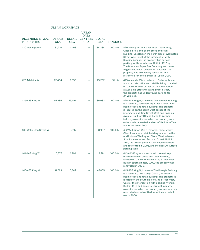|                                        |                             |        | <b>URBAN</b><br><b>DATA</b>  |                            |                 |                                                                                                                                                                                                                                                                                                                                                                                                                                                                               |
|----------------------------------------|-----------------------------|--------|------------------------------|----------------------------|-----------------|-------------------------------------------------------------------------------------------------------------------------------------------------------------------------------------------------------------------------------------------------------------------------------------------------------------------------------------------------------------------------------------------------------------------------------------------------------------------------------|
| DECEMBER 31, 2021<br><b>PROPERTIES</b> | <b>OFFICE</b><br><b>GLA</b> | GLA    | RETAIL CENTRES<br><b>GLA</b> | <b>TOTAL</b><br><b>GLA</b> | <b>LEASED %</b> |                                                                                                                                                                                                                                                                                                                                                                                                                                                                               |
| 420 Wellington W                       | 31,221                      | 3,163  |                              | 34,384                     | 100.0%          | 420 Wellington W is a restored, four-storey,<br>Class I, brick-and-beam office and retail<br>building. Located on the north side of Wellington<br>Street West, west of the intersection with<br>Spadina Avenue, the property has surface<br>parking for three vehicles. Built in 1912 by<br>The Dominion Paper Box Company and home<br>to garment industry users for decades, the<br>property was extensively renovated and<br>retrofitted for office and retail use in 2001. |
| 425 Adelaide W                         | 72,404                      | 2.858  |                              | 75.262                     | 91.1%           | 425 Adelaide W is a restored, 10-storey, brick-<br>and-concrete office and retail building. Located<br>on the south-east corner of the intersection<br>at Adelaide Street West and Brant Street.<br>the property has underground parking for<br>34 vehicles.                                                                                                                                                                                                                  |
| 425-439 King W                         | 66,486                      | 23,497 |                              | 89,983                     | 100.0%          | 425-439 King W, known as The Samuel Building,<br>is a restored, seven-storey, Class I, brick-and-<br>beam office and retail building. The property<br>is located on the south-west corner of the<br>intersection at King Street West and Spadina<br>Avenue. Built in 1910 and home to garment<br>industry users for decades, the property was<br>extensively renovated and retrofitted for office<br>and retail use in 2000.                                                  |
| 432 Wellington Street W                |                             | 8,997  |                              | 8.997                      | 100.0%          | 432 Wellington W is a restored, three-storey,<br>Class I, concrete retail building located on the<br>north side of Wellington Street West between<br>Spadina Avenue and Portland Street. Built in<br>1971, the property was extensively renovated<br>and retrofitted in 2005, and includes 10 surface<br>parking stalls.                                                                                                                                                      |
| 441-443 King W                         | 6.377                       | 2.904  |                              | 9.281                      | 100.0%          | 441-443 King W is a restored, three-storey,<br>brick-and-beam office and retail building,<br>located on the south side of King Street West.<br>Built in approximately 1909, the property was<br>renovated in 2006.                                                                                                                                                                                                                                                            |
| 445-455 King W                         | 31.523                      | 16,342 |                              | 47.865                     | 100.0%          | 445-455 King W, known as The Krangle Building,<br>is a restored, five-storey, Class I, brick-and-<br>beam office and retail building. The property is<br>located on the south side of King Street West,<br>west of the intersection with Spadina Avenue.<br>Built in 1910 and home to garment industry<br>users for decades, the property was extensively<br>renovated and retrofitted for office and retail<br>use in 2000.                                                  |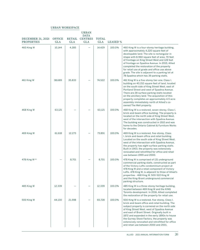|                                               |                      |                             | <b>URBAN</b><br><b>DATA</b>  |                     |                 |                                                                                                                                                                                                                                                                                                                                                                                                                                                                                         |
|-----------------------------------------------|----------------------|-----------------------------|------------------------------|---------------------|-----------------|-----------------------------------------------------------------------------------------------------------------------------------------------------------------------------------------------------------------------------------------------------------------------------------------------------------------------------------------------------------------------------------------------------------------------------------------------------------------------------------------|
| <b>DECEMBER 31, 2021</b><br><b>PROPERTIES</b> | <b>OFFICE</b><br>GLA | <b>RETAIL</b><br><b>GLA</b> | <b>CENTRES</b><br><b>GLA</b> | TOTAL<br><b>GLA</b> | <b>LEASED %</b> |                                                                                                                                                                                                                                                                                                                                                                                                                                                                                         |
| 460 King W                                    | 10,144               | 4,285                       |                              | 14,429              | 100.0%          | 460 King W is a four-storey heritage building,<br>with approximately 4,220 square feet of<br>developable land. The site is rectangular in<br>shape with 8,960 square feet of area, 70 feet<br>of frontage on King Street West and 128 feet<br>of frontage on Spadina Avenue. In 2015, Allied<br>completed the restoration of the property<br>for retail use at grade and office use above<br>grade. The site is adjacent to a parking lot at<br>78 Spadina which has 39 parking stalls. |
| 461 King W                                    | 38,689               | 35,833                      |                              | 74,522              | 100.0%          | 461 King W is a five-storey tier-one, Class I,<br>building on 40,152 square feet of land, located<br>on the south side of King Street West, east of<br>Portland Street and west of Spadina Avenue.<br>There are 28 surface parking stalls located<br>on the ancillary land. The acquisition of this<br>property completes an approximately 4.5 acre<br>assembly immediately north of Allied's co-<br>owned The Well property.                                                           |
| 468 King W                                    | 63,121               |                             |                              | 63,121              | 100.0%          | 468 King W is a restored, seven-storey, Class I,<br>brick-and-beam office building. The property is<br>located on the north side of King Street West,<br>west of the intersection with Spadina Avenue.<br>The building was constructed in 1910 and was<br>home to the Ontario Cabinet & Furniture Works<br>for decades.                                                                                                                                                                 |
| 469 King W                                    | 61,618               | 12,273                      |                              | 73,891              | 100.0%          | 469 King W is a restored, five-storey, Class<br>I, brick-and-beam office and retail building.<br>Located on the south side of King Street West,<br>west of the intersection with Spadina Avenue,<br>the property has eight surface parking stalls.<br>Built in 1903, the property was extensively<br>renovated and retrofitted for office and retail<br>use between 1999 and 2000.                                                                                                      |
| 478 King W(2)                                 |                      | 8,701                       |                              | 8,701               | 100.0%          | 478 King W is comprised of 131 underground<br>commercial parking stalls, constructed as part<br>of the Victory Lofts condominium project at<br>478 King W and a retail component of Victory<br>Lofts. 478 King W, is adjacent to three of Allied's<br>properties - 468 King W, 500-522 King W<br>and the King-Brant underground commercial<br>parking structure.                                                                                                                        |
| 485 King W                                    | 12,339               |                             |                              | 12,339              | 100.0%          | 485 King W is a three-storey heritage building,<br>located between 469 King W and the KING<br>Toronto development. In 2016, Allied completed<br>the restoration of the property for retail use.                                                                                                                                                                                                                                                                                         |
| 500 King W                                    | 44,130               | 21,598                      |                              | 65,728              | 100.0%          | 500 King W is a restored, five-storey, Class I,<br>brick-and-beam office and retail building. The<br>subject property is cornered on the north side<br>of King Street West, west of Spadina Avenue<br>and east of Brant Street. Originally built in<br>1872 and expanded in the early 1890s to house<br>the Gurney Stove Factory, the property was<br>extensively renovated and retrofitted for office<br>and retail use between 2000 and 2001.                                         |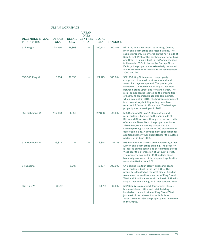|                                               |                             |        | <b>URBAN</b><br><b>DATA</b> |                            |                 |                                                                                                                                                                                                                                                                                                                                                                                                                                                                                                                                  |
|-----------------------------------------------|-----------------------------|--------|-----------------------------|----------------------------|-----------------|----------------------------------------------------------------------------------------------------------------------------------------------------------------------------------------------------------------------------------------------------------------------------------------------------------------------------------------------------------------------------------------------------------------------------------------------------------------------------------------------------------------------------------|
| <b>DECEMBER 31, 2021</b><br><b>PROPERTIES</b> | <b>OFFICE</b><br><b>GLA</b> | GLA    | RETAIL CENTRES<br>GLA       | <b>TOTAL</b><br><b>GLA</b> | <b>LEASED %</b> |                                                                                                                                                                                                                                                                                                                                                                                                                                                                                                                                  |
| 522 King W                                    | 28,850                      | 21,863 |                             | 50,713                     | 100.0%          | 522 King W is a restored, four-storey, Class I,<br>brick-and-beam office and retail building. The<br>subject property is cornered on the north side of<br>King Street West, at the northeast corner of King<br>and Brant. Originally built in 1872 and expanded<br>in the early 1890s to house the Gurney Stove<br>Factory, the property was extensively renovated<br>and retrofitted for office and retail use between<br>2000 and 2001.                                                                                        |
| 552-560 King W                                | 6,784                       | 17,395 |                             | 24,179                     | 100.0%          | 552-560 King W is a mixed use property<br>comprised of an east retail component and<br>a west heritage component. The property is<br>located on the North side of King Street West<br>between Brant Street and Portland Street. The<br>retail component is located on the ground floor<br>of 560 King (Fashion House Condominiums),<br>which was built in 2014. The heritage component<br>is a three-storey building with ground level<br>retail and 2 floors of office space. The heritage<br>property was redeveloped in 2014. |
| 555 Richmond W                                | 296,038                     | 1.850  |                             | 297.888                    | 88.0%           | 555 Richmond W is a 12-storey office and<br>retail building. Located on the south side of<br>Richmond Street West through to the north side<br>of Adelaide Street West, the property includes<br>220 underground parking spaces and 38<br>surface parking spaces on 21,000 square feet of<br>developable land. A development application for<br>additional density was submitted for the surface<br>parking lot in June 2021.                                                                                                    |
| 579 Richmond W                                | 26.818                      |        |                             | 26.818                     | 87.1%           | 579 Richmond W is a restored, five-storey, Class<br>I, brick-and-beam office building. The property<br>is located on the south side of Richmond Street<br>West near the intersection of Bathurst Street.<br>The property was built in 1931 and has since<br>been fully renovated. A development application<br>was submitted in June 2021.                                                                                                                                                                                       |
| 64 Spadina                                    |                             | 5.297  |                             | 5.297                      | 100.0%          | 64 Spadina is a four-storey, brick-and-beam<br>retail building, built in the late 1880s. The<br>property is located on the west side of Spadina<br>Avenue on the southwest corner of King Street<br>West and Spadina Avenue at the heart of Allied's<br>King Street and Wellington Street concentration.                                                                                                                                                                                                                         |
| 662 King W                                    | 33.731                      |        |                             | 33,731                     | 92.0%           | 662 King W is a restored, four-storey, Class I,<br>brick-and-beam office and retail building,<br>located on the north side of King Street West,<br>just east of the intersection with Bathurst<br>Street. Built in 1895, the property was renovated<br>in the 1980s.                                                                                                                                                                                                                                                             |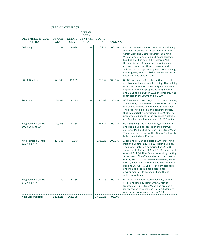|                                               |                             |         | <b>URBAN</b><br><b>DATA</b>  |                            |                 |                                                                                                                                                                                                                                                                                                                                                                                                                                                                                                                                                                    |
|-----------------------------------------------|-----------------------------|---------|------------------------------|----------------------------|-----------------|--------------------------------------------------------------------------------------------------------------------------------------------------------------------------------------------------------------------------------------------------------------------------------------------------------------------------------------------------------------------------------------------------------------------------------------------------------------------------------------------------------------------------------------------------------------------|
| <b>DECEMBER 31, 2021</b><br><b>PROPERTIES</b> | <b>OFFICE</b><br><b>GLA</b> | GLA     | RETAIL CENTRES<br><b>GLA</b> | <b>TOTAL</b><br><b>GLA</b> | <b>LEASED %</b> |                                                                                                                                                                                                                                                                                                                                                                                                                                                                                                                                                                    |
| 668 King W                                    |                             | 6,934   |                              | 6,934                      | 100.0%          | Located immediately west of Allied's 662 King<br>W property, on the north-east corner of King<br>Street West and Bathurst Street, 668 King<br>W is a three-storey brick-and-beam heritage<br>building that has been fully restored. With<br>the acquisition of this property, Allied gains<br>control of an underutilized corner site with<br>149 feet of frontage on King West. The building<br>was originally built in 1902 while the east side<br>extension was built in 2016.                                                                                  |
| 80-82 Spadina                                 | 60.048                      | 16.009  |                              | 76.057                     | 100.0%          | 80-82 Spadina is a five-storey, Class I, brick-<br>and-beam office and retail building. The building<br>is located on the west side of Spadina Avenue,<br>adjacent to Allied's properties at 78 Spadina<br>and 96 Spadina. Built in 1912, the property was<br>renovated in the 1980s and in 2010.                                                                                                                                                                                                                                                                  |
| 96 Spadina                                    | 78,913                      | 8.240   |                              | 87.153                     | 95.3%           | 96 Spadina is a 10-storey, Class I office building.<br>The building is located on the southwest corner<br>of Spadina Avenue and Adelaide Street West.<br>The property is a brick-and-concrete structure<br>that was partially renovated in the 1990s. The<br>property is adjacent to the proposed Adelaide<br>and Spadina development and 80-82 Spadina.                                                                                                                                                                                                           |
| King Portland Centre -<br>602-606 King W(1)   | 19,208                      | 6,364   |                              | 25,572                     | 100.0%          | 602-606 King W is a four-storey, Class I, brick-<br>and-beam building located at the northwest<br>corner of Portland Street and King Street West.<br>The property is a part of the King & Portland JV<br>between Allied and Rio-Can.                                                                                                                                                                                                                                                                                                                               |
| King Portland Centre -<br>620 King W(1)       | 127.658                     | 9,170   |                              | 136,828                    | 100.0%          | Allied and RioCan completed 620 King - King<br>Portland Centre in 2019, a 12-storey building.<br>The new structure is comprised of 127,658<br>square feet of office GLA and 9,170 square feet<br>of retail GLA (at Allied's share) fronting on King<br>Street West. The office and retail components<br>of King Portland Centre have been designed to a<br>LEED (Leadership in Energy and Environmental<br>Design) CS (Core & Shell) Platinum standard<br>and include best-in-class operational,<br>environmental, life-safety and health and<br>wellness systems. |
| King Portland Centre -<br>642 King W(1)       | 7,370                       | 5,365   |                              | 12,735                     | 100.0%          | 642 King W is a four-storey tier-one, Class I<br>office and retail building, with 63 feet of<br>frontage on King Street West. The project is<br>jointly owned by Allied and RioCan. Extensive<br>renovations were completed in 2019.                                                                                                                                                                                                                                                                                                                               |
| <b>King West Central</b>                      | 1,232,115                   | 265,608 |                              | 1,497,723                  | 93.7%           |                                                                                                                                                                                                                                                                                                                                                                                                                                                                                                                                                                    |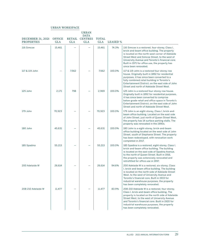| DECEMBER 31, 2021<br><b>PROPERTIES</b> | <b>OFFICE</b><br><b>GLA</b> | GLA   | <b>URBAN</b><br><b>DATA</b><br>RETAIL CENTRES<br><b>GLA</b> | <b>TOTAL</b><br><b>GLA</b> | <b>LEASED %</b> |                                                                                                                                                                                                                                                                                                                                          |
|----------------------------------------|-----------------------------|-------|-------------------------------------------------------------|----------------------------|-----------------|------------------------------------------------------------------------------------------------------------------------------------------------------------------------------------------------------------------------------------------------------------------------------------------------------------------------------------------|
| 116 Simcoe                             | 15,461                      |       |                                                             | 15,461                     | 74.3%           | 116 Simcoe is a restored, four-storey, Class I,<br>brick-and-beam office building. The property<br>is located on the north-west corner of Adelaide<br>Street West and Simcoe Street, to the west of<br>University Avenue and Toronto's financial core.<br>Built in 1971 for office use, the property has<br>since been renovated.        |
| 117 & 119 John                         |                             | 7,562 |                                                             | 7,562                      | 100.0%          | 117 & 119 John is a restored four-storey row<br>house. Originally built in 1892 for residential<br>purposes, it has since been converted to a<br>fully combined retail building in Toronto's<br>Entertainment District, on the east side of John<br>Street and north of Adelaide Street West.                                            |
| 125 John                               | 2.171                       | 798   |                                                             | 2.969                      | 100.0%          | 125 John is a restored four-storey row house.<br>Originally built in 1892 for residential purposes,<br>it has since been converted to comprise<br>below-grade retail and office space in Toronto's<br>Entertainment District, on the east side of John<br>Street and north of Adelaide Street West.                                      |
| 179 John                               | 70,923                      |       |                                                             | 70,923                     | 100.0%          | 179 John is an eight-storey, Class I, brick-and-<br>beam office building. Located on the east side<br>of John Street, just north of Queen Street West,<br>the property has 14 surface parking stalls. The<br>property was renovated in the 1990s.                                                                                        |
| 180 John                               | 45.631                      |       |                                                             | 45.631                     | 100.0%          | 180 John is a eight-storey, brick-and-beam<br>office building located on the west side of John<br>Street, south of Stephanie Street. The property<br>has been redeveloped, with renovation work<br>completed in 2017.                                                                                                                    |
| 185 Spadina                            | 55,213                      |       |                                                             | 55,213                     | 100.0%          | 185 Spadina is a restored, eight-storey, Class I,<br>brick-and-beam office building. The building<br>is located on the east side of Spadina Avenue,<br>to the north of Queen Street. Built in 1916,<br>the property was extensively renovated and<br>retrofitted for office use in 1997.                                                 |
| 200 Adelaide W                         | 26.614                      |       |                                                             | 26.614                     | 94.6%           | 200 Adelaide W is a restored, six-storey, Class<br>I, brick-and-beam office building. The building<br>is located on the north side of Adelaide Street<br>West, to the west of University Avenue and<br>Toronto's financial core. Built in 1933 for<br>industrial warehouse purposes, the property<br>has been completely renovated.      |
| 208-210 Adelaide W                     | 11,477                      |       |                                                             | 11,477                     | 83.9%           | 208-210 Adelaide W is a restored, four-storey,<br>Class I, brick-and-beam office building. The<br>property is located on the north side of Adelaide<br>Street West, to the west of University Avenue<br>and Toronto's financial core. Built in 1920 for<br>industrial warehouse purposes, the property<br>has been completely renovated. |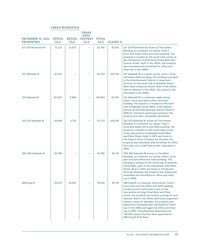| <b>DECEMBER 31, 2021</b><br><b>PROPERTIES</b> | <b>OFFICE</b><br>GLA | RETAIL<br>GLA | <b>URBAN</b><br><b>DATA</b><br><b>CENTRES</b><br><b>GLA</b> | <b>TOTAL</b><br><b>GLA</b> | <b>LEASED %</b> |                                                                                                                                                                                                                                                                                                                                                                                                                                                                                                                                                                                   |
|-----------------------------------------------|----------------------|---------------|-------------------------------------------------------------|----------------------------|-----------------|-----------------------------------------------------------------------------------------------------------------------------------------------------------------------------------------------------------------------------------------------------------------------------------------------------------------------------------------------------------------------------------------------------------------------------------------------------------------------------------------------------------------------------------------------------------------------------------|
| 217-225 Richmond W                            | 31,122               | 21,670        |                                                             | 52,792                     | 83.5%           | 217-225 Richmond W, known as The Gelber<br>Building, is a restored, six-storey, Class I,<br>brick-and-beam office and retail building. The<br>property is located on the south-west corner at<br>the intersection of Richmond Street West and<br>Duncan Street. Built in the 1920s, the property<br>was renovated and retrofitted for office and<br>retail use in the 1980s.                                                                                                                                                                                                      |
| 257 Adelaide W                                | 42,763               |               |                                                             | 42,763                     | 100.0%          | 257 Adelaide W is a seven-storey, Class I, brick-<br>and-beam office building. The building is located<br>in the Entertainment District of downtown<br>Toronto, on the south side of Adelaide Street<br>West, west of Duncan Street. Built in the 1900s,<br>with an addition in the 1910s, the property was<br>renovated in the 1980s.                                                                                                                                                                                                                                            |
| 312 Adelaide W                                | 62,420               | 5,584         |                                                             | 68,004                     | 62.0%           | 312 Adelaide W is a restored, eight-storey,<br>Class I, brick-and-beam office and retail<br>building. The property is located on the north<br>side of Adelaide Street West, in the western<br>portion of the Entertainment District. Built in<br>1895 for industrial warehouse purposes, the<br>property has been completely renovated.                                                                                                                                                                                                                                           |
| 331-333 Adelaide W                            | 19,048               | 3,725         |                                                             | 22,773                     | 100.0%          | 331-333 Adelaide W, known as The Fremes<br>Building, is a restored, six-storey, Class I,<br>brick-and-beam office and retail building. The<br>property is located on the south-west corner<br>of the intersection at Adelaide Street West<br>and Peter Street. Built in 1925 and home to<br>the Ontario Clock Company for decades, the<br>property was renovated and retrofitted for office<br>and retail use in 1987 and further renovated in<br>1999.                                                                                                                           |
| 358-360 Adelaide W                            | 50,786               |               |                                                             | 50,786                     | 83.1%           | 358-360 Adelaide W, known as The Weld<br>Building, is a restored, six-storey, Class I, brick-<br>and-concrete office and retail building. The<br>building is located on the north side of Adelaide<br>Street West, west of the intersection with Peter<br>Street. Built in 1920 and home to The Bryant<br>Press for decades, the property was extensively<br>renovated and retrofitted for office and retail<br>use in 1999.                                                                                                                                                      |
| 388 King W                                    | 20,275               | 19,040        |                                                             | 39,315                     | 65.1%           | 388 King W is a restored, three-storey, Class I,<br>brick-and-concrete office and retail building.<br>Located on the north-west corner of the<br>intersection at King Street West and Peter<br>Street, the property has surface parking for nine<br>vehicles. Built in the 1930s and home to garment<br>industry users for decades, the property was<br>extensively renovated and retrofitted for office<br>use in the 1980s and again for office and retail<br>use in 1999. A Development Application for<br>790,000 square feet has been approved for<br>388 King W & 82 Peter. |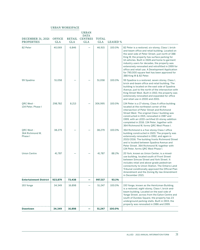| <b>DECEMBER 31, 2021</b><br><b>PROPERTIES</b> | <b>OFFICE</b><br><b>GLA</b> | <b>GLA</b> | <b>URBAN</b><br><b>DATA</b><br>RETAIL CENTRES<br><b>GLA</b> | <b>TOTAL</b><br><b>GLA</b> | <b>LEASED %</b> |                                                                                                                                                                                                                                                                                                                                                                                                                                                                                                  |
|-----------------------------------------------|-----------------------------|------------|-------------------------------------------------------------|----------------------------|-----------------|--------------------------------------------------------------------------------------------------------------------------------------------------------------------------------------------------------------------------------------------------------------------------------------------------------------------------------------------------------------------------------------------------------------------------------------------------------------------------------------------------|
| 82 Peter                                      | 40,069                      | 6,846      |                                                             | 46,915                     | 100.0%          | 82 Peter is a restored, six-storey, Class I, brick-<br>and-beam office and retail building. Located on<br>the west side of Peter Street, just north of 388<br>King W, the property has surface parking for<br>14 vehicles. Built in 1928 and home to garment<br>industry users for decades, the property was<br>extensively renovated and retrofitted in 1999 for<br>office and retail use. A Development Application<br>for 790,000 square feet has been approved for<br>388 King W & 82 Peter. |
| 99 Spadina                                    | 51,058                      |            |                                                             | 51,058                     | 100.0%          | 99 Spadina is a restored, seven-storey, Class I,<br>brick-and-beam office and retail building. The<br>building is located on the east side of Spadina<br>Avenue, just to the north of the intersection with<br>King Street West. Built in 1910, the property was<br>extensively renovated and expanded for office<br>and retail use in 2000 and 2001.                                                                                                                                            |
| QRC West -<br>134 Peter, Phase I              | 298,782                     | 8,213      |                                                             | 306,995                    | 100.0%          | 134 Peter is a 17-storey, Class A office building<br>located at the northwest corner of the<br>intersection of Peter Street and Richmond<br>Street West. The original Class I building was<br>constructed in 1915, renovated in 1987 and<br>1999, with an LEED-certified 10-storey addition<br>completed in 2016. 134 Peter, together with<br>364 Richmond W, forms QRC West Phase I.                                                                                                            |
| QRC West -<br>364 Richmond W.<br>Phase I      | 38,279                      |            |                                                             | 38,279                     | 100.0%          | 364 Richmond is a five-storey Class I office<br>building constructed in 1920. The property was<br>extensively renovated in 1992, and again in<br>2015/2016. The building fronts Richmond Street<br>and is located between Spadina Avenue and<br>Peter Street. 364 Richmond W, together with<br>134 Peter, forms QRC West Phase I.                                                                                                                                                                |
| <b>Union Centre</b>                           | 41,787                      |            |                                                             | 41,787                     | 88.2%           | 20 York, known as Union Center, is a mixed-<br>use building, located south of Front Street<br>between Simcoe Street and York Street. It<br>includes retail and above-grade pedestrian<br>connectivity to Union Station. The Ontario Land<br>Tribunal conditionally approved the Official Plan<br>Amendment and the Zoning By-law Amendment<br>in December 2021.                                                                                                                                  |
| <b>Entertainment District</b>                 | 923,879                     | 73,438     |                                                             | 997,317                    | 93.1%           |                                                                                                                                                                                                                                                                                                                                                                                                                                                                                                  |
| 193 Yonge                                     | 34,349                      | 16,898     |                                                             | 51,247                     | 100.0%          | 193 Yonge, known as the Heintzman Building,<br>is a restored, eight-storey, Class-I, brick-and-<br>beam building. Located on the east side of<br>Yonge Street, across from the Eaton Centre and<br>south of Dundas Square, the property has 23<br>underground parking stalls. Built in 1903, the<br>property was renovated in 1986 and 1999.                                                                                                                                                     |
| Downtown                                      | 34.349                      | 16,898     |                                                             | 51,247                     | 100.0%          |                                                                                                                                                                                                                                                                                                                                                                                                                                                                                                  |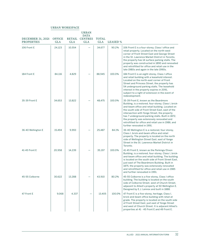| <b>DECEMBER 31, 2021</b><br><b>PROPERTIES</b> | <b>OFFICE</b><br>GLA | GLA    | <b>URBAN</b><br><b>DATA</b><br>RETAIL CENTRES<br><b>GLA</b> | <b>TOTAL</b><br><b>GLA</b> | <b>LEASED %</b> |                                                                                                                                                                                                                                                                                                                                                                                                                                             |
|-----------------------------------------------|----------------------|--------|-------------------------------------------------------------|----------------------------|-----------------|---------------------------------------------------------------------------------------------------------------------------------------------------------------------------------------------------------------------------------------------------------------------------------------------------------------------------------------------------------------------------------------------------------------------------------------------|
| 106 Front E                                   | 24.123               | 10,554 |                                                             | 34.677                     | 90.2%           | 106 Front E is a four-storey, Class I office and<br>retail property. Located on the north-west<br>corner of Front Street East and George Street<br>in the St. Lawrence Market District in Toronto,<br>the property has 14 surface parking stalls. The<br>property was constructed in 1890 and renovated<br>and retrofitted for office and retail use in the<br>late 1980s and again in the late 1990s.                                      |
| 184 Front E                                   | 84.116               | 4,829  |                                                             | 88.945                     | 100.0%          | 184 Front E is an eight-storey, Class I office<br>and retail building with a leasehold interest.<br>Located on the north-east corner of Front<br>Street and Princess Street, the property has<br>54 underground parking stalls. The leasehold<br>interest in the property expires in 2091,<br>subject to a right of extension in the event of<br>redevelopment.                                                                             |
| 35-39 Front E                                 | 34.653               | 13.822 |                                                             | 48.475                     | 100.0%          | 35-39 Front E, known as the Beardmore<br>Building, is a restored, four-storey, Class I, brick-<br>and-beam office and retail building. Located on<br>the south side of Front Street East, east of the<br>intersection with Yonge Street, the property<br>has 7 underground parking stalls. Built in 1872,<br>the property was extensively renovated and<br>retrofitted for office and retail use in 1986, and<br>further renovated in 1991. |
| 36-40 Wellington E                            | 15,494               | 9,993  |                                                             | 25,487                     | 84.1%           | 36-40 Wellington E is a restored, four-storey,<br>Class I, brick-and-beam office and retail<br>property. The property is located on the north<br>side of Wellington Street East, east of Yonge<br>Street in the St. Lawrence Market District in<br>Toronto.                                                                                                                                                                                 |
| 41-45 Front E                                 | 20,958               | 14,239 |                                                             | 35,197                     | 100.0%          | 41-45 Front E, known as the Perkings/Dixon<br>Building, is a restored, four-storey, Class I, brick-<br>and-beam office and retail building. The building<br>is located on the south side of Front Street East,<br>just east of The Beardmore Building. Built in<br>1875, the property was extensively renovated<br>and retrofitted for office and retail use in 1985<br>and further renovated in 1991.                                      |
| 45-55 Colborne                                | 30.622               | 13,288 |                                                             | 43.910                     | 80.2%           | 45-55 Colborne is a five-storey, Class I office<br>building. The building is located on the south<br>side of Colborne Street, west of Church Street,<br>adjacent to Allied's property at 50 Wellington E.<br>Designed by E.J. Lennox and built in 1888.                                                                                                                                                                                     |
| 47 Front E                                    | 9,068                | 4,337  |                                                             | 13,405                     | 100.0%          | 47 Front E is a five-storey, heritage, Class I,<br>brick-and-beam office building with retail at<br>grade. The property is located on the south side<br>of Front Street East, just east of Yonge Street<br>and west of Church Street. It is adjacent Allied's<br>properties at 41 - 45 Front E and 49 Front E.                                                                                                                              |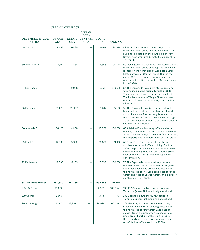|                                               |                             |                      | <b>URBAN</b><br><b>DATA</b>  |                     |                 |                                                                                                                                                                                                                                                                                                                                      |
|-----------------------------------------------|-----------------------------|----------------------|------------------------------|---------------------|-----------------|--------------------------------------------------------------------------------------------------------------------------------------------------------------------------------------------------------------------------------------------------------------------------------------------------------------------------------------|
| <b>DECEMBER 31, 2021</b><br><b>PROPERTIES</b> | <b>OFFICE</b><br><b>GLA</b> | RETAIL<br><b>GLA</b> | <b>CENTRES</b><br><b>GLA</b> | <b>TOTAL</b><br>GLA | <b>LEASED</b> % |                                                                                                                                                                                                                                                                                                                                      |
| 49 Front E                                    | 9,482                       | 10,435               |                              | 19,917              | 90.9%           | 49 Front E is a restored, five-storey, Class I,<br>brick-and-beam office and retail building. The<br>building is located on the south side of Front<br>Street, west of Church Street. It is adjacent to<br>47 Front E.                                                                                                               |
| 50 Wellington E                               | 22,112                      | 12,454               |                              | 34,566              | 100.0%          | 50 Wellington E is a restored, five-storey, Class I,<br>brick-and-beam office building. The building is<br>located on the north side of Wellington Street<br>East, just west of Church Street. Built in the<br>early 1900s, the property was extensively<br>renovated for office use in the 1980s and again<br>in the 1990s.         |
| 54 Esplanade                                  |                             | 9,038                |                              | 9,038               | 100.0%          | 54 The Esplanade is a single-storey, restored<br>warehouse building originally built in 1898.<br>The property is located on the north side of<br>The Esplanade, east of Yonge Street and west<br>of Church Street, and is directly south of 35 -<br>49 Front E.                                                                      |
| 56 Esplanade                                  | 59,270                      | 22,137               |                              | 81,407              | 87.6%           | 56 The Esplanade is a five-storey, restored,<br>brick-and-beam structure with retail at grade<br>and office above. The property is located on<br>the north side of The Esplanade, east of Yonge<br>Street and west of Church Street, and is directly<br>south of 35 - 49 Front E.                                                    |
| 60 Adelaide E                                 | 106,193                     | 4,608                |                              | 110,801             | 100.0%          | 60 Adelaide E is a 14-storey, office and retail<br>building. Located on the north side of Adelaide<br>Street, between Yonge Street and Church Street,<br>the property has 17 underground parking stalls.                                                                                                                             |
| 65 Front E                                    | 14,899                      | 5,922                |                              | 20,821              | 81.4%           | 65 Front E is a four-storey, Class I, brick-<br>and-beam retail and office building. Built in<br>1869, the property is located on the southeast<br>corner of Front Street East and Church Street,<br>east of Allied's Front Street and Esplanade<br>concentration.                                                                   |
| 70 Esplanade                                  | 19,590                      | 6,109                |                              | 25,699              | 100.0%          | 70 The Esplanade is a four-storey, restored,<br>brick-and-beam structure with retail at grade<br>and office above. The property is located on<br>the north side of The Esplanade, east of Yonge<br>Street and west of Church Street, and is directly<br>south of 35 - 49 Front E.                                                    |
| <b>St. Lawrence Market</b>                    | 450,580                     | 141.765              |                              | 592,345             | 94.6%           |                                                                                                                                                                                                                                                                                                                                      |
| 135-137 George                                | 2,399                       |                      |                              | 2,399               | 100.0%          | 135-137 George, is a two-storey row house in<br>Toronto's Queen-Richmond neighbourhood.                                                                                                                                                                                                                                              |
| 139 George                                    | 1,545                       |                      |                              | 1,545               | $-$ %           | 139 George is a two-storey row house in<br>Toronto's Queen-Richmond neighbourhood.                                                                                                                                                                                                                                                   |
| 204-214 King E                                | 115,087                     | 13,837               | $\overline{\phantom{0}}$     | 128,924             | 100.0%          | 204-214 King E is a restored, seven-storey,<br>Class I office and retail building. Located on<br>the north side of King Street East, east of<br>Jarvis Street, the property has access to 50<br>underground parking stalls. Built in 1908,<br>the property was extensively renovated and<br>retrofitted for office use in the 1990s. |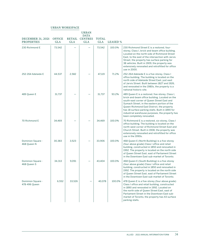| <b>DECEMBER 31, 2021</b>           | <b>OFFICE</b> |            | <b>URBAN</b><br><b>DATA</b><br>RETAIL CENTRES | <b>TOTAL</b> |                 |                                                                                                                                                                                                                                                                                                                                                                                     |
|------------------------------------|---------------|------------|-----------------------------------------------|--------------|-----------------|-------------------------------------------------------------------------------------------------------------------------------------------------------------------------------------------------------------------------------------------------------------------------------------------------------------------------------------------------------------------------------------|
| <b>PROPERTIES</b>                  | <b>GLA</b>    | <b>GLA</b> | <b>GLA</b>                                    | <b>GLA</b>   | <b>LEASED %</b> |                                                                                                                                                                                                                                                                                                                                                                                     |
| 230 Richmond E                     | 73,542        |            |                                               | 73,542       | 100.0%          | 230 Richmond Street E is a restored, four-<br>storey, Class I, brick-and-beam office building.<br>Located on the north side of Richmond Street<br>East, to the east of the intersection with Jarvis<br>Street, the property has surface parking for<br>38 vehicles. Built in 1909, the property was<br>extensively renovated and retrofitted for office<br>use in 2000.             |
| 252-264 Adelaide E                 | 44,537        | 2,582      |                                               | 47,119       | 71.2%           | 252-264 Adelaide E is a five-storey, Class I<br>office building. The building is located on the<br>north side of Adelaide Street East, just east<br>of Jarvis Street. Built between 1827 and 1926,<br>and renovated in the 1980s, the property is a<br>national historic site.                                                                                                      |
| 489 Queen E                        | 31,737        |            |                                               | 31,737       | 93.2%           | 489 Queen E is a restored, five-storey, Class I,<br>brick-and-beam office building. Located on the<br>south-east corner of Queen Street East and<br>Sumach Street, in the eastern portion of the<br>Queen-Richmond East District, the property<br>has 18 surface parking stalls. Built in 1890 for<br>industrial warehouse purposes, the property has<br>been completely renovated. |
| 70 Richmond E                      | 34,469        |            |                                               | 34,469       | 100.0%          | 70 Richmond E is a restored, six-storey, Class I<br>office building. The building is located on the<br>north-west corner of Richmond Street East and<br>Church Street. Built in 1908, the property was<br>extensively renovated and retrofitted for office<br>use in the 1990s.                                                                                                     |
| Dominion Square -<br>468 Queen N   | 30.383        | 3,523      |                                               | 33.906       | 100.0%          | 468 Queen E (North Building) is a five-storey<br>(four above grade) Class I office and retail<br>building, constructed in 1850 and renovated in<br>1992. The property is located on the north side<br>of Queen Street East, east of Parliament Street<br>in the Downtown East sub-market of Toronto.                                                                                |
| Dominion Square -<br>468 Queen S   | 34.313        | 9,091      |                                               | 43,404       | 100.0%          | 468 Queen E (South Building) is a five-storey<br>(four above grade) Class I office and retail<br>building, constructed in 1850 and renovated in<br>1992. The property is located on the north side<br>of Queen Street East, east of Parliament Street<br>in the Downtown East sub-market of Toronto.                                                                                |
| Dominion Square -<br>478-496 Queen | 6,552         | 33,526     |                                               | 40,078       | 100.0%          | 478 Queen E is a five-storey (four above grade)<br>Class I office and retail building, constructed<br>in 1890 and renovated in 1992. Located on<br>the north side of Queen Street East, east of<br>Parliament Street in the Downtown East sub-<br>market of Toronto, the property has 43 surface<br>parking stalls.                                                                 |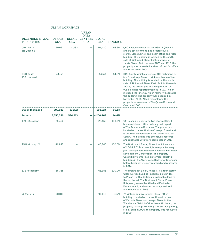| <b>DECEMBER 31, 2021</b><br><b>PROPERTIES</b> | <b>OFFICE</b><br>GLA | RETAIL<br>GLA | URBAN<br><b>DATA</b><br><b>CENTRES</b><br>GLA | <b>TOTAL</b><br>GLA | <b>LEASED</b> % |                                                                                                                                                                                                                                                                                                                                                                                                                                                                                                                 |
|-----------------------------------------------|----------------------|---------------|-----------------------------------------------|---------------------|-----------------|-----------------------------------------------------------------------------------------------------------------------------------------------------------------------------------------------------------------------------------------------------------------------------------------------------------------------------------------------------------------------------------------------------------------------------------------------------------------------------------------------------------------|
| ORC East -<br>111 Queen E                     | 190.697              | 20,733        |                                               | 211,430             | 98.6%           | QRC East, which consists of 99-123 Queen E<br>and 92-114 Richmond E is a restored, six-<br>storey, Class I, brick-and-beam office and retail<br>building. The building is located on the north<br>side of Richmond Street East, just west of<br>Jarvis Street. Built between 1870 and 1910, the<br>property was renovated and retrofitted for office<br>and retail use in 2000.                                                                                                                                 |
| QRC South -<br>100 Lombard                    | 44,671               |               |                                               | 44,671              | 84.2%           | QRC South, which consists of 103 Richmond E,<br>is a five-storey, Class I, brick-and-beam office<br>building. The building is located on the south<br>side of Richmond Street East. Built in the early<br>1900s, the property is an amalgamation of<br>two buildings reportedly joined in 1971, which<br>included the laneway which formerly separated<br>the building. The property was acquired in<br>November 2005. Allied redeveloped this<br>property as an annex to The Queen Richmond<br>Centre in 2006. |
| Queen Richmond                                | 609,932              | 83,292        |                                               | 693,224             | 96.1%           |                                                                                                                                                                                                                                                                                                                                                                                                                                                                                                                 |
| Toronto                                       | 3,655,556            | 594,913       |                                               | 4,250,469           | 94.6%           |                                                                                                                                                                                                                                                                                                                                                                                                                                                                                                                 |
| 189-195 Joseph                                | 26.462               |               |                                               | 26,462              | 100.0%          | 189 Joseph is a restored two-storey, Class I,<br>brick-and-beam office building that is part<br>of The Tannery in Kitchener. The property is<br>located on the south side of Joseph Street and<br>is between Linden Avenue and Victoria Street<br>South. The building was extensively restored<br>and renovated with work completed in 2017.                                                                                                                                                                    |
| 25 Breithaupt <sup>(3)</sup>                  | 46,845               |               |                                               | 46,845              | 100.0%          | The Breithaupt Block, Phase I, which consists<br>of 20-24 & 51 Breithaupt, is an equal two-way<br>joint arrangement between Allied and Perimeter<br>Development Corporation. The property<br>was initially comprised six former industrial<br>buildings in the Warehouse District of Kitchener<br>before being extensively restored and renovated<br>in 2014.                                                                                                                                                   |
| 51 Breithaupt <sup>(3)</sup>                  | 66,355               |               |                                               | 66,355              | 100.0%          | The Breithaupt Block, Phase II, is a four-storey<br>Class A office building linked by a skybridge<br>to Phase I, with additional developable land to<br>the northwest. The Breithaupt Block, Phase<br>II, is jointly owned by Allied and Perimeter<br>Development, and was extensively restored<br>and renovated in 2016.                                                                                                                                                                                       |
| 72 Victoria                                   | 90,010               |               |                                               | 90,010              | 97.7%           | 72 Victoria is a five-storey, Class I office<br>building. Located on the south-east corner<br>of Victoria Street and Joseph Street in the<br>Warehouse District of downtown Kitchener, the<br>property has approximately 226 surface parking<br>stalls. Built in 1900, the property was renovated<br>in 1999.                                                                                                                                                                                                   |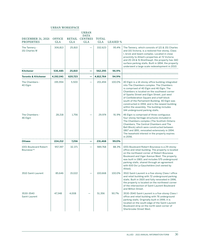| <b>DECEMBER 31, 2021</b><br><b>PROPERTIES</b>     | <b>OFFICE</b><br><b>GLA</b> | RETAIL<br>GLA | <b>URBAN</b><br><b>DATA</b><br><b>CENTRES</b><br><b>GLA</b> | <b>TOTAL</b><br><b>GLA</b> | <b>LEASED</b> % |                                                                                                                                                                                                                                                                                                                                                                                                                                                                              |
|---------------------------------------------------|-----------------------------|---------------|-------------------------------------------------------------|----------------------------|-----------------|------------------------------------------------------------------------------------------------------------------------------------------------------------------------------------------------------------------------------------------------------------------------------------------------------------------------------------------------------------------------------------------------------------------------------------------------------------------------------|
| The Tannery -<br>151 Charles W                    | 306,813                     | 25,810        |                                                             | 332,623                    | 95.4%           | The Tannery, which consists of 121 & 151 Charles<br>and 101 Victoria, is a restored five-storey, Class<br>I, brick-and-beam complex. Located in close<br>proximity to Allied's properties at 72 Victoria<br>and 20-24 & 51 Breithaupt, the property has 340<br>surface parking stalls. Built in 1894, the property<br>underwent a large scale redevelopment in 2010.                                                                                                         |
| Kitchener                                         | 536,485                     | 25,810        |                                                             | 562,295                    | 96.9%           |                                                                                                                                                                                                                                                                                                                                                                                                                                                                              |
| Toronto & Kitchener                               | 4,192,041                   | 620,723       |                                                             | 4,812,764                  | 94.9%           |                                                                                                                                                                                                                                                                                                                                                                                                                                                                              |
| The Chambers -<br>40 Elgin                        | 195,994                     | 5,500         |                                                             | 201,494                    | 100.0%          | 40 Elgin is a 14-storey office building integrated<br>into The Chambers complex. The Chambers<br>is comprised of 40 Elgin and 46 Elgin. The<br>Chambers is located on the southwest corner<br>of Sparks Street and Elgin Street, just west<br>of Confederation Square and a half-block<br>south of the Parliament Building. 40 Elgin was<br>constructed in 1994, and is the newest building<br>within the assembly. The building includes<br>144 underground parking stalls. |
| The Chambers -<br>46 Elgin                        | 28,218                      | 1,756         |                                                             | 29,974                     | 91.9%           | 46 Elgin is comprised of three contiguous<br>four-storey heritage structures included in<br>The Chambers complex (The Scottish-Ontario<br>Chambers, The Central Chambers and The<br>Bell Block) which were constructed between<br>1867 and 1891, renovated extensively in 1994.<br>The leasehold interest in the property expires<br>in 2056.                                                                                                                                |
| Ottawa                                            | 224,212                     | 7,256         |                                                             | 231,468                    | 99.0%           |                                                                                                                                                                                                                                                                                                                                                                                                                                                                              |
| 1001 Boulevard Robert-<br>Bourassa <sup>(4)</sup> | 957,397                     | 32,371        |                                                             | 989,768                    | 88.3%           | 1001 Boulevard Robert-Bourassa is a 29-storey<br>office and retail building. The property is located<br>on the northwest corner of Robert-Bourassa<br>Boulevard and Viger Avenue West. The property<br>was built in 1983, and includes 575 underground<br>parking stalls, shared through an agreement<br>with 600 De La Gauchetière (not owned by<br>Allied).                                                                                                                |
| 3510 Saint-Laurent                                | 85,646                      | 15,022        |                                                             | 100,668                    | 100.0%          | 3510 Saint-Laurent is a five-storey Class I office<br>and retail building with 72 underground parking<br>stalls. Built in 1920 and fully renovated in 1996,<br>the property is located on the northwest corner<br>of the intersection of Saint-Laurent Boulevard<br>and Milton Street.                                                                                                                                                                                       |
| 3530-3540<br>Saint-Laurent                        | 47,348                      | 4,008         |                                                             | 51,356                     | 90.7%           | 3530-3540 Saint-Laurent is a five-storey Class I<br>office and retail building with 76 underground<br>parking stalls. Originally built in 1999, it is<br>located on the south edge of the Saint-Laurent<br>Boulevard strip on the north-west corner of<br>Sherbrooke Street West.                                                                                                                                                                                            |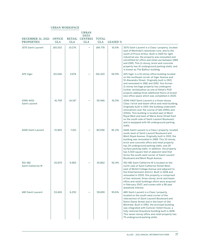| <b>DECEMBER 31, 2021</b>     | <b>OFFICE</b> | RETAIL     | <b>URBAN</b><br><b>DATA</b><br><b>CENTRES</b> | <b>TOTAL</b> |                 |                                                                                                                                                                                                                                                                                                                                                                                                                                                                                             |
|------------------------------|---------------|------------|-----------------------------------------------|--------------|-----------------|---------------------------------------------------------------------------------------------------------------------------------------------------------------------------------------------------------------------------------------------------------------------------------------------------------------------------------------------------------------------------------------------------------------------------------------------------------------------------------------------|
| <b>PROPERTIES</b>            | <b>GLA</b>    | <b>GLA</b> | <b>GLA</b>                                    | <b>GLA</b>   | <b>LEASED %</b> |                                                                                                                                                                                                                                                                                                                                                                                                                                                                                             |
| 3575 Saint-Laurent           | 165,502       | 19,276     |                                               | 184,778      | 91.6%           | 3575 Saint-Laurent is a Class I property, located<br>east of Montréal's downtown core, and to the<br>south of Prince Arthur. Built in 1929 for light<br>industrial use, the property was renovated and<br>retrofitted for office and retail use between 1985<br>and 1995. This 11-storey, brick-and-concrete<br>property has 41 underground parking stalls, and<br>is known as The Balfour building.                                                                                        |
| 425 Viger                    | 311,646       | 4,674      |                                               | 316,320      | 94.9%           | 425 Viger is a 14-storey office building located<br>on the northeast corner of Viger Avenue and<br>St-Alexandre Street. Originally built in 1915<br>and renovated in 1981 and 1992, this former<br>11-storey heritage property has undergone<br>further revitalization as one of Allied's PUD<br>projects adding three additional floors of brand<br>new office space which was completed in 2020.                                                                                          |
| 4396-4410<br>Saint-Laurent   | 41,799        | 14,147     |                                               | 55.946       | 91.0%           | 4396-4410 Saint-Laurent is a three-storey<br>Class I brick-and-beam office and retail building.<br>Originally built in 1919, the building underwent<br>renovations over the course of late 1990s and<br>2000s. This building is located east of Mont-<br>Royal West and west of Marie-Anne Street East<br>on the south side of Saint-Laurent Boulevard.<br>and is equipped with 40 underground parking<br>stalls.                                                                           |
| 4446 Saint-Laurent           | 72.805        | 7,251      |                                               | 80,056       | 82.2%           | 4446 Saint-Laurent is a Class I property, located<br>south-west of Saint-Laurent Boulevard and<br>Mont-Royal Avenue. Originally built in 1915, the<br>building was renovated in 1989. This 10-storey,<br>brick-and-concrete office and retail property<br>has 24 underground parking stalls, and 26<br>surface parking stalls. In addition, the property<br>has 5,500 square feet of adjacent land that<br>forms the south-west corner of Saint-Laurent<br>Boulevard and Mont-Royal Avenue. |
| 451-481<br>Saint-Catherine W | 20,879        | 9,983      |                                               | 30,862       | 92.4%           | 451-481 Saint Catherine W is located on the<br>north-side of Saint Catherine Street West.<br>east of McGill College Avenue and adjacent to<br>the Entertainment district. Built in 1928 and<br>renovated in 2005, this property is comprised<br>of two restored, three-storey, brick-and-beam<br>office and retail buildings which were acquired<br>in February 2007, and comes with a 98-year<br>leasehold interest.                                                                       |
| 480 Saint-Laurent            | 53,406        | 6,293      |                                               | 59,699       | 95.6%           | 480 Saint-Laurent is a Class I property,<br>located on the south-west corner of the<br>intersection of Saint-Laurent Boulevard and<br>Notre-Dame Street and in the heart of Old<br>Montréal. Built in 1992, the principal building<br>was integrated with Cullivier-Ostell House, a<br>fully restored Greystone building built in 1836.<br>This seven-storey office and retail property has<br>75 underground parking stalls.                                                               |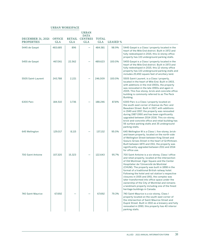| <b>DECEMBER 31, 2021</b><br><b>PROPERTIES</b> | <b>OFFICE</b><br>GLA | GLA    | <b>URBAN</b><br><b>DATA</b><br>RETAIL CENTRES<br>GLA | <b>TOTAL</b><br>GLA | <b>LEASED</b> % |                                                                                                                                                                                                                                                                                                                                                                                                                                                                                                                                                                                              |
|-----------------------------------------------|----------------------|--------|------------------------------------------------------|---------------------|-----------------|----------------------------------------------------------------------------------------------------------------------------------------------------------------------------------------------------------------------------------------------------------------------------------------------------------------------------------------------------------------------------------------------------------------------------------------------------------------------------------------------------------------------------------------------------------------------------------------------|
| 5445 de Gaspé                                 | 483,685              | 896    |                                                      | 484,581             | 98.9%           | 5445 Gaspé is a Class I property located in the<br>heart of the Mile End district. Built in 1972 and<br>fully redeveloped in 2015, this 11-storey office<br>property has 133 underground parking stalls.                                                                                                                                                                                                                                                                                                                                                                                     |
| 5455 de Gaspé                                 | 467,061              | 22,562 |                                                      | 489,623             | 100.0%          | 5455 Gaspé is a Class I property located in the<br>heart of the Mile End district. Built in 1973 and<br>fully redeveloped in 2015, this 12-storey office<br>property has 133 underground parking stalls and<br>includes 20,450 square feet of ancillary land.                                                                                                                                                                                                                                                                                                                                |
| 5505 Saint-Laurent                            | 243,788              | 2,221  |                                                      | 246.009             | 100.0%          | 5505 Saint-Laurent, is a Class I property,<br>located in the heart of Mile End. Built in 1903,<br>with additions in the mid-1900s, the property<br>was renovated in the late 1990s and again in<br>2005. This five-storey, brick-and-concrete office<br>building is commonly referred to as The Peck<br>Building.                                                                                                                                                                                                                                                                            |
| 6300 Parc                                     | 184,510              | 3,736  |                                                      | 188,246             | 87.8%           | 6300 Parc is a Class I property located on<br>the south-east corner of Avenue du Parc and<br>Beaubien Street. Built in 1927, with additions<br>in 1949 and 1957, the property was renovated<br>during 1987-1990 and has been significantly<br>upgraded between 2014-2016. This six-storey,<br>brick-and-concrete office and retail building has<br>56 surface parking stalls and 35 underground<br>parking stalls.                                                                                                                                                                           |
| 645 Wellington                                | 129,017              | 8,115  |                                                      | 137.132             | 95.0%           | 645 Wellington W is a Class I, five-storey, brick-<br>and-beam property, located on the north-side<br>of Wellington Street between King Street and<br>Soeurs-Grises Street in the heart of Griffintown.<br>Built between 1870 and 1911, the property was<br>significantly upgraded between 2011 and 2014<br>for office use.                                                                                                                                                                                                                                                                  |
| 700 Saint Antoine                             | 107,320              | 15,323 |                                                      | 122,643             | 95.7%           | 700 Saint Antoine is a six-storey, Class I office<br>and retail property, located at the intersection<br>of Old Montreal, Viger Square and the Center<br>Hospitalier de l'Université de Montréal<br>(CHUM). The property was built in 1898 in the<br>format of a traditional British railway hotel.<br>Following the hotel and rail station's respective<br>closures in 1935 and 1951, the complex was<br>later transformed into office space under the<br>ownership of the City of Montréal and remains<br>a landmark property including one of the finest<br>heritage buildings in Canada. |
| 740 Saint-Maurice                             | 67,692               |        |                                                      | 67,692              | 79.3%           | 740 Saint-Maurice is a six-storey, Class I<br>property located on the south-east corner of<br>the intersection of Saint-Maurice Street and<br>Dupré Street. Built in 1910 as a brewery and fully<br>renovated in 1990, this property has 40 interior<br>parking stalls.                                                                                                                                                                                                                                                                                                                      |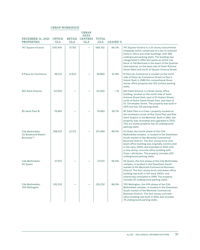| DECEMBER 31, 2021                                                     | <b>OFFICE</b> |            | <b>URBAN</b><br><b>DATA</b><br>RETAIL CENTRES | <b>TOTAL</b> |                 |                                                                                                                                                                                                                                                                                                                                                                                                                        |
|-----------------------------------------------------------------------|---------------|------------|-----------------------------------------------|--------------|-----------------|------------------------------------------------------------------------------------------------------------------------------------------------------------------------------------------------------------------------------------------------------------------------------------------------------------------------------------------------------------------------------------------------------------------------|
| <b>PROPERTIES</b>                                                     | <b>GLA</b>    | <b>GLA</b> | <b>GLA</b>                                    | <b>GLA</b>   | <b>LEASED %</b> |                                                                                                                                                                                                                                                                                                                                                                                                                        |
| 747 Square-Victoria                                                   | 530,950       | 37,752     |                                               | 568,702      | 84.2%           | 747 Square-Victoria is a 10-storey monumental<br>shopping centre comprised of a mix of restored<br>historic office and retail buildings, with 585<br>underground parking stalls. The building was<br>inaugurated in 1992 and spans an entire city<br>block in Old Montreal in the heart of the Quartier<br>International, on the west side of Saint-Antoine<br>Street West and north of Square Victoria Street.        |
| 8 Place du Commerce                                                   | 48,231        | 11,633     |                                               | 59.864       | 61.9%           | 8 Place du Commerce is located on the north<br>side of Place du Commerce Street on Nun's<br>Island. Built in 1986 this conventional three-<br>storey office property has 193 surface parking<br>stalls.                                                                                                                                                                                                                |
| 810 Saint Antoine                                                     | 43.500        |            |                                               | 43.500       | $-$ %           | 810 Saint Antoine is a three-storey office<br>building, located on the south side of Saint<br>Antoine Street East, east of St Hubert Street,<br>north of Notre Dame Street East, and west of<br>St. Christophe Street. The property was built in<br>1975 and has 132 parking stalls.                                                                                                                                   |
| 85 Saint-Paul W                                                       | 79.483        |            |                                               | 79.483       | 69.7%           | 85 Saint Paul is a Class I property located on<br>the northeast corner of Rue Saint Paul and Rue<br>Saint Sulpice in old Montréal. Built in 1861, the<br>property was renovated and upgraded in 2001.<br>This six-storey property has 25 underground<br>parking stalls.                                                                                                                                                |
| Cité Multimédia -<br>111 Boulevard Robert-<br>Bourassa <sup>(5)</sup> | 358,913       | 12.571     |                                               | 371,484      | 49.0%           | 111 Duke, the fourth phase of the Cité<br>Multimédia complex, is located in the Downtown<br>South market of the Montréal Commercial<br>Business District. The four-storey brick-and-<br>beam office building was originally constructed<br>in the early 1900s and extended in 2001 with<br>a nine-storey concrete office building with<br>Class I attributes. The property includes 220<br>underground parking stalls. |
| Cité Multimédia -<br>50 Queen                                         | 27,072        |            |                                               | 27,072       | 96.0%           | 50 Queen, the first phase of the Cité Multimédia<br>complex, is located in the Downtown South<br>market of the Montréal Commercial Business<br>District. The four-storey brick-and-beam office<br>building was built in the early 1900s, and<br>extensively renovated in 1999. The property<br>includes 87 underground parking stalls.                                                                                 |
| Cité Multimédia -<br>700 Wellington                                   | 135.232       |            |                                               | 135.232      | 84.5%           | 700 Wellington, the fifth phase of the Cité<br>Multimédia complex, is located in the Downtown<br>South market of the Montréal Commercial<br>Business District. The four-storey concrete<br>office building was built in 2001 and includes<br>75 underground parking stalls.                                                                                                                                            |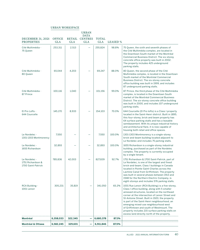|                                                          |                             |                      | <b>URBAN</b><br><b>DATA</b>  |                            |                 |                                                                                                                                                                                                                                                                                                                                                                                                                                                                                                 |
|----------------------------------------------------------|-----------------------------|----------------------|------------------------------|----------------------------|-----------------|-------------------------------------------------------------------------------------------------------------------------------------------------------------------------------------------------------------------------------------------------------------------------------------------------------------------------------------------------------------------------------------------------------------------------------------------------------------------------------------------------|
| DECEMBER 31, 2021<br><b>PROPERTIES</b>                   | <b>OFFICE</b><br><b>GLA</b> | RETAIL<br><b>GLA</b> | <b>CENTRES</b><br><b>GLA</b> | <b>TOTAL</b><br><b>GLA</b> | <b>LEASED %</b> |                                                                                                                                                                                                                                                                                                                                                                                                                                                                                                 |
| Cité Multimédia -<br>75 Queen                            | 253,311                     | 2,513                |                              | 255,824                    | 98.8%           | 75 Queen, the sixth and seventh phases of<br>the Cité Multimédia complex, are located in<br>the Downtown South market of the Montréal<br>Commercial Business District. The six-storey<br>concrete office property was built in 2002.<br>The property includes 425 underground<br>parking stalls.                                                                                                                                                                                                |
| Cité Multimédia -<br>80 Oueen                            | 65,044                      | 4,203                |                              | 69,247                     | 88.0%           | 80 Queen, the second phase of the Cité<br>Multimédia complex, is located in the Downtown<br>South market of the Montréal Commercial<br>Business District. The six-storey concrete<br>office building was built in 1999, and includes<br>87 underground parking stalls.                                                                                                                                                                                                                          |
| Cité Multimédia -<br>87 Prince                           | 100,116                     | 1,040                |                              | 101,156                    | 99.0%           | 87 Prince, the third phase of the Cité Multimédia<br>complex, is located in the Downtown South<br>market of the Montréal Commercial Business<br>District. The six-storey concrete office building<br>was built in 2000, and includes 107 underground<br>parking stalls.                                                                                                                                                                                                                         |
| El Pro Lofts -<br>644 Courcelle                          | 145,170                     | 8,933                |                              | 154,103                    | 70.0%           | 644 Courcelle (El Pro lofts) is a Class I property<br>located in the Saint-Henri district. Built in 1895,<br>this four-storey, brick and beam property has<br>64 surface parking stalls and has a leasable<br>semibasement. With its unique industrial history<br>and architectural flare, it is now capable of<br>housing both retail and office spaces.                                                                                                                                       |
| Le Nordelec -<br>1301-1303 Montmorency                   | 7,550                       |                      |                              | 7,550                      | 100.0%          | 1301-1303 Montmorency is a single-storey<br>brick-and-beam building located adjacent to<br>Le Nordelec and includes 75 parking stalls.                                                                                                                                                                                                                                                                                                                                                          |
| Le Nordelec -<br>1655 Richardson                         | 32,893                      |                      |                              | 32,893                     | 100.0%          | 1655 Richardson is a single-storey industrial<br>building, purchased as part of the Nordelec<br>complex. The property is currently occupied<br>by a single tenant.                                                                                                                                                                                                                                                                                                                              |
| Le Nordelec -<br>1751 Richardson &<br>1700 Saint-Patrick | 785,836                     | 42,003               |                              | 827,839                    | 92.7%           | 1751 Richardson & 1700 Saint-Patrick, part of<br>Le Nordelec, is one of the largest and finest<br>brick-and-beam, Class I buildings in Canada<br>located in Pointe-Saint-Charles across the<br>Lachine Canal from Griffintown. The property<br>was built in several phases between 1913 and<br>1948 for the Northern Electric Company, is<br>eight-storeys and includes 576 parking stalls.                                                                                                     |
| RCA Building -<br>1001 Lenoir                            | 305,231                     | 35,819               |                              | 341,050                    | 65.2%           | 1001 Rue Lenoir (RCA Building) is a five-storey,<br>Class I office building, along with 5 smaller<br>annexed structures, located on the northeast<br>corner at the intersection of Lenoir Street and<br>St-Antoine Street. Built in 1920, the property<br>is part of the Saint-Henri neighbourhood, an<br>emerging mixed-use neighbourhood west<br>of Griffintown and south of Westmount. The<br>property includes 215 surface parking stalls on<br>excess land directly north of the property. |
| Montréal                                                 | 6,358,033                   | 322,345              |                              | 6,680,378                  | 87.1%           |                                                                                                                                                                                                                                                                                                                                                                                                                                                                                                 |
| <b>Montréal &amp; Ottawa</b>                             | 6,582,245                   | 329,601              |                              | 6,911,846                  | 87.5%           |                                                                                                                                                                                                                                                                                                                                                                                                                                                                                                 |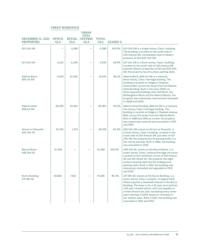| <b>DECEMBER 31, 2021</b>              | OFFICE     |        | <b>URBAN</b><br><b>DATA</b><br>RETAIL CENTRES | <b>TOTAL</b> |                 |                                                                                                                                                                                                                                                                                                                                                                                                                                                      |
|---------------------------------------|------------|--------|-----------------------------------------------|--------------|-----------------|------------------------------------------------------------------------------------------------------------------------------------------------------------------------------------------------------------------------------------------------------------------------------------------------------------------------------------------------------------------------------------------------------------------------------------------------------|
| <b>PROPERTIES</b>                     | <b>GLA</b> | GLA    | GLA                                           | <b>GLA</b>   | <b>LEASED %</b> |                                                                                                                                                                                                                                                                                                                                                                                                                                                      |
| 613 11th SW                           |            | 4,288  |                                               | 4,288        | 100.0%          | 613-11th SW is a single-storey, Class I building.<br>The building is located on the south side of<br>11th Avenue SW, immediately west of Allied's<br>property at 603-605 11th SW.                                                                                                                                                                                                                                                                    |
| 617 11th SW                           | 3.230      | 6.306  |                                               | 9.536        | 59.9%           | 617-11th SW is a three-storey, Class I building.<br>Located on the south side of 11th Avenue SW<br>between Allied's properties at 613 and 625-11th<br>SW, the property has 14 surface parking stalls.                                                                                                                                                                                                                                                |
| Alberta Block -<br>805 1st SW         | 9.094      | 22.540 |                                               | 31.634       | 86.1%           | Alberta Block, 805-1st SW is a restored,<br>three-storey, Class I heritage building. The<br>building is located on Calgary's Stephen<br>Avenue Mall, across the street from the Alberta<br>Hotel Building. Built in the early 1900s as<br>three separate buildings (the Hull Block, the<br>McNaughton Block and the Alberta Block), the<br>property was extensively restored and renovated<br>in 2008 and 2009.                                      |
| Alberta Hotel -<br>808 1st SW         | 28.036     | 20.424 |                                               | 48,460       | 95.2%           | Alberta Hotel Building, 808-1st SW is a restored,<br>five-storey, Class I heritage building. The<br>building is located on Calgary's Stephen Avenue<br>Mall, across the street from the Alberta Block.<br>Built in 1889 and 1901 as a hotel, the property<br>was extensively restored and renovated in 1972<br>and 1997.                                                                                                                             |
| Atrium on Eleventh -<br>625 11th SE   | 34,705     | 1,373  |                                               | 36,078       | 40.3%           | 625-11th SW, known as Atrium on Eleventh, is<br>a three-storey, Class I building. Located on the<br>south side of 11th Avenue SW, just west of 617-<br>11th SW, the property has 52 parking stalls in a<br>two-storey parkade. Built in 1980, the building<br>was renovated in 2010.                                                                                                                                                                 |
| <b>Biscuit Block -</b><br>438 11th SE | 51,298     |        |                                               | 51,298       | 100.0%          | 438-11th SE, known as the Biscuit Block, is a<br>seven-storey, Class I restored heritage structure.<br>Located on the northwest corner of 11th Avenue<br>SE and 4th Street SE, the property has eight<br>surface parking stalls and 40 underground<br>parking stalls. Built in 1910, the building was<br>extensively renovated and upgraded in 2012<br>and 2013.                                                                                     |
| Burns Building -<br>237 8th SE        | 66,862     | 7,423  |                                               | 74,285       | 96.3%           | 237-8th SE, known as the Burns Building, is a<br>seven-storey, Class I complex. In August 2012,<br>Allied acquired a leasehold interest in the Burns<br>Building. The lease is for a 32 year term and has<br>a 60 year renewal option, with rent payable at<br>a fixed amount per year, escalating every seven<br>years starting in 2019, based on increases in<br>fair market value. Built in 1912, the building was<br>renovated in 1991 and 2013. |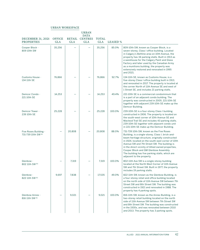| <b>DECEMBER 31, 2021</b><br><b>PROPERTIES</b> | <b>OFFICE</b><br><b>GLA</b> | RETAIL<br>GLA | <b>URBAN</b><br><b>DATA</b><br><b>CENTRES</b><br><b>GLA</b> | <b>TOTAL</b><br><b>GLA</b> | <b>LEASED</b> % |                                                                                                                                                                                                                                                                                                                                                                                                                                      |
|-----------------------------------------------|-----------------------------|---------------|-------------------------------------------------------------|----------------------------|-----------------|--------------------------------------------------------------------------------------------------------------------------------------------------------------------------------------------------------------------------------------------------------------------------------------------------------------------------------------------------------------------------------------------------------------------------------------|
| Cooper Block -<br>809 10th SW                 | 35,256                      |               |                                                             | 35,256                     | 85.0%           | 809-10th SW, known as Cooper Block, is a<br>seven-storey, Class I office building. Located<br>in Calgary's Beltline area on 10th Avenue, the<br>property has 34 parking stalls. Built in 1913 as<br>a warehouse for the Calgary Paint and Glass<br>Factory and later used by the Canadian Army<br>as a munitions building, the property was<br>extensively restored and renovated in 1995<br>and 2021.                               |
| Customs House -<br>134 11th SE                | 76,866                      |               |                                                             | 76,866                     | 92.7%           | 134-11th SE, known as Customs House, is a<br>five-storey Class I office building built in 1913,<br>and renovated in 2017. The property is located at<br>the corner North of 11th Avenue SE and west of<br>1 Street SE, and includes 21 parking stalls.                                                                                                                                                                               |
| Demcor Condo -<br>221 10th SE                 | 14,253                      |               |                                                             | 14,253                     | 49.4%           | 221-10th SE is a commercial condominium that<br>is a part of an adjacent condo building. The<br>property was constructed in 2005. 221-10th SE<br>together with adjacent 239-10th SE make up the<br>Demcor Building.                                                                                                                                                                                                                  |
| Demcor Tower -<br>239 10th SE                 | 25.228                      |               |                                                             | 25,228                     | 100.0%          | 239-10th SE is a four-storey Class I building<br>constructed in 1906. The property is located on<br>the south-west corner of 10th Avenue SE and<br>Macleod Trail SE and includes 43 parking stalls.<br>239-10th SE together with adjacent condo unit<br>in 221-10th SE make up the Demcor Building.                                                                                                                                  |
| Five Roses Building -<br>731-739 10th SW (6)  |                             | 20,808        |                                                             | 20,808                     | 88.0%           | 731-739 10th SW, known as the Five Roses<br>Building, is a single-storey, Class I, brick-and-<br>beam heritage structure, originally constructed<br>in 1924, located on the south-east corner of 10th<br>Avenue SW and 7th Street SW. The building is<br>in the direct vicinity of Allied owned properties,<br>Cooper Block and GM Glenbow Assembly.<br>The building has five parking stalls, which are<br>adjacent to the property. |
| Glenbow -<br>802 11th SW(6)                   |                             | 7,319         |                                                             | 7,319                      | 100.0%          | 802-11th Ave SW is a single-storey building<br>located at the North West Corner of 11th Avenue<br>SW and 7th Street SW. Built in 1977, the property<br>includes 19 parking stalls.                                                                                                                                                                                                                                                   |
| Glenbow -<br>822 11th SW (6)                  | 9,697                       | 7,838         |                                                             | 17,535                     | 49.0%           | 822-11th SW, known as the Glenbow Building, is<br>a four-storey retail and office building located<br>on the north side of 11th Avenue SW between 7th<br>Street SW and 8th Street SW. The building was<br>constructed in 1921 and renovated in 1988. The<br>property has 4 parking spots.                                                                                                                                            |
| <b>Glenbow Annex -</b><br>816 11th SW(6)      |                             | 9.021         |                                                             | 9,021                      | 100.0%          | 816-11th SW, known as the Annex Building, is a<br>two-storey retail building located on the north<br>side of 11th Avenue SW between 7th Street SW<br>and 8th Street SW. The building was constructed<br>in the 1930s, and was renovated between 2010<br>and 2013. The property has 3 parking spots.                                                                                                                                  |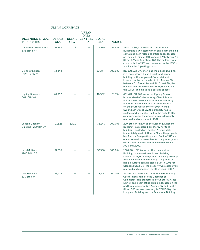|                                               |                             |            | <b>URBAN</b>                                |                            |                 |                                                                                                                                                                                                                                                                                                                                                                                                                           |
|-----------------------------------------------|-----------------------------|------------|---------------------------------------------|----------------------------|-----------------|---------------------------------------------------------------------------------------------------------------------------------------------------------------------------------------------------------------------------------------------------------------------------------------------------------------------------------------------------------------------------------------------------------------------------|
| <b>DECEMBER 31, 2021</b><br><b>PROPERTIES</b> | <b>OFFICE</b><br><b>GLA</b> | <b>GLA</b> | <b>DATA</b><br>RETAIL CENTRES<br><b>GLA</b> | <b>TOTAL</b><br><b>GLA</b> | <b>LEASED %</b> |                                                                                                                                                                                                                                                                                                                                                                                                                           |
| Glenbow Cornerblock -<br>838 11th SW(6)       | 10,998                      | 11,212     |                                             | 22,210                     | 94.8%           | 838-11th SW, known as the Corner Block<br>Building is a two-storey brick-and-beam building<br>containing both retail and office space located<br>on the north side of 11th Avenue SW between 7th<br>Street SW and 8th Street SW. The building was<br>constructed in 1931 and renovated in the 1990s,<br>and includes 2 parking spots.                                                                                     |
| Glenbow Ellison -<br>812 11th SW (6)          | 13,344                      |            |                                             | 13,344                     | 100.0%          | 812-11th Ave SW, known as the Ellison Building,<br>is a three-storey, Class-I, brick-and-beam<br>building, with one ground-floor retail unit.<br>Located on the north side of 11th Avenue SW<br>between 7th Street SW and 8th Street SW, the<br>building was constructed in 1921, renovated in<br>the 1980s, and includes 3 parking spaces.                                                                               |
| Kipling Square -<br>601 10th SW               | 48,502                      |            |                                             | 48,502                     | 71.7%           | 601-611 10th SW, known as Kipling Square,<br>is comprised of a two-storey, Class I, brick-<br>and-beam office building with a three-storey<br>addition. Located in Calgary's Beltline area<br>on the south-west corner of 10th Avenue<br>SW and 5th Street SW, the property has 16<br>surface parking stalls. Built in the early 1900s<br>as a warehouse, the property was extensively<br>restored and renovated in 1981. |
| Leeson Lineham<br>Building - 209 8th SW       | 27.821                      | 5,420      |                                             | 33.241                     | 100.0%          | 209-8th SW, known as the Leeson & Lineham<br>Building, is a restored, six-storey heritage<br>building. Located on Stephen Avenue Mall,<br>immediately west of Alberta Block, the property<br>has four surface parking stalls. Built in 1910 as<br>one of several business blocks, the property was<br>extensively restored and renovated between<br>1998 and 2000.                                                        |
| LocalMotive -<br>1240 20th SE                 | 57.536                      |            |                                             | 57,536                     | 100.0%          | 1240-20th SE, known as the LocalMotive<br>Building, is a four-storey, Class I building.<br>Located in Alyth/Bonnybrook, in close proximity<br>to Allied's Woodstone Building, the property<br>has 84 surface parking stalls. Built in 1905 for<br>Standard Soap Co., the property was extensively<br>restored and expanded for office use in 2007.                                                                        |
| Odd Fellows -<br>100 6th SW                   | 33.474                      |            |                                             | 33.474                     | 100.0%          | 100-6th SW, known as the Oddfellows Building,<br>was formerly home to the Chamber of<br>Commerce. The property is a four-storey, Class<br>I, brick-and-beam office building, located on the<br>northwest corner of 6th Avenue SW and Centre<br>Street SW, in close proximity to TELUS Sky, the<br>Lougheed Building and the Telephone Building.                                                                           |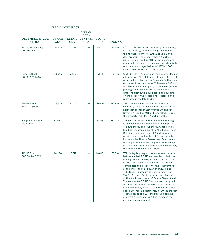| <b>DECEMBER 31, 2021</b><br><b>PROPERTIES</b> | <b>OFFICE</b><br><b>GLA</b> | <b>GLA</b> | <b>URBAN</b><br><b>DATA</b><br>RETAIL CENTRES<br>GLA | <b>TOTAL</b><br><b>GLA</b> | <b>LEASED %</b> |                                                                                                                                                                                                                                                                                                                                                                                                                                                                                                                                                                                                                                                                                                                                                                                |
|-----------------------------------------------|-----------------------------|------------|------------------------------------------------------|----------------------------|-----------------|--------------------------------------------------------------------------------------------------------------------------------------------------------------------------------------------------------------------------------------------------------------------------------------------------------------------------------------------------------------------------------------------------------------------------------------------------------------------------------------------------------------------------------------------------------------------------------------------------------------------------------------------------------------------------------------------------------------------------------------------------------------------------------|
| Pilkington Building -<br>402 11th SE          | 40,253                      |            |                                                      | 40,253                     | 85.4%           | 402-11th SE, known as The Pilkington Building,<br>is a four-storey, Class I building. Located on<br>the northeast corner of 11th Avenue SE and<br>3rd Street SE, the property has 42 surface<br>parking stalls. Built in 1911 for warehouse and<br>manufacturing use, the building was extensively<br>renovated and upgraded from 1997 to 2000<br>when it was converted to office use.                                                                                                                                                                                                                                                                                                                                                                                         |
| Roberts Block -<br>603-605 11th SW            | 23,645                      | 27,499     |                                                      | 51,144                     | 76.4%           | 603-605 11th SW, known as the Roberts Block, is<br>a four-storey Class I, brick-and-beam office and<br>retail building. Located in Calgary's Beltline area<br>on the southwest corner of 11th Avenue SW and<br>5th Street SW, the property has 6 above ground<br>parking stalls. Built in 1912 to house three<br>different distribution businesses, the building<br>on the property was extensively restored and<br>renovated in the late 1990s.                                                                                                                                                                                                                                                                                                                               |
| Sherwin Block -<br>738 11th SW (6)            | 18,319                      | 8,176      |                                                      | 26,495                     | 60.9%           | 738-11th SW, known as Sherwin Block, is a<br>six-storey Class I office building located at the<br>northeast corner of 11th Avenue SW and 7th<br>Street SW. Built in 1911 and renovated in 2005,<br>the property includes 22 parking stalls.                                                                                                                                                                                                                                                                                                                                                                                                                                                                                                                                    |
| Telephone Building -<br>119 6th SW            | 63,063                      |            |                                                      | 63,063                     | 100.0%          | 119-6th SW, known as the Telephone Building,<br>is two conjoined buildings that are comprised<br>of a two-storey and four-storey, Class I office<br>building. Located adjacent to Allied's Lougheed<br>Building, the property has 27 underground<br>parking stalls. Built in the 1920s and initially<br>known as the Alberta Government Telephones<br>Building or the AGT Building, the two buildings<br>on the property were integrated and extensively<br>restored and renovated in 2006.                                                                                                                                                                                                                                                                                    |
| TELUS Sky -<br>685 Centre SW(7)               | 144,290                     | 3,711      |                                                      | 148.001                    | 70.5%           | TELUS Sky is an equal three-way joint venture<br>between Allied, TELUS and Westbank that was<br>made possible, in part, by Allied's acquisition<br>of 100-7th SW in Calgary in late 2011. Allied<br>contributed this property to the joint venture<br>at the end of the third quarter of 2014, and<br>TELUS contributed its adjacent property at<br>114-7th Avenue SW at the same time. Located<br>at the northwest corner of Centre Street S and<br>7th Avenue SW, TELUS Sky has been designed<br>to a LEED Platinum standard and is comprised<br>of approximately 144,000 square feet of office<br>space, 104 rental apartments, 3,700 square feet<br>of retail space and 104 underground parking<br>stalls (at Allied's share). Allied manages the<br>commercial component. |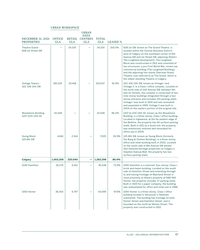| <b>DECEMBER 31, 2021</b>                  | <b>OFFICE</b> |         | <b>URBAN</b><br><b>DATA</b><br>RETAIL CENTRES | <b>TOTAL</b> |                 |                                                                                                                                                                                                                                                                                                                                                                                                                                                                                                                                             |
|-------------------------------------------|---------------|---------|-----------------------------------------------|--------------|-----------------|---------------------------------------------------------------------------------------------------------------------------------------------------------------------------------------------------------------------------------------------------------------------------------------------------------------------------------------------------------------------------------------------------------------------------------------------------------------------------------------------------------------------------------------------|
| <b>PROPERTIES</b>                         | GLA           | GLA     | <b>GLA</b>                                    | <b>GLA</b>   | <b>LEASED %</b> |                                                                                                                                                                                                                                                                                                                                                                                                                                                                                                                                             |
| Theatre Grand -<br>608 1st Street SW      |               | 34.100  |                                               | 34.100       | 100.0%          | 608 1st SW, known as The Grand Theatre, is<br>located within the Central Business District<br>area of Calgary on the southeast corner of 6th<br>Avenue SW and 1st Street SW, adjoining Allied's<br>The Lougheed development. The Lougheed<br>Block was constructed in 1912 and consisted of<br>two structures: a pre-First World War, mixed-use<br>commercial building (The Lougheed Building)<br>and the adjoining five-storey Sherman Grand<br>Theatre, now referred to as The Grand, which is<br>the oldest standing Theatre in Calgary. |
| Vintage Towers -<br>322-326 11th SW       | 190.219       | 20.418  |                                               | 210.637      | 91.9%           | 322-326 11th SW, known as Vintage I and<br>Vintage II, is a Class I office complex. Located on<br>the north side of 11th Avenue SW, between 4th<br>and 1st Streets, the complex is comprised of two<br>nine-storey buildings integrated through a two-<br>storey entrance and includes 210 parking stalls.<br>Vintage I was built in 1924 and was renovated<br>and expanded in 1999. Vintage II was built in<br>2004 on the eastern portion of the original site.                                                                           |
| Woodstone Building -<br>1207-1215 13th SE | 32.428        |         |                                               | 32.428       | 96.2%           | 1207 & 1215-13th SE, known as the Woodstone<br>Building, is a three-storey, Class I office building.<br>Located in Inglewood, at the far eastern edge of<br>the Beltline, the property has 40 surface parking<br>stalls. Built in 1911 as a wood mill, the property<br>was extensively restored and renovated for<br>office use in 2009.                                                                                                                                                                                                    |
| Young Block -<br>129 8th SW               | 4,841         | 2,164   |                                               | 7.005        | 30.9%           | 129-8th SW, known as Young Block (formerly<br>the Bang & Olufsen Building), is a three-storey<br>office and retail building built in 2002. Located<br>on the south side of 8th Avenue SW amidst<br>well restored heritage properties on Calgary's<br>Stephen Avenue Mall, the property has two<br>surface parking stalls.                                                                                                                                                                                                                   |
| Calgary                                   | 1,063,258     | 220,040 |                                               | 1,283,298    | 86.4%           |                                                                                                                                                                                                                                                                                                                                                                                                                                                                                                                                             |
| 1040 Hamilton                             | 36,276        | 9,162   |                                               | 45,438       | 73.9%           | 1040 Hamilton is a restored, four-storey, Class I,<br>brick-and-beam building. Located on the south<br>side of Hamilton Street and extending through<br>to and having frontage on Mainland Street in<br>close proximity to Allied's property at 948-950<br>Homer, the property includes 27 parking stalls.<br>Built in 1920 for a paper company, the building<br>was redeveloped for office and retail use in 1988.                                                                                                                         |
| 1050 Homer                                | 38,302        | 4,797   |                                               | 43,099       | 97.6%           | 1050 Homer is a three-storey, Class I office<br>building located in Vancouver's Yaletown<br>submarket. The building has frontage on both<br>Homer Street and Hamilton Street, and is<br>bounded on the north by Nelson Street. The<br>property was constructed in 1910.                                                                                                                                                                                                                                                                     |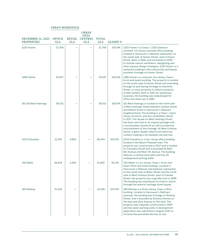|                                               |                             |            | <b>URBAN</b><br><b>DATA</b> |                            |                 |                                                                                                                                                                                                                                                                                                                                                                                                                                                                                                                                                        |
|-----------------------------------------------|-----------------------------|------------|-----------------------------|----------------------------|-----------------|--------------------------------------------------------------------------------------------------------------------------------------------------------------------------------------------------------------------------------------------------------------------------------------------------------------------------------------------------------------------------------------------------------------------------------------------------------------------------------------------------------------------------------------------------------|
| <b>DECEMBER 31, 2021</b><br><b>PROPERTIES</b> | <b>OFFICE</b><br><b>GLA</b> | <b>GLA</b> | RETAIL CENTRES<br>GLA       | <b>TOTAL</b><br><b>GLA</b> | <b>LEASED %</b> |                                                                                                                                                                                                                                                                                                                                                                                                                                                                                                                                                        |
| 1220 Homer                                    | 21,708                      |            |                             | 21,708                     | 100.0%          | 1220 Homer is a Class I, LEED platinum<br>certified, 3.5-storey concrete office building<br>located in Vancouver's Yaletown submarket, on<br>the south side of Homer Street, west of Davie<br>Street. Built in 1946, and renovated in 2000<br>to include natural ventilation, daylighting and<br>other passive design strategies, 1220 Homer is a<br>landmark building in the community and boasts<br>excellent frontage on Homer Street.                                                                                                              |
| 1286 Homer                                    | 25,637                      |            |                             | 25,637                     | 100.0%          | 1286 Homer is a restored, five-storey, Class I,<br>brick-and-beam building. The property is located<br>on the south side of Homer Street and extending<br>through to and having frontage on Hamilton<br>Street, in close proximity to Allied's property<br>at 840 Cambie. Built in 1910 for warehouse<br>purposes, the building was redeveloped for<br>office and retail use in 1989.                                                                                                                                                                  |
| 151-155 West Hastings                         | 38,512                      |            |                             | 38,512                     | 100.0%          | 151 West Hastings is located on the north side<br>of West Hastings Street between Cambie Street<br>and Abbott Street in Vancouver's Gastown<br>neighbourhood. The building is a Class I, seven-<br>storey structure, and was completely rebuilt<br>in 2017. The façade on West Hastings Street<br>has been returned to its original prestige with<br>a curved glass storefront as well as extensive<br>refurbishment of the frontage. At West Cordova<br>Street, a glass façade reflects the historical<br>context creating a mix between old and new. |
| 2233 Columbia                                 | 21,591                      | 6,852      |                             | 28,443                     | 100.0%          | 2233 Columbia is a four-storey office building<br>located in the Mount Pleasant area. The<br>property was constructed in 2017 and is located<br>on Columbia Street and is bounded by West<br>6th Avenue and West 7th Avenue. The building<br>features a rooftop level patio and has 25<br>underground parking stalls.                                                                                                                                                                                                                                  |
| 342 Water                                     | 18,434                      | 3,206      |                             | 21,640                     | 50.2%           | 342 Water is a six-storey, Class I, brick-and-<br>beam office and retail building. Located in<br>Vancouver's Yaletown and Gastown submarket,<br>on the south side of Water Street and the north<br>side of West Cordova Street, west of Cambie<br>Street, the property was originally built in 1899.<br>The building has maintained its historic charm<br>through the exterior heritage stone façade.                                                                                                                                                  |
| 365 Railway                                   | 31,528                      |            |                             | 31,528                     | 100.0%          | 365 Railway is a three-storey, Class I office<br>building. Located in Vancouver's Railtown<br>subnode, the building has frontage on Railway<br>Street, and is bounded by Dunlevy Avenue on<br>the east and Gore Avenue on the west. The<br>property was originally constructed in 1949,<br>and has seven parking stalls. A development<br>application was submitted in August 2021 to<br>increase the permitted density on site.                                                                                                                       |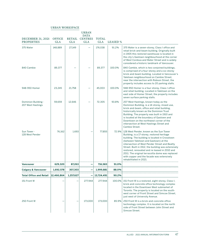| <b>DECEMBER 31, 2021</b><br><b>PROPERTIES</b> | <b>OFFICE</b><br>GLA | GLA       | <b>URBAN</b><br><b>DATA</b><br>RETAIL CENTRES<br>GLA | TOTAL<br><b>GLA</b> | <b>LEASED</b> % |                                                                                                                                                                                                                                                                                                                                                                                                                                                                             |
|-----------------------------------------------|----------------------|-----------|------------------------------------------------------|---------------------|-----------------|-----------------------------------------------------------------------------------------------------------------------------------------------------------------------------------------------------------------------------------------------------------------------------------------------------------------------------------------------------------------------------------------------------------------------------------------------------------------------------|
| 375 Water                                     | 148,889              | 27,149    |                                                      | 176,038             | 91.2%           | 375 Water is a seven-storey, Class I office and<br>retail brick-and-beam building. Originally built<br>in 1905 this restored warehouse is located in<br>the city's Gastown neighbourhood at the corner<br>of West Cordova and Water Street and is widely<br>considered a historic landmark of Vancouver.                                                                                                                                                                    |
| 840 Cambie                                    | 89,377               |           |                                                      | 89,377              | 100.0%          | 840 Cambie, which is two conjoined buildings,<br>is comprised of a four-storey and a six-storey<br>brick-and-beam building. Located in Vancouver's<br>Yaletown neighbourhood on Cambie Street,<br>near the intersection with Robson Street, the<br>property includes access to 20 parking stalls.                                                                                                                                                                           |
| 948-950 Homer                                 | 23.245               | 21,758    |                                                      | 45,003              | 100.0%          | 948-950 Homer is a four-storey, Class I office<br>and retail building. Located in Yaletown on the<br>east side of Homer Street, the property includes<br>seven surface parking stalls.                                                                                                                                                                                                                                                                                      |
| Dominion Building -<br>207 West Hastings      | 59,659               | 12,646    |                                                      | 72,305              | 93.8%           | 207 West Hastings, known today as the<br>Dominion Building, is a 14-storey, mixed-use,<br>brick-and-beam, office and retail building,<br>historically known as the Dominion Trust<br>Building. The property was built in 1910 and<br>is located at the boundary of Gastown and<br>Downtown on the northwest corner of the<br>intersection at West Hastings Street and<br>Cambie Street.                                                                                     |
| Sun Tower -<br>128 West Pender                | 76,162               | 1,693     |                                                      | 77,855              |                 | 72.9% 128 West Pender, known as the Sun Tower<br>Building, is a 17-storey, restored heritage<br>building. The building is located in Crosstown<br>(between Yaletown and Gastown) at the<br>intersection of West Pender Street and Beatty<br>Street. Built in 1912, the building was extensively<br>restored, renovated and re-leased in 2010 and<br>2011. The original terracotta dome was replaced<br>with copper and the facade was extensively<br>rehabilitated in 2021. |
| Vancouver                                     | 629,320              | 87,263    |                                                      | 716,583             | 91.0%           |                                                                                                                                                                                                                                                                                                                                                                                                                                                                             |
| <b>Calgary &amp; Vancouver</b>                | 1,692,578            | 307,303   | .                                                    | 1,999,881           | 88.0%<br>.      |                                                                                                                                                                                                                                                                                                                                                                                                                                                                             |
| <b>Total Office and Retail</b>                | 12,466,864           | 1,257,627 |                                                      | 13,724,491          | 90.2%           |                                                                                                                                                                                                                                                                                                                                                                                                                                                                             |
| 151 Front W                                   |                      |           | 277.944                                              | 277,944             |                 | 100.0% 151 Front W is a restored, eight-storey, Class-I,<br>brick-and-concrete office technology complex<br>located in the Downtown West submarket of<br>Toronto. The property is located on the south-<br>west corner of Front Street and Simcoe Street,<br>just west of University Avenue.                                                                                                                                                                                |
| 250 Front W                                   |                      |           | 173,000                                              | 173,000             | 85.9%           | 250 Front W is a brick-and-concrete office<br>technology complex. It is located on the north<br>side of Front Street between John Street and<br>Simcoe Street.                                                                                                                                                                                                                                                                                                              |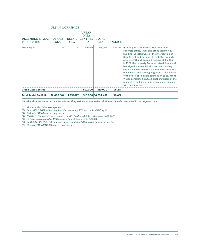|                                               | URBAN WORKSPACE      |                             |                                                             |                     |                 |                                                                                                                                                                                                                                                                                                                                                                                                                                                                                                                                                                                                                                    |
|-----------------------------------------------|----------------------|-----------------------------|-------------------------------------------------------------|---------------------|-----------------|------------------------------------------------------------------------------------------------------------------------------------------------------------------------------------------------------------------------------------------------------------------------------------------------------------------------------------------------------------------------------------------------------------------------------------------------------------------------------------------------------------------------------------------------------------------------------------------------------------------------------------|
| <b>DECEMBER 31, 2021</b><br><b>PROPERTIES</b> | OFFICE<br><b>GLA</b> | <b>RETAIL</b><br><b>GLA</b> | <b>URBAN</b><br><b>DATA</b><br><b>CENTRES</b><br><b>GLA</b> | TOTAL<br><b>GLA</b> | <b>LEASED</b> % |                                                                                                                                                                                                                                                                                                                                                                                                                                                                                                                                                                                                                                    |
| 905 King W                                    |                      |                             | 59,056                                                      | 59.056              | 100.0%          | 905 King W is a seven-storey, brick-and-<br>concrete office, retail and office technology<br>building. Located west of the intersection of<br>King Street and Bathurst Street, the property<br>also has 118 underground parking stalls. Built<br>in 1987, the property features raised floors and<br>has significant electrical power and cooling<br>capacity and is able to accommodate additional<br>mechanical and cooling upgrades. The upgrade<br>of the fibre-optic cable connection to 151 Front<br>W was completed in 2013, enabling users of the<br>respective buildings to interface electronically<br>with one another. |
| <b>Urban Data Centres</b>                     |                      | -                           | 510,000                                                     | 510,000             | 95.2%           |                                                                                                                                                                                                                                                                                                                                                                                                                                                                                                                                                                                                                                    |
| <b>Total Rental Portfolio</b>                 | 12,466,864           | 1,257,627                   |                                                             | 510,000 14,234,491  | 90.4%           |                                                                                                                                                                                                                                                                                                                                                                                                                                                                                                                                                                                                                                    |

*Note that the table above does not include ancillary residential properties, which total 14 and are included in the property count.* 

*(1) RioCan/Allied Joint Arrangement*

*(2) On April 22, 2021, Allied acquired the remaining 50% interest in 478 King W.*

*(3) Perimeter/Allied Joint Arrangement*

*(4) 700 De La Gauchetière was renamed to 1001 Boulevard Robert-Bourassa in Q2 2021.*

*(5) 111 Duke was renamed to 111 Boulevard Robert-Bourassa in Q3 2021.*

*(6) On October 19, 2021, Allied acquired the remaining 50% interest in these properties.*

*(7) Westbank/Allied/TELUS Joint Arrangement*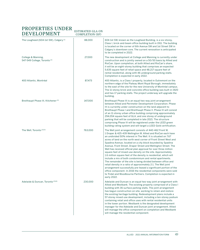## PROPERTIES UNDER DEVELOPMENT ESTIMATED GLA ON

| The Lougheed (604-1st SW), Calgary <sup>(1)</sup>             | 88,000  | 604-1st SW, known as the Lougheed Building, is a six-storey,<br>Class I, brick-and-beam office building built in 1911. The building<br>is located on the corner of 6th Avenue SW and 1st Street SW in<br>Calgary's downtown core. The current renovation is anticipated<br>to be completed in 2022.                                                                                                                                                                                                                                                                                                                                                                                                                                                                                                                                                                                                                                                                                                                    |
|---------------------------------------------------------------|---------|------------------------------------------------------------------------------------------------------------------------------------------------------------------------------------------------------------------------------------------------------------------------------------------------------------------------------------------------------------------------------------------------------------------------------------------------------------------------------------------------------------------------------------------------------------------------------------------------------------------------------------------------------------------------------------------------------------------------------------------------------------------------------------------------------------------------------------------------------------------------------------------------------------------------------------------------------------------------------------------------------------------------|
| College & Manning,<br>547-549 College, Toronto <sup>(2)</sup> | 27,000  | The new development at College and Manning is currently under<br>construction and is jointly owned on a 50/50 basis by Allied and<br>RioCan. Upon completion, at both Allied and RioCan's share,<br>it will be an eight-storey building that comprises an expected<br>5,635 square feet of retail space and 48,217 square feet of<br>rental residential, along with 46 underground parking stalls.<br>Completion is expected in early 2022.                                                                                                                                                                                                                                                                                                                                                                                                                                                                                                                                                                            |
| 400 Atlantic, Montréal                                        | 87,473  | 400 Atlantic, is a Class I property, located in Outremont on the<br>northern edge of the Plateau Mont Royal Borough, immediately<br>to the east of the site for the new University of Montréal campus.<br>The 11-storey brick-and-concrete office building was built in 1920<br>and has 17 parking stalls. The project underway will upgrade the<br>building.                                                                                                                                                                                                                                                                                                                                                                                                                                                                                                                                                                                                                                                          |
| Breithaupt Phase III, Kitchener <sup>(2)</sup>                | 147,000 | Breithaupt Phase III is an equal two-way joint arrangement<br>between Allied and Perimeter Development Corporation. Phase<br>III is currently under construction on the land adjacent to<br>Breithaupt Phase I and Breithaupt Phase II. Phase III will consist<br>of an 11-storey urban office building comprising approximately<br>294,054 square feet of GLA, and one storey of underground<br>parking that will be completed in late 2021. The structure<br>comprising Phase III will be registered under the LEED green<br>building rating system and will target a LEED Gold certification.                                                                                                                                                                                                                                                                                                                                                                                                                       |
| The Well, Toronto <sup>(2)(3)</sup>                           | 763,000 | The Well joint arrangement consists of 440-462 Front W,<br>1 Draper & 425-439 Wellington W. Allied and RioCan each have<br>an undivided 50% interest in The Well. It is situated on 7.67<br>acres of land on the north west corner of Front Street West and<br>Spadina Avenue, located on a city block bounded by Spadina<br>Avenue, Front Street, Draper Street and Wellington Street. The<br>Well has received official plan approval for over three million<br>square feet of mixed-use density on the site. Approximately<br>1.6 million square feet of the density is residential, which will<br>include a mix of both condominium and rental apartments.<br>The remainder of the site is being divided between office and<br>retail density in a ratio of approximately 2:1. The Well joint<br>arrangement successfully pre-leased a significant portion of the<br>office component. In 2016 the residential components were sold<br>to Tridel and Woodbourne Partners. Completion is expected in<br>early 2022. |
| Adelaide & Duncan, Toronto (2)(4)                             | 230,000 | Adelaide and Duncan is an equal two-way joint arrangement with<br>Allied and Westbank. The existing property comprised of a Class I<br>building with 36 surface parking stalls. The joint arrangement<br>has begun construction on site, working to retain and restore<br>the existing heritage building. Redevelopment plans include a<br>57-storey mixed-use development, including a ten-storey podium<br>containing retail and office uses with rental residential units<br>in the tower portion. Westbank is the designated development<br>manager for the Adelaide and Duncan joint arrangement. Allied<br>will manage the office component on completion and Westbank<br>will manage the residential component.                                                                                                                                                                                                                                                                                                 |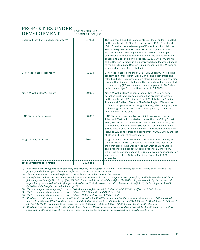### PROPERTIES UNDER ESTIMATED GLA ON ESTIMATED GLA ON

| D LI V LILIO I MILII V I                             | <b>COMPLETION</b> (SF) |                                                                                                                                                                                                                                                                                                                                                                                                                                                                                                                                                                                                                                           |
|------------------------------------------------------|------------------------|-------------------------------------------------------------------------------------------------------------------------------------------------------------------------------------------------------------------------------------------------------------------------------------------------------------------------------------------------------------------------------------------------------------------------------------------------------------------------------------------------------------------------------------------------------------------------------------------------------------------------------------------|
| Boardwalk-Revillon Building, Edmonton <sup>(5)</sup> | 297,851                | The Boardwalk Building is a four-storey Class I building located<br>on the north side of 102nd Avenue between 103rd Street and<br>104th Street at the western edge of Edmonton's financial core.<br>The property was constructed in 1908 and is joined to the<br>adjacent Revillon Building via a central atrium. The project<br>comprises a significant modernization of the shared common<br>spaces and Boardwalk office spaces. 10230-104th NW, known<br>as the Revillon Parkade, is a six-storey parkade located adjacent<br>to the Boardwalk and Revillon Buildings, containing 224 parking<br>spots and a ground floor retail unit. |
| QRC West Phase II, Toronto (6)                       | 93,134                 | QRC West Phase II consists of 375 - 381 Queen W. The existing<br>property is a three-storey, Class I, brick-and-beam office and<br>retail building. The redevelopment plans include a 7-storey office<br>tower with office and retail uses. The property will be connected<br>to the existing QRC West development completed in 2015 via a<br>pedestrian bridge. Construction started in Q4 2020.                                                                                                                                                                                                                                         |
| 422-424 Wellington W, Toronto                        | 10,000                 | 422-424 Wellington W is comprised of two 21/2-storey semi-<br>detached brick-and-beam buildings. The property is located<br>on the north side of Wellington Street West, between Spadina<br>Avenue and Portland Street. 422-424 Wellington W is adjacent<br>to Allied's properties at 485 King, 469 King, 420 Wellington, and<br>432 Wellington and KING Toronto development (to the north)<br>and The Well (to the south).                                                                                                                                                                                                               |
| KING Toronto, Toronto <sup>(2)(7)</sup>              | 100,000                | KING Toronto is an equal two-way joint arrangement with<br>Allied and Westbank. Located on the south side of King Street<br>West, west of Spadina Avenue and east of Portland Street, the<br>site provides an unparalleled 600 feet of frontage along King<br>Street West. Construction is ongoing. The re-development plans<br>includes 220 condo units and approximately 100,000 square feet<br>of office and retail at Allied's share.                                                                                                                                                                                                 |
| King & Brant, Toronto <sup>(8)</sup>                 | 130,000                | King & Brant is a brick-and-beam office and retail building in<br>the King West Central submarket. The property is located on<br>the north side of King Street West, just west of Brant Street.<br>This property is adjacent to Allied's property, 1-9 Morrison,<br>which has 25 parking spaces. In 2009, a development application<br>was approved at the Ontario Municipal Board for 130,000<br>square feet.                                                                                                                                                                                                                            |
| <b>Total Development Portfolio</b>                   | 1,973,458              |                                                                                                                                                                                                                                                                                                                                                                                                                                                                                                                                                                                                                                           |

COMPLETION (CF)

*(1) While initially working toward repositioning this property for a different use, Allied is now working toward restoring and retrofitting the property to the highest possible standards for workspace in the creative economy.* 

*(2) These properties are co-owned, reflected in the table above at Allied's ownership interest.* 

*(3) Each of Allied and RioCan own an undivided 50% interest in The Well. The GLA components (in square feet) at Allied's 50% share will be as follows: approximately 586,000 of office, 177,000 of retail and the residential air rights. The Well Air Rights were sold by the co-ownership as previously announced, with the first phase closed in Q4 2020, the second and third phases closed in Q2 2021, the fourth phase closed in Q4 2021 and the last phase closed in January 2022.*

*(4) The GLA components (in square feet) at our 50% share are as follows: 144,000 of residential, 77,000 of office and 9,000 of retail.* 

*(5) The GLA components (in square feet) are as follows: 233,559 of office and 64,292 of retail.*

*(6) The GLA components (in square feet) are as follows: 77,434 of office and 15,700 of retail.*

*(7) Allied entered into a joint arrangement with Westbank to develop KING Toronto. As part of the arrangement, Allied sold a 50% undivided interest to Westbank. KING Toronto is comprised of the following properties: 489 King W, 495 King W, 499 King W, 511-529 King W, 533 King W, 539 King W. The GLA components (in square feet) at our 50% share will be as follows: 60,000 of retail and 40,000 of office.*

*(8) Allied has received permission to intensify 544 King W and 7-9 Morrison. The approval permits approximately 120,000 square feet of office space and 10,000 square feet of retail space. Allied is exploring the opportunity to increase the permitted leasable area.*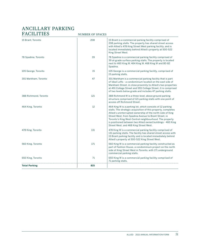## ANCILLARY PARKING FACILITIES NUMBER OF SPACES

| 301 Markham, Toronto  | 47  | 15 parking stalls.<br>301 Markham is a commercial parking facility that is part                                                                                                                                                                                                                                                                                                                                      |
|-----------------------|-----|----------------------------------------------------------------------------------------------------------------------------------------------------------------------------------------------------------------------------------------------------------------------------------------------------------------------------------------------------------------------------------------------------------------------|
|                       |     | of Ideal Lofts - a condominium located on the east side of<br>Markham Street, in close proximity to Allied's two properties<br>at 491 College Street and 555 College Street. It is comprised<br>of two levels below grade and includes 47 parking stalls.                                                                                                                                                            |
| 388 Richmond, Toronto | 121 | 388 Richmond W is a three-level, above ground parking<br>structure comprised of 121 parking stalls with one point of<br>access off Richmond Street.                                                                                                                                                                                                                                                                  |
| 464 King, Toronto     | 12  | 464 King W is a parking lot, which consists of 12 parking<br>stalls. The strategic acquisition of this property, completes<br>Allied's uninterrupted ownership of the north-side of King<br>Street West, from Spadina Avenue to Brant Street, in<br>Toronto's King West-Central neighbourhood. The property<br>is positioned between two Allied owned buildings - 460 King<br>Street West, and 468 King Street West. |
| 478 King, Toronto     | 131 | 478 King W is a commercial parking facility comprised of<br>131 parking stalls. The facility has shared street access with<br>15 Brant parking facility and is located immediately behind<br>Allied's property at 500-522 King Street West.                                                                                                                                                                          |
| 560 King, Toronto     | 171 | 560 King W is a commercial parking facility constructed as<br>part of Fashion House, a condominium project on the north<br>side of King Street West in Toronto, with 171 underground<br>commercial parking stalls.                                                                                                                                                                                                   |
| 650 King, Toronto     | 71  | 650 King W is a commercial parking facility comprised of<br>71 parking stalls.                                                                                                                                                                                                                                                                                                                                       |
| <b>Total Parking</b>  | 815 |                                                                                                                                                                                                                                                                                                                                                                                                                      |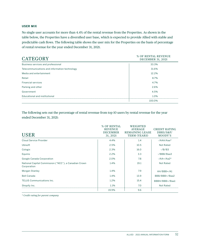### **USER MIX**

No single user accounts for more than 4.4% of the rental revenue from the Properties. As shown in the table below, the Properties have a diversified user base, which is expected to provide Allied with stable and predictable cash flows. The following table shows the user mix for the Properties on the basis of percentage of rental revenue for the year ended December 31, 2021.

| <b>CATEGORY</b>                               | % OF RENTAL REVENUE<br><b>DECEMBER 31, 2021</b> |
|-----------------------------------------------|-------------------------------------------------|
| Business services and professional            | 33.3%                                           |
| Telecommunications and information technology | 31.6%                                           |
| Media and entertainment                       | 12.2%                                           |
| Retail                                        | 8.7%                                            |
| <b>Financial services</b>                     | 4.7%                                            |
| Parking and other                             | 2.6%                                            |
| Government                                    | 4.5%                                            |
| Educational and institutional                 | 1.0%                                            |
|                                               | 100.0%                                          |

The following sets out the percentage of rental revenue from top 10 users by rental revenue for the year ended December 31, 2021:

| <b>USER</b>                                                          | % OF RENTAL<br><b>REVENUE</b><br><b>DECEMBER</b><br>31, 2021 | WEIGHTED<br><b>AVERAGE</b><br><b>REMAINING LEASE</b><br><b>TERM (YEARS)</b> | <b>CREDIT RATING</b><br>DBRS/S&P/<br>MOODY'S |
|----------------------------------------------------------------------|--------------------------------------------------------------|-----------------------------------------------------------------------------|----------------------------------------------|
| Cloud Service Provider                                               | 4.4%                                                         | 1.4                                                                         | $-AAA/Aaa*$                                  |
| <b>Ubisoft</b>                                                       | 2.5%                                                         | 10.5                                                                        | Not Rated                                    |
| Cologix                                                              | 2.3%                                                         | 16.0                                                                        | $-$ /B/B3                                    |
| Equinix                                                              | 2.2%                                                         | 3.3                                                                         | -/BBB/Baa3                                   |
| Google Canada Corporation                                            | 2.0%                                                         | 7.8                                                                         | $-$ /AA+/Aa2*                                |
| National Capital Commission ("NCC"), a Canadian Crown<br>Corporation | 1.4%                                                         | 19.1                                                                        | Not Rated                                    |
| Morgan Stanley                                                       | 1.4%                                                         | 7.9                                                                         | AH/BBB+/A1                                   |
| <b>Bell Canada</b>                                                   | 1.4%                                                         | 13.9                                                                        | BBB/BBB+/Baa2                                |
| <b>TELUS Communications Inc.</b>                                     | 1.2%                                                         | 15.4                                                                        | BBBH/BBB+/Baa1                               |
| Shopify Inc.                                                         | 1.1%                                                         | 7.0                                                                         | Not Rated                                    |
|                                                                      | 19.9%                                                        | 9.6                                                                         |                                              |

*\* Credit rating for parent company*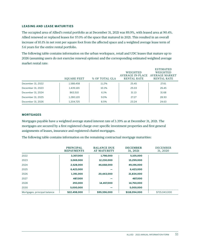#### **LEASING AND LEASE MATURITIES**

The occupied area of Allied's rental portfolio as at December 31, 2021 was 89.9%, with leased area at 90.4%. Allied renewed or replaced leases for 57.0% of the space that matured in 2021. This resulted in an overall increase of 10.1% in net rent per square foot from the affected space and a weighted average lease term of 5.6 years for the entire rental portfolio.

The following table contains information on the urban workspace, retail and UDC leases that mature up to 2026 (assuming users do not exercise renewal options) and the corresponding estimated weighted average market rental rate:

|                   |                    |                |                    | <b>ESTIMATED</b>      |
|-------------------|--------------------|----------------|--------------------|-----------------------|
|                   |                    |                | <b>WEIGHTED</b>    | WEIGHTED              |
|                   |                    |                | AVERAGE IN-PLACE   | <b>AVERAGE MARKET</b> |
|                   | <b>SOUARE FEET</b> | % OF TOTAL GLA | <b>RENTAL RATE</b> | <b>RENTAL RATE</b>    |
| December 31, 2022 | 1,588,458          | 11.2%          | 25.45              | 27.61                 |
| December 31, 2023 | 1.439.165          | 10.1%          | 25.03              | 26.45                 |
| December 31, 2024 | 863.510            | 6.1%           | 31.13              | 31.68                 |
| December 31, 2025 | 1.280.120          | $9.0\%$        | 27.27              | 28.93                 |
| December 31, 2026 | 1.204.725          | 8.5%           | 23.24              | 24.63                 |

#### **MORTGAGES**

Mortgages payable have a weighted average stated interest rate of 3.39% as at December 31, 2021. The mortgages are secured by a first registered charge over specific investment properties and first general assignments of leases, insurance and registered chattel mortgages.

The following table contains information on the remaining contractual mortgage maturities:

|                              | <b>PRINCIPAL</b><br><b>REPAYMENTS</b> | <b>BALANCE DUE</b><br><b>AT MATURITY</b> | <b>DECEMBER</b><br>31, 2021 | <b>DECEMBER</b><br>31, 2020 |
|------------------------------|---------------------------------------|------------------------------------------|-----------------------------|-----------------------------|
| 2022                         | 3,307,000                             | 1,798,000                                | 5,105,000                   |                             |
| 2023                         | 3,069,000                             | 12,230,000                               | 15,299,000                  |                             |
| 2024                         | 2,528,000                             | 46,668,000                               | 49,196,000                  |                             |
| 2025                         | 6,423,000                             |                                          | 6,423,000                   |                             |
| 2026                         | 1,391,000                             | 20.443.000                               | 21,834,000                  |                             |
| 2027                         | 487.000                               |                                          | 487,000                     |                             |
| 2028                         | 293,000                               | 14,457,000                               | 14,750,000                  |                             |
| 2030                         | 5,000,000                             |                                          | 5,000,000                   |                             |
| Mortgages, principal balance | \$22,498,000                          | \$95,596,000                             | \$118,094,000               | \$715,043,000               |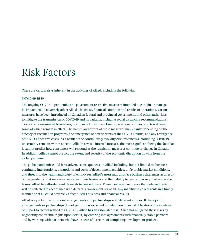# Risk Factors

There are certain risks inherent in the activities of Allied, including the following.

### **COVID-19 RISK**

The ongoing COVID-19 pandemic, and government restrictive measures intended to contain or manage its impact, could adversely affect Allied's business, financial condition and results of operations. Various measures have been introduced by Canadian federal and provincial governments and other authorities to mitigate the transmission of COVID-19 and its variants, including social distancing recommendations, closure of non-essential businesses, occupancy limits in enclosed spaces, quarantines, and travel bans, some of which remain in effect. The nature and extent of these measures may change depending on the efficacy of vaccination programs, the emergence of new variants of the COVID-19 virus, and any resurgence of COVID-19 positive cases. As a result of the continuously evolving circumstances surrounding COVID-19, uncertainty remains with respect to Allied's revised internal forecast, the most significant being the fact that it cannot predict how consumers will respond as the restriction measures continue or change in Canada. In addition, Allied cannot predict the extent and severity of the economic disruption flowing from the global pandemic.

The global pandemic could have adverse consequences on Allied including, but not limited to, business continuity interruptions, disruptions and costs of development activities, unfavorable market conditions, and threats to the health and safety of employees. Allied's users may also face business challenges as a result of the pandemic that may adversely affect their business and their ability to pay rent as required under the leases. Allied has afforded rent deferrals to certain users. There can be no assurance that deferred rents will be collected in accordance with deferral arrangements or at all. Any inability to collect rents in a timely manner or at all could adversely affect Allied's business and financial results.

Allied is a party to various joint arrangements and partnerships with different entities. If these joint arrangements or partnerships do not perform as expected or default on financial obligations due in whole or in part to factors related to COVID-19, Allied has an associated risk. Allied has mitigated these risks by negotiating contractual rights upon default, by entering into agreements with financially stable partners and by working with partners who have a successful record of completing development projects.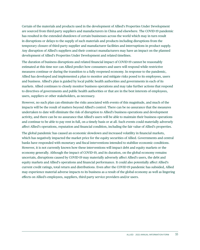Certain of the materials and products used in the development of Allied's Properties Under Development are sourced from third-party suppliers and manufacturers in China and elsewhere. The COVID-19 pandemic has resulted in the extended shutdown of certain businesses across the world which may in turn result in disruptions or delays to the supply of such materials and products including disruptions from the temporary closure of third-party supplier and manufacturer facilities and interruptions in product supply. Any disruption of Allied's suppliers and their contract manufacturers may have an impact on the planned development of Allied's Properties Under Development and related timelines.

The duration of business disruptions and related financial impact of COVID-19 cannot be reasonably estimated at this time nor can Allied predict how consumers and users will respond while restrictive measures continue or during the transition to a fully reopened economy. In response to the pandemic, Allied has developed and implemented a plan to monitor and mitigate risks posed to its employees, users and business. Allied's plan is guided by local public health authorities and governments in each of its markets. Allied continues to closely monitor business operations and may take further actions that respond to directives of governments and public health authorities or that are in the best interests of employees, users, suppliers or other stakeholders, as necessary.

However, no such plan can eliminate the risks associated with events of this magnitude, and much of the impacts will be the result of matters beyond Allied's control. There can be no assurance that the measures undertaken to date will eliminate the risk of disruption to Allied's business operations and development activity, and there can be no assurance that Allied's users will be able to maintain their business operations and continue to be able to pay rent in full, on a timely basis or at all. Such events could materially adversely affect Allied's operations, reputation and financial condition, including the fair value of Allied's properties.

The global pandemic has caused an economic slowdown and increased volatility in financial markets, which has negatively impacted the market price for the equity securities of Allied. Governments and central banks have responded with monetary and fiscal interventions intended to stabilize economic conditions. However, it is not currently known how these interventions will impact debt and equity markets or the economy generally. Although the impact of COVID-19, and its duration, on the global economy remains uncertain, disruptions caused by COVID-19 may materially adversely affect Allied's users, the debt and equity markets and Allied's operations and financial performance. It could also potentially affect Allied's current credit ratings, total return and distributions. Even after the COVID-19 pandemic has subsided, Allied may experience material adverse impacts to its business as a result of the global economy as well as lingering effects on Allied's employees, suppliers, third-party service providers and/or users.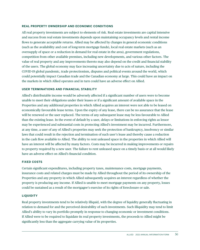#### **REAL PROPERTY OWNERSHIP AND ECONOMIC CONDITIONS**

All real property investments are subject to elements of risk. Real estate investments are capital intensive and success from real estate investments depends upon maintaining occupancy levels and rental income flows to generate acceptable returns. Allied may be affected by changes in general economic conditions (such as the availability and cost of long-term mortgage funds), local real estate markets (such as an oversupply of space or a reduction in demand for real estate in the area), government regulations, competition from other available premises, including new developments, and various other factors. The value of real property and any improvements thereto may also depend on the credit and financial stability of the users. The global economy may face increasing uncertainty due to acts of nature, including the COVID-19 global pandemic, trade protectionism, disputes and political events around the world, which could potentially impact Canadian trade and the Canadian economy at large. This could have an impact on the markets in which Allied operates and in turn could have an adverse effect on Allied.

#### **USER TERMINATIONS AND FINANCIAL STABILITY**

Allied's distributable income would be adversely affected if a significant number of users were to become unable to meet their obligations under their leases or if a significant amount of available space in the Properties and any additional properties in which Allied acquires an interest were not able to be leased on economically favourable lease terms. Upon the expiry of any lease, there can be no assurance that the lease will be renewed or the user replaced. The terms of any subsequent lease may be less favourable to Allied than the existing lease. In the event of default by a user, delays or limitations in enforcing rights as lessor may be experienced and substantial costs in protecting Allied's investment may be incurred. Furthermore, at any time, a user of any of Allied's properties may seek the protection of bankruptcy, insolvency or similar laws that could result in the rejection and termination of such user's lease and thereby cause a reduction in the cash flow available to Allied. The ability to rent unleased space in the properties in which Allied will have an interest will be affected by many factors. Costs may be incurred in making improvements or repairs to property required by a new user. The failure to rent unleased space on a timely basis or at all would likely have an adverse effect on Allied's financial condition.

#### **FIXED COSTS**

Certain significant expenditures, including property taxes, maintenance costs, mortgage payments, insurance costs and related charges must be made by Allied throughout the period of its ownership of the Properties and any property in which Allied subsequently acquires an interest regardless of whether the property is producing any income. If Allied is unable to meet mortgage payments on any property, losses could be sustained as a result of the mortgagee's exercise of its rights of foreclosure or sale.

#### **LIQUIDITY**

Real property investments tend to be relatively illiquid, with the degree of liquidity generally fluctuating in relation to demand for and the perceived desirability of such investments. Such illiquidity may tend to limit Allied's ability to vary its portfolio promptly in response to changing economic or investment conditions. If Allied were to be required to liquidate its real property investments, the proceeds to Allied might be significantly less than the aggregate carrying value of its properties.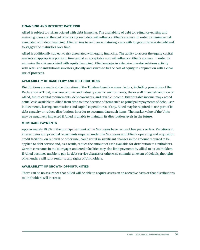#### **FINANCING AND INTEREST RATE RISK**

Allied is subject to risk associated with debt financing. The availability of debt to re-finance existing and maturing loans and the cost of servicing such debt will influence Allied's success. In order to minimize risk associated with debt financing, Allied strives to re-finance maturing loans with long-term fixed-rate debt and to stagger the maturities over time.

Allied is additionally subject to risk associated with equity financing. The ability to access the equity capital markets at appropriate points in time and at an acceptable cost will influence Allied's success. In order to minimize the risk associated with equity financing, Allied engages in extensive investor relations activity with retail and institutional investors globally and strives to fix the cost of equity in conjunction with a clear use of proceeds.

#### **AVAILABILITY OF CASH FLOW AND DISTRIBUTIONS**

Distributions are made at the discretion of the Trustees based on many factors, including provisions of the Declaration of Trust, macro-economic and industry specific environments, the overall financial condition of Allied, future capital requirements, debt covenants, and taxable income. Distributable income may exceed actual cash available to Allied from time to time because of items such as principal repayments of debt, user inducements, leasing commissions and capital expenditures, if any. Allied may be required to use part of its debt capacity or reduce distributions in order to accommodate such items. The market value of the Units may be negatively impacted if Allied is unable to maintain its distribution levels in the future.

#### **MORTGAGE PAYMENTS**

Approximately 76.8% of the principal amount of the Mortgages have terms of five years or less. Variations in interest rates and principal repayments required under the Mortgages and Allied's operating and acquisition credit facilities, on renewal or otherwise, could result in significant changes in the amount required to be applied to debt service and, as a result, reduce the amount of cash available for distribution to Unitholders. Certain covenants in the Mortgages and credit facilities may also limit payments by Allied to its Unitholders. If Allied becomes unable to pay its debt service charges or otherwise commits an event of default, the rights of its lenders will rank senior to any rights of Unitholders.

#### **AVAILABILITY OF GROWTH OPPORTUNITIES**

There can be no assurance that Allied will be able to acquire assets on an accretive basis or that distributions to Unitholders will increase.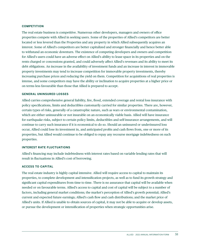#### **COMPETITION**

The real estate business is competitive. Numerous other developers, managers and owners of office properties compete with Allied in seeking users. Some of the properties of Allied's competitors are better located or less levered than the Properties and any property in which Allied subsequently acquires an interest. Some of Allied's competitors are better capitalized and stronger financially and hence better able to withstand an economic downturn. The existence of competing developers and owners and competition for Allied's users could have an adverse effect on Allied's ability to lease space in its properties and on the rents charged or concessions granted, and could adversely affect Allied's revenues and its ability to meet its debt obligations. An increase in the availability of investment funds and an increase in interest in immovable property investments may tend to increase competition for immovable property investments, thereby increasing purchase prices and reducing the yield on them. Competition for acquisitions of real properties is intense, and some competitors may have the ability or inclination to acquire properties at a higher price or on terms less favourable than those that Allied is prepared to accept.

#### **GENERAL UNINSURED LOSSES**

Allied carries comprehensive general liability, fire, flood, extended coverage and rental loss insurance with policy specifications, limits and deductibles customarily carried for similar properties. There are, however, certain types of risks, generally of a catastrophic nature, such as wars or environmental contamination, which are either uninsurable or not insurable on an economically viable basis. Allied will have insurance for earthquake risks, subject to certain policy limits, deductibles and self-insurance arrangements, and will continue to carry such insurance if it is economical to do so. Should an uninsured or underinsured loss occur, Allied could lose its investment in, and anticipated profits and cash flows from, one or more of its properties, but Allied would continue to be obliged to repay any recourse mortgage indebtedness on such properties.

#### **INTEREST RATE FLUCTUATIONS**

Allied's financing may include indebtedness with interest rates based on variable lending rates that will result in fluctuations in Allied's cost of borrowing.

#### **ACCESS TO CAPITAL**

The real estate industry is highly capital intensive. Allied will require access to capital to maintain its properties, to complete development and intensification projects, as well as to fund its growth strategy and significant capital expenditures from time to time. There is no assurance that capital will be available when needed or on favourable terms. Allied's access to capital and cost of capital will be subject to a number of factors, including general market conditions; the market's perception of Allied's growth potential; Allied's current and expected future earnings; Allied's cash flow and cash distributions; and the market price of Allied's units. If Allied is unable to obtain sources of capital, it may not be able to acquire or develop assets, or pursue the development or intensification of properties when strategic opportunities arise.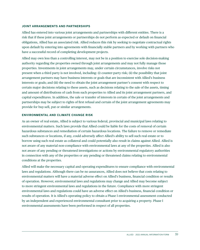#### **JOINT ARRANGEMENTS AND PARTNERSHIPS**

Allied has entered into various joint arrangements and partnerships with different entities. There is a risk that if these joint arrangements or partnerships do not perform as expected or default on financial obligations, Allied has an associated risk. Allied reduces this risk by seeking to negotiate contractual rights upon default by entering into agreements with financially stable partners and by working with partners who have a successful record of completing development projects.

Allied may own less than a controlling interest, may not be in a position to exercise sole decision-making authority regarding the properties owned through joint arrangements and may not fully manage those properties. Investments in joint arrangements may, under certain circumstances, involve risks not present when a third party is not involved, including: (i) counter-party risk; (ii) the possibility that joint arrangement partners may have business interests or goals that are inconsistent with Allied's business interests or goals; and (iii) the need to obtain the joint arrangement partner's consent with respect to certain major decisions relating to these assets, such as decisions relating to the sale of the assets, timing and amount of distributions of cash from such properties to Allied and its joint arrangement partners, and capital expenditures. In addition, the sale or transfer of interests in certain of the joint arrangements and partnerships may be subject to rights of first refusal and certain of the joint arrangement agreements may provide for buy-sell, put or similar arrangements.

#### **ENVIRONMENTAL AND CLIMATE CHANGE RISK**

As an owner of real estate, Allied is subject to various federal, provincial and municipal laws relating to environmental matters. Such laws provide that Allied could be liable for the costs of removal of certain hazardous substances and remediation of certain hazardous locations. The failure to remove or remediate such substances or locations, if any, could adversely affect Allied's ability to sell such real estate or to borrow using such real estate as collateral and could potentially also result in claims against Allied. Allied is not aware of any material non-compliance with environmental laws at any of the properties. Allied is also not aware of any pending or threatened investigations or actions by environmental regulatory authorities in connection with any of the properties or any pending or threatened claims relating to environmental conditions at the properties.

Allied will make the necessary capital and operating expenditures to ensure compliance with environmental laws and regulations. Although there can be no assurances, Allied does not believe that costs relating to environmental matters will have a material adverse effect on Allied's business, financial condition or results of operation. However, environmental laws and regulations may change and Allied may become subject to more stringent environmental laws and regulations in the future. Compliance with more stringent environmental laws and regulations could have an adverse effect on Allied's business, financial condition or results of operation. It is Allied's operating policy to obtain a Phase I environmental assessment conducted by an independent and experienced environmental consultant prior to acquiring a property. Phase I environmental assessments have been performed in respect of all properties.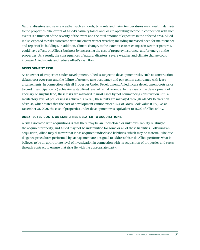Natural disasters and severe weather such as floods, blizzards and rising temperatures may result in damage to the properties. The extent of Allied's casualty losses and loss in operating income in connection with such events is a function of the severity of the event and the total amount of exposure in the affected area. Allied is also exposed to risks associated with inclement winter weather, including increased need for maintenance and repair of its buildings. In addition, climate change, to the extent it causes changes in weather patterns, could have effects on Allied's business by increasing the cost of property insurance, and/or energy at the properties. As a result, the consequences of natural disasters, severe weather and climate change could increase Allied's costs and reduce Allied's cash flow.

#### **DEVELOPMENT RISK**

As an owner of Properties Under Development, Allied is subject to development risks, such as construction delays, cost over-runs and the failure of users to take occupancy and pay rent in accordance with lease arrangements. In connection with all Properties Under Development, Allied incurs development costs prior to (and in anticipation of) achieving a stabilized level of rental revenue. In the case of the development of ancillary or surplus land, these risks are managed in most cases by not commencing construction until a satisfactory level of pre-leasing is achieved. Overall, these risks are managed through Allied's Declaration of Trust, which states that the cost of development cannot exceed 15% of Gross Book Value (GBV). As at December 31, 2021, the cost of properties under development was equivalent to 11.2% of Allied's GBV.

#### **UNEXPECTED COSTS OR LIABILITIES RELATED TO ACQUISITIONS**

A risk associated with acquisitions is that there may be an undisclosed or unknown liability relating to the acquired property, and Allied may not be indemnified for some or all of these liabilities. Following an acquisition, Allied may discover that it has acquired undisclosed liabilities, which may be material. The due diligence procedures performed by Management are designed to address this risk. Allied performs what it believes to be an appropriate level of investigation in connection with its acquisition of properties and seeks through contract to ensure that risks lie with the appropriate party.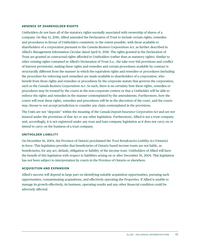#### **ABSENCE OF SHAREHOLDER RIGHTS**

Unitholders do not have all of the statutory rights normally associated with ownership of shares of a company. On May 12, 2016, Allied amended the Declaration of Trust to include certain rights, remedies and procedures in favour of Unitholders consistent, to the extent possible, with those available to shareholders of a corporation pursuant to the *Canada Business Corporations Act*, as further described in Allied's Management Information Circular dated April 11, 2016. The rights granted in the Declaration of Trust are granted as contractual rights afforded to Unitholders (rather than as statutory rights). Similar to other existing rights contained in Allied's Declaration of Trust (i.e., the take-over bid provisions and conflict of interest provisions), making these rights and remedies and certain procedures available by contract is structurally different from the manner in which the equivalent rights and remedies or procedures (including the procedure for enforcing such remedies) are made available to shareholders of a corporation, who benefit from those rights and remedies or procedures by the corporate statute that governs the corporation, such as the *Canada Business Corporations Act*. As such, there is no certainty how these rights, remedies or procedures may be treated by the courts in the non-corporate context or that a Unitholder will be able to enforce the rights and remedies in the manner contemplated by the amendments. Furthermore, how the courts will treat these rights, remedies and procedures will be in the discretion of the court, and the courts may choose to not accept jurisdiction to consider any claim contemplated in the provisions.

The Units are not "deposits" within the meaning of the *Canada Deposit Insurance Corporation Act* and are not insured under the provisions of that Act or any other legislation. Furthermore, Allied is not a trust company and, accordingly, it is not registered under any trust and loan company legislation as it does not carry on or intend to carry on the business of a trust company.

#### **UNITHOLDER LIABILITY**

On December 16, 2004, the Province of Ontario proclaimed the *Trust Beneficiaries Liability Act* (Ontario) in force. This legislation provides that beneficiaries of Ontario based income trusts are not liable, as beneficiaries, for any act, default, obligation or liability of the income trust. Unitholders of Allied will have the benefit of this legislation with respect to liabilities arising on or after December 16, 2004. This legislation has not been subject to interpretation by courts in the Province of Ontario or elsewhere.

#### **ACQUISITION AND EXPANSION**

Allied's success will depend in large part on identifying suitable acquisition opportunities, pursuing such opportunities, consummating acquisitions, and effectively operating the Properties. If Allied is unable to manage its growth effectively, its business, operating results and any other financial condition could be adversely affected.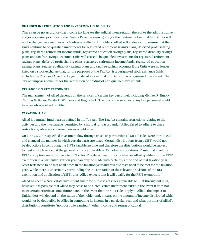#### **CHANGES IN LEGISLATION AND INVESTMENT ELIGIBILITY**

There can be no assurance that income tax laws (or the judicial interpretation thereof or the administrative and/or accessing practices of the Canada Revenue Agency) and/or the treatment of mutual fund trusts will not be changed in a manner which adversely affects Unitholders. Allied will endeavour to ensure that the Units continue to be qualified investments for registered retirement savings plans, deferred profit sharing plans, registered retirement income funds, registered education savings plans, registered disability savings plans and tax-free savings accounts. Units will cease to be qualified investments for registered retirement savings plans, deferred profit sharing plans, registered retirement income funds, registered education savings plans, registered disability savings plans and tax-free savings accounts if the Units were no longer listed on a stock exchange that, for the purposes of the Tax Act, is a designated stock exchange (which includes the TSX) and Allied no longer qualified as a mutual fund trust or as a registered investment. The Tax Act imposes penalties for the acquisition or holding of non-qualified investments.

#### **RELIANCE ON KEY PERSONNEL**

The management of Allied depends on the services of certain key personnel, including Michael R. Emory, Thomas G. Burns, Cecilia C. Williams and Hugh Clark. The loss of the services of any key personnel could have an adverse effect on Allied.

#### **TAXATION RISK**

Allied is a mutual fund trust as defined in the Tax Act. The Tax Act contains restrictions relating to the activities and the investments permitted by a mutual fund trust and, if Allied failed to adhere to these restrictions, adverse tax consequences would arise.

On June 22, 2007, specified investment flow through trusts or partnerships ("SIFT") rules were introduced and changed the manner in which certain trusts are taxed. Certain distributions from a SIFT would not be deductible in computing the SIFT's taxable income and therefore the distributions would be subject to trust entity level tax, at the general tax rate applicable to Canadian corporations. Trusts that meet the REIT exemption are not subject to SIFT rules. The determination as to whether Allied qualifies for the REIT exemption in a particular taxation year can only be made with certainty at the end of that taxation year. Asset tests need to be met at all times in the taxation year and revenue tests need to be met for the taxation year. While there is uncertainty surrounding the interpretation of the relevant provisions of the REIT exemption and application of SIFT rules, Allied expects that it will qualify for the REIT exemption.

Allied has been a "real estate investment trust" for purposes of rules applicable to SIFT throughout 2021; however, it is possible that Allied may cease to be a "real estate investment trust" in the event it does not meet certain criteria at some future date. In the event that the SIFT rules apply to Allied, the impact to Unitholders will depend on the status of the holder and, in part, on the amount of income distributed which would not be deductible by Allied in computing its income in a particular year and what portions of Allied's distributions constitute "non-portfolio earnings", other income and return of capital.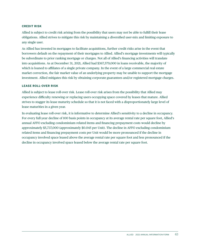#### **CREDIT RISK**

Allied is subject to credit risk arising from the possibility that users may not be able to fulfill their lease obligations. Allied strives to mitigate this risk by maintaining a diversified user-mix and limiting exposure to any single user.

As Allied has invested in mortgages to facilitate acquisitions, further credit risks arise in the event that borrowers default on the repayment of their mortgages to Allied. Allied's mortgage investments will typically be subordinate to prior ranking mortgage or charges. Not all of Allied's financing activities will translate into acquisitions. As at December 31, 2021, Allied had \$367,579,000 in loans receivable, the majority of which is loaned to affiliates of a single private company. In the event of a large commercial real estate market correction, the fair market value of an underlying property may be unable to support the mortgage investment. Allied mitigates this risk by obtaining corporate guarantees and/or registered mortgage charges.

#### **LEASE ROLL-OVER RISK**

Allied is subject to lease roll-over risk. Lease roll-over risk arises from the possibility that Allied may experience difficulty renewing or replacing users occupying space covered by leases that mature. Allied strives to stagger its lease maturity schedule so that it is not faced with a disproportionately large level of lease maturities in a given year.

In evaluating lease roll-over risk, it is informative to determine Allied's sensitivity to a decline in occupancy. For every full-year decline of 100 basis points in occupancy at its average rental rate per square foot, Allied's annual AFFO excluding condominium related items and financing prepayment costs would decline by approximately \$5,737,000 (approximately \$0.045 per Unit). The decline in AFFO excluding condominium related items and financing prepayment costs per Unit would be more pronounced if the decline in occupancy involved space leased above the average rental rate per square foot and less pronounced if the decline in occupancy involved space leased below the average rental rate per square foot.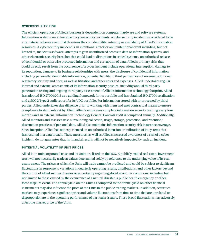#### **CYBERSECURITY RISK**

The efficient operation of Allied's business is dependent on computer hardware and software systems. Information systems are vulnerable to cybersecurity incidents. A cybersecurity incident is considered to be any material adverse event that threatens the confidentiality, integrity or availability of Allied's information resources. A cybersecurity incident is an intentional attack or an unintentional event including, but not limited to, malicious software, attempts to gain unauthorized access to data or information systems, and other electronic security breaches that could lead to disruptions in critical systems, unauthorized release of confidential or otherwise protected information and corruption of data. Allied's primary risks that could directly result from the occurrence of a cyber incident include operational interruption, damage to its reputation, damage to its business relationships with users, the disclosure of confidential information including personally identifiable information, potential liability to third parties, loss of revenue, additional regulatory scrutiny and fines, as well as litigation and other costs and expenses. Allied undertakes regular internal and external assessments of its information security posture, including annual third-party penetration testing and ongoing third-party assessment of Allied's information technology footprint. Allied has adopted ISO 27001:2013 as a guiding framework for its portfolio and has obtained ISO 27001 certification and a SOC 2 Type 2 audit report for its UDC portfolio. For information stored with or processed by third parties, Allied undertakes due diligence prior to working with them and uses contractual means to ensure compliance to standards set by Allied. Allied's employees complete information security training every four months and an external Information Technology General Controls audit is completed annually. Additionally, Allied monitors and assesses risks surrounding collection, usage, storage, protection, and retention/ destruction practices of personal data. Allied also maintains information security risk insurance coverage. Since inception, Allied has not experienced an unauthorized intrusion or infiltration of its systems that has resulted in a data breach. These measures, as well as Allied's increased awareness of a risk of a cyber incident, do not guarantee that its financial results will not be negatively impacted by such an incident.

#### **POTENTIAL VOLATILITY OF UNIT PRICES**

Allied is an unincorporated trust and its Units are listed on the TSX. A publicly-traded real estate investment trust will not necessarily trade at values determined solely by reference to the underlying value of its real estate assets. The prices at which the Units will trade cannot be predicted and could be subject to significant fluctuations in response to variations in quarterly operating results, distributions, and other factors beyond the control of Allied such as changes or uncertainty regarding global economic conditions, including but not limited to those caused by the occurrence of a natural disaster, a public health emergency or other force majeure event. The annual yield on the Units as compared to the annual yield on other financial instruments may also influence the price of the Units in the public trading markets. In addition, securities markets may experience significant price and volume fluctuations from time to time that are unrelated or disproportionate to the operating performance of particular issuers. These broad fluctuations may adversely affect the market price of the Units.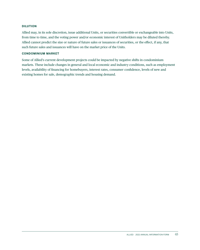#### **DILUTION**

Allied may, in its sole discretion, issue additional Units, or securities convertible or exchangeable into Units, from time to time, and the voting power and/or economic interest of Unitholders may be diluted thereby. Allied cannot predict the size or nature of future sales or issuances of securities, or the effect, if any, that such future sales and issuances will have on the market price of the Units.

#### **CONDOMINIUM MARKET**

Some of Allied's current development projects could be impacted by negative shifts in condominium markets. These include changes in general and local economic and industry conditions, such as employment levels, availability of financing for homebuyers, interest rates, consumer confidence, levels of new and existing homes for sale, demographic trends and housing demand.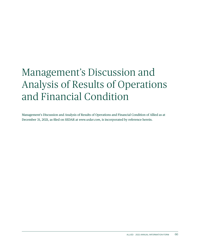# Management's Discussion and Analysis of Results of Operations and Financial Condition

Management's Discussion and Analysis of Results of Operations and Financial Condition of Allied as at December 31, 2021, as filed on SEDAR at *www.sedar.com*, is incorporated by reference herein.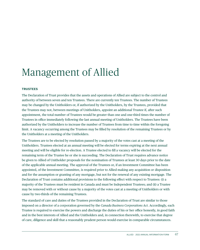# Management of Allied

#### **TRUSTEES**

The Declaration of Trust provides that the assets and operations of Allied are subject to the control and authority of between seven and ten Trustees. There are currently ten Trustees. The number of Trustees may be changed by the Unitholders or, if authorized by the Unitholders, by the Trustees, provided that the Trustees may not, between meetings of Unitholders, appoint an additional Trustee if, after such appointment, the total number of Trustees would be greater than one and one-third times the number of Trustees in office immediately following the last annual meeting of Unitholders. The Trustees have been authorized by the Unitholders to increase the number of Trustees from time to time within the foregoing limit. A vacancy occurring among the Trustees may be filled by resolution of the remaining Trustees or by the Unitholders at a meeting of the Unitholders.

The Trustees are to be elected by resolution passed by a majority of the votes cast at a meeting of the Unitholders. Trustees elected at an annual meeting will be elected for terms expiring at the next annual meeting and will be eligible for re-election. A Trustee elected to fill a vacancy will be elected for the remaining term of the Trustee he or she is succeeding. The Declaration of Trust requires advance notice be given to Allied of Unitholder proposals for the nomination of Trustees at least 30 days prior to the date of the applicable annual meeting. The approval of the Trustees or, if an Investment Committee has been appointed, of the Investment Committee, is required prior to Allied making any acquisition or disposition and for the assumption or granting of any mortgage, but not for the renewal of any existing mortgage. The Declaration of Trust contains additional provisions to the following effect with respect to Trustees: (i) a majority of the Trustees must be resident in Canada and must be Independent Trustees; and (ii) a Trustee may be removed with or without cause by a majority of the votes cast at a meeting of Unitholders or with cause by two-thirds of the remaining Trustees.

The standard of care and duties of the Trustees provided in the Declaration of Trust are similar to those imposed on a director of a corporation governed by the *Canada Business Corporations Act*. Accordingly, each Trustee is required to exercise the powers and discharge the duties of his or her office honestly, in good faith and in the best interests of Allied and the Unitholders and, in connection therewith, to exercise that degree of care, diligence and skill that a reasonably prudent person would exercise in comparable circumstances.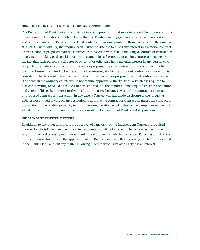#### **CONFLICT OF INTEREST RESTRICTIONS AND PROVISIONS**

The Declaration of Trust contains "conflict of interest" provisions that serve to protect Unitholders without creating undue limitations on Allied. Given that the Trustees are engaged in a wide range of real estate and other activities, the Declaration of Trust contains provisions, similar to those contained in the *Canada Business Corporations Act*, that require each Trustee to disclose to Allied any interest in a material contract or transaction or proposed material contract or transaction with Allied (including a contract or transaction involving the making or disposition of any investment in real property or a joint venture arrangement) or the fact that such person is a director or officer of or otherwise has a material interest in any person who is a party to a material contract or transaction or proposed material contract or transaction with Allied. Such disclosure is required to be made at the first meeting at which a proposed contract or transaction is considered. In the event that a material contract or transaction or proposed material contract or transaction is one that in the ordinary course would not require approval by the Trustees, a Trustee is required to disclose in writing to Allied or request to have entered into the minutes of meetings of Trustees the nature and extent of his or her interest forthwith after the Trustee becomes aware of the contract or transaction or proposed contract or transaction. In any case, a Trustee who has made disclosure to the foregoing effect is not entitled to vote on any resolution to approve the contract or transaction unless the contract or transaction is one relating primarily to his or her remuneration as a Trustee, officer, employee or agent of Allied or one for indemnity under the provisions of the Declaration of Trust or liability insurance.

#### **INDEPENDENT TRUSTEE MATTERS**

In addition to any other approvals, the approval of a majority of the Independent Trustees is required in order for the following matters involving a potential conflict of interest to become effective: (i) the acquisition of real property or an investment in real property in which any Related Party has any direct or indirect interest; (ii) to waive the application of the Rights Plan to any flip-in event (as such term is defined in the Rights Plan); and (iii) any matter involving Allied in which a Related Party has an interest.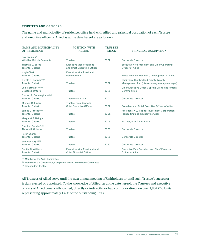#### **TRUSTEES AND OFFICERS**

The name and municipality of residence, office held with Allied and principal occupation of each Trustee and executive officer of Allied as at the date hereof are as follows:

| <b>NAME AND MUNICIPALITY</b><br>OF RESIDENCE        | <b>POSITION WITH</b><br><b>ALLIED</b>                                 | <b>TRUSTEE</b><br><b>SINCE</b> | PRINCIPAL OCCUPATION                                                                 |
|-----------------------------------------------------|-----------------------------------------------------------------------|--------------------------------|--------------------------------------------------------------------------------------|
| Kav Brekken (1)(2)(3)<br>Whistler, British Columbia | Trustee                                                               | 2021                           | <b>Corporate Director</b>                                                            |
| Thomas G. Burns<br>Toronto, Ontario                 | <b>Executive Vice President</b><br>and Chief Operating Officer        |                                | <b>Executive Vice President and Chief Operating</b><br>Officer of Allied             |
| Hugh Clark<br>Toronto, Ontario                      | <b>Executive Vice President.</b><br>Development                       |                                | Executive Vice President, Development of Allied                                      |
| Gerald R. Connor (1)(3)<br>Toronto, Ontario         | Trustee                                                               | 2002                           | Chairman, Cumberland Private Wealth<br>Management Inc. (discretionary money manager) |
| Lois Cormack $(1)(2)(3)$<br>Bradford, Ontario       | Trustee                                                               | 2018                           | Chief Executive Officer, Spring Living Retirement<br>Communities                     |
| Gordon R. Cunningham (2)(3)<br>Toronto, Ontario     | Trustee and Chair                                                     | 2002                           | Corporate Director                                                                   |
| Michael R. Emory<br>Toronto, Ontario                | Trustee. President and<br><b>Chief Executive Officer</b>              | 2002                           | President and Chief Executive Officer of Allied                                      |
| James Griffiths (1)(3)<br>Toronto, Ontario          | Trustee                                                               | 2006                           | President, KLC Capital Investment Corporation<br>(consulting and advisory services)  |
| Margaret T. Nelligan<br>Toronto, Ontario            | Trustee                                                               | 2015                           | Partner, Aird & Berlis LLP                                                           |
| Stephen Sender (1)(3)<br>Thornhill, Ontario         | Trustee                                                               | 2020                           | Corporate Director                                                                   |
| Peter Sharpe (2)(3)<br>Toronto, Ontario             | Trustee                                                               | 2012                           | Corporate Director                                                                   |
| Jennifer Tory (2)(3)<br>Toronto, Ontario            | Trustee                                                               | 2020                           | Corporate Director                                                                   |
| Cecilia C. Williams<br>Toronto, Ontario             | <b>Executive Vice President and</b><br><b>Chief Financial Officer</b> |                                | <b>Executive Vice President and Chief Financial</b><br>Officer of Allied             |
|                                                     |                                                                       |                                |                                                                                      |

(1) Member of the Audit Committee

(2) Member of the Governance, Compensation and Nomination Committee

(3) Independent Trustee

All Trustees of Allied serve until the next annual meeting of Unitholders or until such Trustee's successor is duly elected or appointed. To the knowledge of Allied, as at the date hereof, the Trustees and executive officers of Allied beneficially owned, directly or indirectly, or had control or direction over 1,804,010 Units, representing approximately 1.41% of the outstanding Units.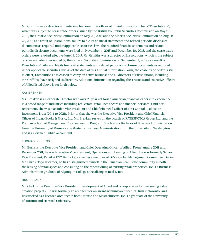Mr. Griffiths was a director and interim chief executive officer of Enssolutions Group Inc. ("Enssolutions"), which was subject to cease trade orders issued by the British Columbia Securities Commission on May 11, 2015, the Ontario Securities Commission on May 20, 2015 and the Alberta Securities Commission on August 28, 2015 as a result of Enssolutions' failure to file its financial statements and related periodic disclosure documents as required under applicable securities law. The required financial statements and related periodic disclosure documents were filed on November 4, 2015 and December 10, 2015, and the cease trade orders were revoked effective June 19, 2017. Mr. Griffiths was a director of Enssolutions, which is the subject of a cease trade order issued by the Ontario Securities Commission on September 5, 2018 as a result of Enssolutions' failure to file its financial statements and related periodic disclosure documents as required under applicable securities law. As of the date of this Annual Information Form, the cease trade order is still in effect, Enssolutions has ceased to carry on active business and all directors of Enssolutions, including Mr. Griffiths, have resigned as directors. Additional information regarding the Trustees and executive officers of Allied listed above is set forth below.

#### KAY BREKKEN

Ms. Brekken is a Corporate Director with over 25 years of North American financial leadership experience in a broad range of industries including real estate, retail, healthcare and financial services. Until her retirement, she was Executive Vice President and Chief Financial Officer of First Capital Real Estate Investment Trust (2014 to 2021). Prior to that she was the Executive Vice President and Chief Financial Officer of Indigo Books & Music, Inc. Ms. Brekken serves on the boards of RATESDOTCA Group Ltd. and the Rotman School of Management CFO Leadership Program. She holds a Bachelor of Business Administration from the University of Minnesota, a Master of Business Administration from the University of Washington and is a Certified Public Accountant.

#### THOMAS G. BURNS

Mr. Burns is the Executive Vice President and Chief Operating Officer of Allied. From January 2011 until December 2011, he was Executive Vice President, Operations and Leasing of Allied. He was formerly Senior Vice President, Retail at DTZ Barnicke, as well as a member of DTZ's Global Management Committee. During Mr. Burns' 35 year career, he has distinguished himself in the Canadian Real Estate community in both the leasing of retail space and consulting on the repositioning of existing retail properties. He is a Business Administration graduate of Algonquin College specializing in Real Estate.

#### HUGH CLARK

Mr. Clark is the Executive Vice President, Development of Allied and is responsible for overseeing value creation projects. He was formally an architect for an award-winning architectural firm in Toronto, and has worked as a licensed architect in both Ontario and Massachusetts. He is a graduate of the University of Toronto and Harvard University.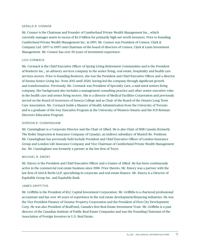#### GERALD R. CONNOR

Mr. Connor is the Chairman and Founder of Cumberland Private Wealth Management Inc., which currently manages assets in excess of \$3.0 billion for primarily high net worth investors. Prior to founding Cumberland Private Wealth Management Inc. in 1997, Mr. Connor was President of Connor, Clark & Company Ltd. (1977 to 1997) and Chairman of the board of directors of Connor, Clark & Lunn Investment Management. Mr. Connor has over 50 years of investment experience.

#### LOIS CORMACK

Ms. Cormack is the Chief Executive Officer of Spring Living Retirement Communities and is the President of Bonterre Inc., an advisory services company in the senior living, real estate, hospitality and health care services sectors. Prior to founding Bonterre, she was the President and Chief Executive Officer and a director of Sienna Senior Living Inc. from 2013 until 2020, having led the company through significant growth and transformation. Previously, Ms. Cormack was President of Specialty Care, a mid-sized seniors living company. Her background also includes a management consulting practice and other senior executive roles in the health care and senior living sectors. She is a director of Medical Facilities Corporation and previously served on the Board of Governors of Seneca College and as Chair of the Board of the Ontario Long Term Care Association. Ms. Cormack holds a Masters of Health Administration from the University of Toronto and is a graduate of the Ivey Executive Program at the University of Western Ontario and the ICD-Rotman Directors Education Program.

#### GORDON R. CUNNINGHAM

Mr. Cunningham is a Corporate Director and the Chair of Allied. He is also Chair of HSB Canada (formerly The Boiler Inspection & Insurance Company of Canada), an indirect subsidiary of Munich Re. Positions Mr. Cunningham has previously held include President and Chief Executive Officer of London Insurance Group and London Life Insurance Company and Vice Chairman of Cumberland Private Wealth Management Inc. Mr. Cunningham was formerly a partner at the law firm of Torys.

#### MICHAEL R. EMORY

Mr. Emory is the President and Chief Executive Officer and a trustee of Allied. He has been continuously active in the commercial real estate business since 1988. Prior thereto, Mr. Emory was a partner with the law firm of Aird & Berlis LLP, specializing in corporate and real estate finance. Mr. Emory is a Director of Equitable Group Inc. and Equitable Bank.

#### JAMES GRIFFITHS

Mr. Griffiths is the President of KLC Capital Investment Corporation. Mr. Griffiths is a chartered professional accountant and has over 40 years of experience in the real estate development/financing industries. He was the Vice President Finance of Genstar Property Corporation and the President of First City Development Corp. He was also President of RealFund, Canada's first Real Estate Investment Trust. Mr. Griffiths is a past director of the Canadian Institute of Public Real Estate Companies and was the Founding Chairman of the Association of Foreign Investors in U.S. Real Estate.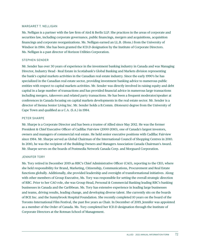#### MARGARET T. NELLIGAN

Ms. Nelligan is a partner with the law firm of Aird & Berlis LLP. She practices in the areas of corporate and securities law, including corporate governance, public financings, mergers and acquisitions, acquisition financings and corporate reorganizations. Ms. Nelligan earned an LL.B. (Hons.) from the University of Windsor in 1984. She has been granted the ICD.D designation by the Institute of Corporate Directors. Ms. Nelligan is a past director of Horizon Utilities Corporation.

#### STEPHEN SENDER

Mr. Sender has over 30 years of experience in the investment banking industry in Canada and was Managing Director, Industry Head - Real Estate in Scotiabank's Global Banking and Markets division representing the bank's capital markets activities in the Canadian real estate industry. Since the early 1990's he has specialized in the Canadian real estate sector, providing investment banking advice to numerous public entities with respect to capital markets activities. Mr. Sender was directly involved in raising equity and debt capital in a large number of transactions and has provided financial advice in numerous large transactions including mergers, takeovers and related party transactions. He has been a frequent moderator/speaker at conferences in Canada focusing on capital markets developments in the real estate sector. Mr. Sender is a director of Sienna Senior Living Inc. Mr. Sender holds a B.Comm. (Honours) degree from the University of Cape Town and qualified as a C.A. (S.A.) in 1984.

#### PETER SHARPE

Mr. Sharpe is a Corporate Director and has been a trustee of Allied since May 2012. He was the former President & Chief Executive Officer of Cadillac Fairview (2000-2010), one of Canada's largest investors, owners and managers of commercial real estate. He held senior executive positions with Cadillac Fairview since 1984. Mr. Sharpe served as Global Chairman of the International Council of Shopping Centres in 2010. In 2010, he was the recipient of the Building Owners and Managers Association Canada Chairman's Award. Mr. Sharpe serves on the boards of Postmedia Network Canada Corp. and Morguard Corporation.

#### JENNIFER TORY

Ms. Tory retired in December 2019 as RBC's Chief Administrative Officer (CAO), reporting to the CEO, where she held responsibility for Brand, Marketing, Citizenship, Communications, Procurement and Real Estate functions globally. Additionally, she provided leadership and oversight of transformational initiatives. Along with other members of Group Executive, Ms. Tory was responsible for setting the overall strategic direction of RBC. Prior to her CAO role, she was Group Head, Personal & Commercial Banking leading RBC's banking businesses in Canada and the Caribbean. Ms. Tory has extensive experience in leading large businesses and teams, driving results, leading change, and developing diverse talent. She currently sits on the boards of BCE Inc. and the Sunnybrook Hospital Foundation. She recently completed 10 years on the board of the Toronto International Film Festival, the past five years as Chair. In December of 2019, Jennifer was appointed as a member of the Order of Canada. Ms. Tory completed her ICD.D designation through the Institute of Corporate Directors at the Rotman School of Management.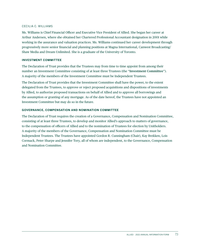#### CECILIA C. WILLIAMS

Ms. Williams is Chief Financial Officer and Executive Vice President of Allied. She began her career at Arthur Andersen, where she obtained her Chartered Professional Accountant designation in 2001 while working in the assurance and valuation practices. Ms. Williams continued her career development through progressively more senior financial and planning positions at Magna International, Canwest Broadcasting/ Shaw Media and Dream Unlimited. She is a graduate of the University of Toronto.

#### **INVESTMENT COMMITTEE**

The Declaration of Trust provides that the Trustees may from time to time appoint from among their number an Investment Committee consisting of at least three Trustees (the "**Investment Committee**"). A majority of the members of the Investment Committee must be Independent Trustees.

The Declaration of Trust provides that the Investment Committee shall have the power, to the extent delegated from the Trustees, to approve or reject proposed acquisitions and dispositions of investments by Allied, to authorize proposed transactions on behalf of Allied and to approve all borrowings and the assumption or granting of any mortgage. As of the date hereof, the Trustees have not appointed an Investment Committee but may do so in the future.

#### **GOVERNANCE, COMPENSATION AND NOMINATION COMMITTEE**

The Declaration of Trust requires the creation of a Governance, Compensation and Nomination Committee, consisting of at least three Trustees, to develop and monitor Allied's approach to matters of governance, to the compensation of officers of Allied and to the nomination of Trustees for election by Unitholders. A majority of the members of the Governance, Compensation and Nomination Committee must be Independent Trustees. The Trustees have appointed Gordon R. Cunningham (Chair), Kay Brekken, Lois Cormack, Peter Sharpe and Jennifer Tory, all of whom are independent, to the Governance, Compensation and Nomination Committee.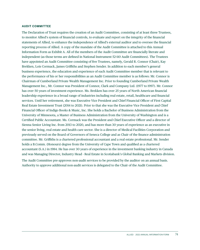#### **AUDIT COMMITTEE**

The Declaration of Trust requires the creation of an Audit Committee, consisting of at least three Trustees, to monitor Allied's system of financial controls, to evaluate and report on the integrity of the financial statements of Allied, to enhance the independence of Allied's external auditor and to oversee the financial reporting process of Allied. A copy of the mandate of the Audit Committee is attached to this Annual Information Form as Exhibit A. All of the members of the Audit Committee are financially literate and independent (as those terms are defined in National Instrument 52-110 Audit Committees). The Trustees have appointed an Audit Committee consisting of five Trustees, namely, Gerald R. Connor (Chair), Kay Brekken, Lois Cormack, James Griffiths and Stephen Sender. In addition to each member's general business experience, the education and experience of each Audit Committee member that is relevant to the performance of his or her responsibilities as an Audit Committee member is as follows: Mr. Connor is Chairman of Cumberland Private Wealth Management Inc. Prior to founding Cumberland Private Wealth Management Inc., Mr. Connor was President of Connor, Clark and Company Ltd. (1977 to 1997). Mr. Connor has over 50 years of investment experience. Ms. Brekken has over 25 years of North American financial leadership experience in a broad range of industries including real estate, retail, healthcare and financial services. Until her retirement, she was Executive Vice President and Chief Financial Officer of First Capital Real Estate Investment Trust (2014 to 2021). Prior to that she was the Executive Vice President and Chief Financial Officer of Indigo Books & Music, Inc. She holds a Bachelor of Business Administration from the University of Minnesota, a Master of Business Administration from the University of Washington and is a Certified Public Accountant. Ms. Cormack was the President and Chief Executive Officer and a director of Sienna Senior Living Inc. from 2013 to 2020, and has more than 30 years of experience as an executive in the senior living, real estate and health care sector. She is a director of Medical Facilities Corporation and previously served on the Board of Governors of Seneca College and as Chair of the finance administration committee. Mr. Griffiths is a chartered professional accountant and a real estate professional. Mr. Sender holds a B.Comm. (Honours) degree from the University of Cape Town and qualified as a chartered accountant (S.A.) in 1984. He has over 30 years of experience in the investment banking industry in Canada and was Managing Director, Industry Head - Real Estate in Scotiabank's Global Banking and Markets division.

The Audit Committee pre-approves non-audit services to be provided by the auditor on an annual basis. Authority to approve additional non-audit services is delegated to the Chair of the Audit Committee.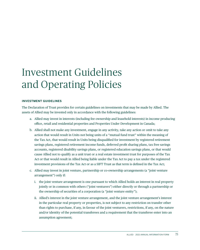# Investment Guidelines and Operating Policies

#### **INVESTMENT GUIDELINES**

The Declaration of Trust provides for certain guidelines on investments that may be made by Allied. The assets of Allied may be invested only in accordance with the following guidelines:

- a. Allied may invest in interests (including fee ownership and leasehold interests) in income producing office, retail and residential properties and Properties Under Development in Canada;
- b. Allied shall not make any investment, engage in any activity, take any action or omit to take any action that would result in Units not being units of a "mutual fund trust" within the meaning of the Tax Act, that would result in Units being disqualified for investment by registered retirement savings plans, registered retirement income funds, deferred profit sharing plans, tax free savings accounts, registered disability savings plans, or registered education savings plans, or that would cause Allied not to qualify as a unit trust or a real estate investment trust for purposes of the Tax Act or that would result in Allied being liable under the Tax Act to pay a tax under the registered investment provisions of the Tax Act or as a SIFT Trust as that term is defined in the Tax Act;
- c. Allied may invest in joint venture, partnership or co-ownership arrangements (a "joint venture arrangement") only if:
	- i. the joint venture arrangement is one pursuant to which Allied holds an interest in real property jointly or in common with others ("joint venturers") either directly or through a partnership or the ownership of securities of a corporation (a "joint venture entity");
	- ii. Allied's interest in the joint venture arrangement, and the joint venture arrangement's interest in the particular real property or properties, is not subject to any restriction on transfer other than rights to purchase, if any, in favour of the joint venturers, restrictions, if any, on the nature and/or identity of the potential transferees and a requirement that the transferee enter into an assumption agreement;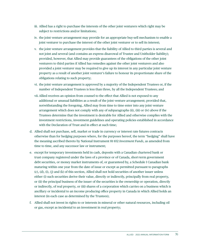- iii. Allied has a right to purchase the interests of the other joint venturers which right may be subject to restrictions and/or limitations;
- iv. the joint venture arrangement may provide for an appropriate buy-sell mechanism to enable a joint venturer to purchase the interest of the other joint venturer or to sell its interest;
- v. the joint venture arrangement provides that the liability of Allied to third parties is several and not joint and several (and contains an express disavowal of Trustee and Unitholder liability); provided, however, that Allied may provide guarantees of the obligations of the other joint venturers to third parties if Allied has remedies against the other joint venturers and also provided a joint venturer may be required to give up its interest in any particular joint venture property as a result of another joint venturer's failure to honour its proportionate share of the obligations relating to such property;
- vi. the joint venture arrangement is approved by a majority of the Independent Trustees or, if the number of Independent Trustees is less than three, by all the Independent Trustees; and
- vii. Allied receives an opinion from counsel to the effect that Allied is not exposed to any additional or unusual liabilities as a result of the joint venture arrangement; provided that, notwithstanding the foregoing, Allied may from time to time enter into any joint venture arrangement which does not comply with any of subparagraphs (ii), (iii) or (iv) above if the Trustees determine that the investment is desirable for Allied and otherwise complies with the investment restrictions, investment guidelines and operating policies established in accordance with the Declaration of Trust and in effect at such time;
- d. Allied shall not purchase, sell, market or trade in currency or interest rate futures contracts otherwise than for hedging purposes where, for the purposes hereof, the term "hedging" shall have the meaning ascribed thereto by National Instrument 81-102 *Investment Funds*, as amended from time to time, and any successor law or instrument;
- e. except for temporary investments held in cash, deposits with a Canadian chartered bank or trust company registered under the laws of a province or of Canada, short-term government debt securities, or money market instruments of, or guaranteed by, a Schedule I Canadian bank maturing within one year from the date of issue or except as permitted pursuant to paragraphs (c), (d), (i), (j) and (k) of this section, Allied shall not hold securities of another issuer unless either (i) such securities derive their value, directly or indirectly, principally from real property, or (ii) the principal business of the issuer of the securities is the ownership or operation, directly or indirectly, of real property, or (iii) shares of a corporation which carries on a business which is ancillary or incidental to an income producing office property in Canada in which Allied holds an interest (in each case as determined by the Trustees);
- f. Allied shall not invest in rights to or interests in mineral or other natural resources, including oil or gas, except as incidental to an investment in real property;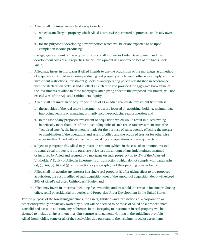- g. Allied shall not invest in raw land except raw land:
	- i. which is ancillary to property which Allied is otherwise permitted to purchase or already owns; or
	- ii. for the purpose of developing new properties which will be or are expected to be upon completion income producing;
- h. the aggregate amount of the acquisition costs of all Properties Under Development and the development costs of all Properties Under Development will not exceed 15% of the Gross Book Value;
- i. Allied may invest in mortgages if Allied intends to use the acquisition of the mortgages as a method of acquiring control of an income-producing real property which would otherwise comply with the investment restrictions, investment guidelines and operating policies established in accordance with the Declaration of Trust and in effect at such time and provided the aggregate book value of the investments of Allied in these mortgages, after giving effect to the proposed investment, will not exceed 20% of the Adjusted Unitholders' Equity;
- j. Allied shall not invest in or acquire securities of a Canadian real estate investment trust unless:
	- i. the activities of the real estate investment trust are focused on acquiring, holding, maintaining, improving, leasing or managing primarily income-producing real properties; and
	- ii. in the case of any proposed investment or acquisition which would result in Allied owning beneficially more than 10% of the outstanding units of such real estate investment trust (the "acquired trust"), the investment is made for the purpose of subsequently effecting the merger or combination of the operations and assets of Allied and the acquired trust or for otherwise ensuring that Allied will control the undertaking and operations of the acquired trust;
- k. subject to paragraph (b), Allied may invest an amount (which, in the case of an amount invested to acquire real property, is the purchase price less the amount of any indebtedness assumed or incurred by Allied and secured by a mortgage on such property) up to 15% of the Adjusted Unitholders' Equity of Allied in investments or transactions which do not comply with paragraphs (a), (c), (e), (g), (i) and (j) of this section or paragraph (d) of the operating policies below;
- l. Allied shall not acquire any interest in a single real property if, after giving effect to the proposed acquisition, the cost to Allied of such acquisition (net of the amount of acquisition debt) will exceed 20% of Allied's Adjusted Unitholders' Equity; and
- m. Allied may invest in interests (including fee ownership and leasehold interests) in income producing office, retail or residential properties and Properties Under Development in the United States.

For the purpose of the foregoing guidelines, the assets, liabilities and transactions of a corporation or other entity wholly or partially owned by Allied will be deemed to be those of Allied on a proportionate consolidated basis. In addition, any references in the foregoing to investment in real property will be deemed to include an investment in a joint venture arrangement. Nothing in the guidelines prohibits Allied from holding some or all of the receivables due pursuant to the instalment receipt agreements.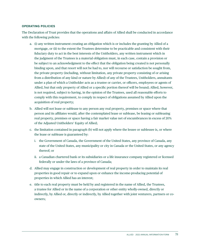#### **OPERATING POLICIES**

The Declaration of Trust provides that the operations and affairs of Allied shall be conducted in accordance with the following policies:

- a. (i) any written instrument creating an obligation which is or includes the granting by Allied of a mortgage, or (ii) to the extent the Trustees determine to be practicable and consistent with their fiduciary duty to act in the best interests of the Unitholders, any written instrument which in the judgment of the Trustees is a material obligation must, in each case, contain a provision or be subject to an acknowledgment to the effect that the obligation being created is not personally binding upon, and that resort will not be had to, nor will recourse or satisfaction be sought from, the private property (including, without limitation, any private property consisting of or arising from a distribution of any kind or nature by Allied) of any of the Trustees, Unitholders, annuitants under a plan of which a Unitholder acts as a trustee or carrier, or officers, employees or agents of Allied, but that only property of Allied or a specific portion thereof will be bound; Allied, however, is not required, subject to having, in the opinion of the Trustees, used all reasonable efforts to comply with this requirement, to comply in respect of obligations assumed by Allied upon the acquisition of real property;
- b. Allied will not lease or sublease to any person any real property, premises or space where that person and its affiliates would, after the contemplated lease or sublease, be leasing or subleasing real property, premises or space having a fair market value net of encumbrances in excess of 20% of the Adjusted Unitholders' Equity of Allied;
- c. the limitation contained in paragraph (b) will not apply where the lessee or sublessee is, or where the lease or sublease is guaranteed by:
	- i. the Government of Canada, the Government of the United States, any province of Canada, any state of the United States, any municipality or city in Canada or the United States, or any agency thereof; or
	- ii. a Canadian chartered bank or its subsidiaries or a life insurance company registered or licensed federally or under the laws of a province of Canada;
- d. Allied may engage in construction or development of real property in order to maintain its real properties in good repair or to expand upon or enhance the income-producing potential of properties in which Allied has an interest;
- e. title to each real property must be held by and registered in the name of Allied, the Trustees, a trustee for Allied or in the name of a corporation or other entity wholly-owned, directly or indirectly, by Allied or, directly or indirectly, by Allied together with joint venturers, partners or coowners;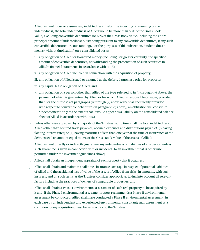- f. Allied will not incur or assume any indebtedness if, after the incurring or assuming of the indebtedness, the total indebtedness of Allied would be more than 60% of the Gross Book Value, excluding convertible debentures (or 65% of the Gross Book Value, including the entire principal amount of indebtedness outstanding pursuant to any convertible debentures, if any such convertible debentures are outstanding). For the purposes of this subsection, "indebtedness" means (without duplication) on a consolidated basis:
	- i. any obligation of Allied for borrowed money (including, for greater certainty, the specified amount of convertible debentures, notwithstanding the presentation of such securities in Allied's financial statements in accordance with IFRS);
	- ii. any obligation of Allied incurred in connection with the acquisition of property;
	- iii. any obligation of Allied issued or assumed as the deferred purchase price for property;
	- iv. any capital lease obligation of Allied; and
	- v. any obligation of a person other than Allied of the type referred to in (i) through (iv) above, the payment of which is guaranteed by Allied or for which Allied is responsible or liable; provided that, for the purposes of paragraphs (i) through (v) above (except as specifically provided with respect to convertible debentures in paragraph (i) above), an obligation will constitute "indebtedness" only to the extent that it would appear as a liability on the consolidated balance sheet of Allied in accordance with IFRS;
- g. unless otherwise approved by a majority of the Trustees, at no time shall the total indebtedness of Allied (other than secured trade payables, accrued expenses and distributions payable): (i) having floating interest rates; or (ii) having maturities of less than one year at the time of incurrence of the debt, exceed an amount equal to 15% of the Gross Book Value of the assets of Allied;
- h. Allied will not directly or indirectly guarantee any indebtedness or liabilities of any person unless such guarantee is given in connection with or incidental to an investment that is otherwise permitted under the investment guidelines above;
- i. Allied shall obtain an independent appraisal of each property that it acquires;
- j. Allied shall obtain and maintain at all times insurance coverage in respect of potential liabilities of Allied and the accidental loss of value of the assets of Allied from risks, in amounts, with such insurers, and on such terms as the Trustees consider appropriate, taking into account all relevant factors including the practices of owners of comparable properties; and
- k. Allied shall obtain a Phase I environmental assessment of each real property to be acquired by it and, if the Phase I environmental assessment report recommends a Phase II environmental assessment be conducted, Allied shall have conducted a Phase II environmental assessment, in each case by an independent and experienced environmental consultant; such assessment as a condition to any acquisition, must be satisfactory to the Trustees.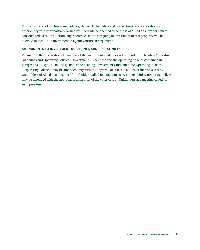For the purpose of the foregoing policies, the assets, liabilities and transactions of a corporation or other entity wholly or partially owned by Allied will be deemed to be those of Allied on a proportionate consolidated basis. In addition, any references in the foregoing to investment in real property will be deemed to include an investment in a joint venture arrangement.

#### **AMENDMENTS TO INVESTMENT GUIDELINES AND OPERATING POLICIES**

Pursuant to the Declaration of Trust, all of the investment guidelines set out under the heading "Investment Guidelines and Operating Policies — Investment Guidelines" and the operating policies contained in paragraphs (e), (g), (h), (i) and (j) under the heading "Investment Guidelines and Operating Policies — Operating Policies" may be amended only with the approval of at least 66 2/3% of the votes cast by Unitholders of Allied at a meeting of Unitholders called for such purpose. The remaining operating policies may be amended with the approval of a majority of the votes cast by Unitholders at a meeting called for such purpose.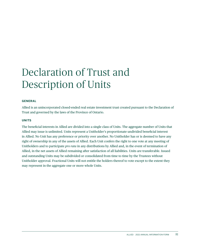# Declaration of Trust and Description of Units

#### **GENERAL**

Allied is an unincorporated closed-ended real estate investment trust created pursuant to the Declaration of Trust and governed by the laws of the Province of Ontario.

#### **UNITS**

The beneficial interests in Allied are divided into a single class of Units. The aggregate number of Units that Allied may issue is unlimited. Units represent a Unitholder's proportionate undivided beneficial interest in Allied. No Unit has any preference or priority over another. No Unitholder has or is deemed to have any right of ownership in any of the assets of Allied. Each Unit confers the right to one vote at any meeting of Unitholders and to participate *pro rata* in any distributions by Allied and, in the event of termination of Allied, in the net assets of Allied remaining after satisfaction of all liabilities. Units are transferable. Issued and outstanding Units may be subdivided or consolidated from time to time by the Trustees without Unitholder approval. Fractional Units will not entitle the holders thereof to vote except to the extent they may represent in the aggregate one or more whole Units.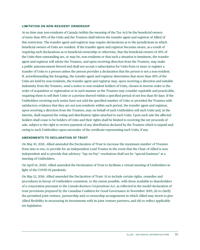#### **LIMITATION ON NON-RESIDENT OWNERSHIP**

At no time may non-residents of Canada (within the meaning of the Tax Act) be the beneficial owners of more than 49% of the Units and the Trustees shall inform the transfer agent and registrar of Allied of this restriction. The transfer agent and registrar may require declarations as to the jurisdictions in which beneficial owners of Units are resident. If the transfer agent and registrar becomes aware, as a result of requiring such declarations as to beneficial ownership or otherwise, that the beneficial owners of 49% of the Units then outstanding are, or may be, non-residents or that such a situation is imminent, the transfer agent and registrar will advise the Trustees, and upon receiving direction from the Trustees, may make a public announcement thereof and shall not accept a subscription for Units from or issue or register a transfer of Units to a person unless the person provides a declaration that the person is not a non-resident. If, notwithstanding the foregoing, the transfer agent and registrar determines that more than 49% of the Units are held by non-residents, the transfer agent and registrar may, upon receiving a direction and suitable indemnity from the Trustees, send a notice to non-resident holders of Units, chosen in inverse order to the order of acquisition or registration or in such manner as the Trustees may consider equitable and practicable, requiring them to sell their Units or a portion thereof within a specified period of not less than 60 days. If the Unitholders receiving such notice have not sold the specified number of Units or provided the Trustees with satisfactory evidence that they are not non-residents within such period, the transfer agent and registrar, upon receiving a direction from the Trustees, may on behalf of such Unitholders sell such Units and, in the interim, shall suspend the voting and distribution rights attached to such Units. Upon such sale the affected holders shall cease to be holders of Units and their rights shall be limited to receiving the net proceeds of sale, subject to the right to receive payment of any distribution declared by the Trustees which is unpaid and owing to such Unitholders upon surrender of the certificate representing such Units, if any.

#### **AMENDMENTS TO DECLARATION OF TRUST**

On May 10, 2021, Allied amended the Declaration of Trust to increase the maximum number of Trustees from nine to ten, to provide for an independent Lead Trustee in the event that the Chair of Allied is nonindependent and to provide that advisory "Say-on-Pay" resolutions shall not be "special business" at a meeting of Unitholders.

On April 14, 2020, Allied amended the Declaration of Trust to facilitate a virtual meeting of Unitholders in light of the COVID-19 pandemic.

On May 12, 2016, Allied amended the Declaration of Trust: (i) to include certain rights, remedies and procedures in favour of Unitholders consistent, to the extent possible, with those available to shareholders of a corporation pursuant to the *Canada Business Corporations Act*, as reflected in the model declaration of trust provisions prepared by the Canadian Coalition for Good Governance in November 2015; (ii) to clarify the permitted joint venture, partnership and co-ownership arrangements in which Allied may invest to give Allied flexibility in structuring its investments with its joint venture partners; and (iii) to reflect applicable tax legislation.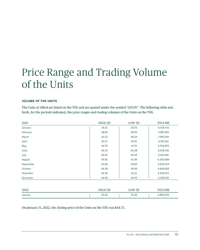# Price Range and Trading Volume of the Units

#### **VOLUME OF THE UNITS**

The Units of Allied are listed on the TSX and are quoted under the symbol "AP.UN". The following table sets forth, for the periods indicated, the price ranges and trading volumes of the Units on the TSX.

| 2021      | $HIGH$ (\$) | LOW (\$) | <b>VOLUME</b> |
|-----------|-------------|----------|---------------|
| January   | 39.31       | 35.79    | 4,738,793     |
| February  | 38.83       | 35.40    | 7,289,383     |
| March     | 42.12       | 38.34    | 7,959,769     |
| April     | 43.27       | 40.41    | 4,787,541     |
| May       | 44.79       | 41.74    | 5,784,405     |
| June      | 46.37       | 44.38    | 5,078,735     |
| July      | 46.55       | 44.54    | 4,414,166     |
| August    | 45.81       | 41.99    | 4,200,889     |
| September | 43.56       | 39.80    | 4,545,704     |
| October   | 44.38       | 39.96    | 4,896,818     |
| November  | 44.95       | 41.15    | 4,330,027     |
| December  | 44.25       | 40.93    | 4,748,018     |
|           |             |          |               |
| 2022      | HIGH(S)     | LOW (\$) | <b>VOLUME</b> |
| January   | 45.40       | 41.59    | 4,885,074     |
|           |             |          |               |

On January 31, 2022, the closing price of the Units on the TSX was \$44.73.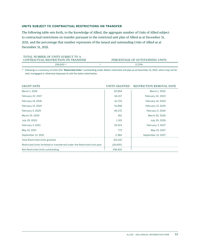#### **UNITS SUBJECT TO CONTRACTUAL RESTRICTIONS ON TRANSFER**

The following table sets forth, to the knowledge of Allied, the aggregate number of Units of Allied subject to contractual restrictions on transfer pursuant to the restricted unit plan of Allied as at December 31, 2021, and the percentage that number represents of the issued and outstanding Units of Allied as at December 31, 2021.

| TOTAL NUMBER OF UNITS SUBJECT TO A<br>CONTRACTUAL RESTRICTION ON TRANSFER | PERCENTAGE OF OUTSTANDING UNITS |
|---------------------------------------------------------------------------|---------------------------------|
| $296,810^{(1)}$                                                           | በ 23%                           |
|                                                                           |                                 |

(1) Following is a summary of Units (the "Restricted Units") outstanding under Allied's restricted unit plan as at December 31, 2021, which may not be sold, mortgaged or otherwise disposed of until the dates noted below:

| <b>GRANT DATE</b>                                                        | UNITS GRANTED | <b>RESTRICTION REMOVAL DATE</b> |
|--------------------------------------------------------------------------|---------------|---------------------------------|
| March 1, 2016                                                            | 30,994        | March 1, 2022                   |
| February 22, 2017                                                        | 64,217        | February 22, 2023               |
| February 14, 2018                                                        | 61,733        | February 14, 2024               |
| February 13, 2019                                                        | 51,858        | February 13, 2025               |
| February 5, 2020                                                         | 46,272        | February 5, 2026                |
| March 25, 2020                                                           | 561           | March 25, 2026                  |
| July 29, 2020                                                            | 1,315         | July 29, 2026                   |
| February 3, 2021                                                         | 55,103        | February 3, 2027                |
| May 10, 2021                                                             | 773           | May 10, 2027                    |
| September 13, 2021                                                       | 2,384         | September 13, 2027              |
| <b>Total Restricted Units granted</b>                                    | 315,210       |                                 |
| Restricted Units forfeited or transferred under the Restricted Unit plan | (18,400)      |                                 |
| Net Restricted Units outstanding                                         | 296.810       |                                 |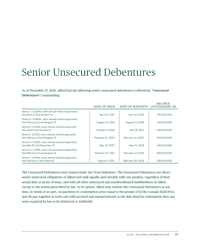## Senior Unsecured Debentures

As at December 31, 2021, Allied had the following senior unsecured debentures (collectively "**Unsecured Debentures**") outstanding:

|                                                                                  | DATE OF ISSUE     | DATE OF MATURITY  | <b>BALANCE</b><br>OUTSTANDING (\$) |
|----------------------------------------------------------------------------------|-------------------|-------------------|------------------------------------|
| Series C, 3.636%, semi-annual interest payments<br>due April 21 and October 21   | April 21, 2017    | April 21, 2025    | 200,000,000                        |
| Series D, 3.394%, semi-annual interest payments<br>due February 15 and August 15 | August 15, 2019   | August 15, 2029   | 300,000,000                        |
| Series E, 3.113%, semi-annual interest payments<br>due April 8 and October 8     | October 8, 2019   | April 8, 2027     | 300.000.000                        |
| Series F, 3.117%, semi-annual interest payments<br>due February 21 and August 21 | February 21, 2020 | February 21, 2030 | 400.000.000                        |
| Series G, 3.131%, semi-annual interest payments<br>due May 15 and November 15    | May 15, 2020      | May 15, 2028      | 300.000.000                        |
| Series H, 1.726%, semi-annual interest payments<br>due February 12 and August 12 | February 12, 2021 | February 12, 2026 | 600.000.000                        |
| Series I, 3.095%, semi-annual interest payments<br>due February 6 and August 6   | August 6, 2021    | February 26, 2032 | 500,000,000                        |

The Unsecured Debentures were issued under the Trust Indenture. The Unsecured Debentures are direct senior unsecured obligations of Allied and rank equally and rateably with one another, regardless of their actual date or terms of issue, and with all other unsecured and unsubordinated indebtedness of Allied, except to the extent prescribed by law. At its option, Allied may redeem the Unsecured Debentures at any time, in whole or in part, on payment of a redemption price equal to the greater of (i) the Canada Yield Price and (ii) par, together in each case with accrued and unpaid interest to the date fixed for redemption (less any taxes required by law to be deducted or withheld).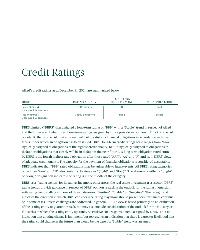## Credit Ratings

Allied's credit ratings as at December 31, 2021, are summarized below:

| <b>DEBT</b>                                               | RATING AGENCY       | LONG-TERM<br><b>CREDIT RATING</b> | TREND/OUTLOOK |
|-----------------------------------------------------------|---------------------|-----------------------------------|---------------|
| <b>Issuer Rating &amp;</b><br><b>Unsecured Debentures</b> | <b>DBRS</b> Limited | <b>BBB</b>                        | Stable        |
| <b>Issuer Rating &amp;</b><br><b>Unsecured Debentures</b> | Moody's Investors   | Baa2                              | Stable        |

DBRS Limited ("**DBRS**") has assigned a long-term rating of "BBB" with a "Stable" trend in respect of Allied and the Unsecured Debentures. Long-term ratings assigned by DBRS provide an opinion of DBRS on the risk of default; that is, the risk that an issuer will fail to satisfy its financial obligations in accordance with the terms under which an obligation has been issued. DBRS' long-term credit ratings scale ranges from "AAA" (typically assigned to obligations of the highest credit quality) to "D" (typically assigned to obligations in default or obligations that clearly will be in default in the near future). A long-term obligation rated "BBB" by DBRS is the fourth highest-rated obligation after those rated "AAA", "AA" and "A" and is, in DBRS' view, of adequate credit quality. The capacity for the payment of financial obligations is considered acceptable. DBRS indicates that "BBB" rated obligations may be vulnerable to future events. All DBRS rating categories other than "AAA" and "D" also contain subcategories "(high)" and "(low)". The absence of either a "(high)" or "(low)" designation indicates the rating is in the middle of the category.

DBRS uses "rating trends" for its ratings in, among other areas, the real estate investment trust sector. DBRS' rating trends provide guidance in respect of DBRS' opinion regarding the outlook for the rating in question, with rating trends falling into one of three categories: "Positive", "Stable" or "Negative". The rating trend indicates the direction in which DBRS considers the rating may move should present circumstances continue, or in some cases, unless challenges are addressed. In general, DBRS' view is based primarily on an evaluation of the issuing entity or guarantor itself, but may also include consideration of the outlook for the industry or industries in which the issuing entity operates. A "Positive" or "Negative" trend assigned by DBRS is not an indication that a rating change is imminent, but represents an indication that there is a greater likelihood that the rating could change in the future than would be the case if a "Stable" trend was assigned.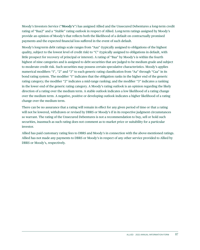Moody's Investors Service ("**Moody's**") has assigned Allied and the Unsecured Debentures a long-term credit rating of "Baa2" and a "Stable" rating outlook in respect of Allied. Long-term ratings assigned by Moody's provide an opinion of Moody's that reflects both the likelihood of a default on contractually promised payments and the expected financial loss suffered in the event of such default.

Moody's long-term debt ratings scale ranges from "Aaa" (typically assigned to obligations of the highest quality, subject to the lowest level of credit risk) to "C" (typically assigned to obligations in default, with little prospect for recovery of principal or interest). A rating of "Baa" by Moody's is within the fourth highest of nine categories and is assigned to debt securities that are judged to be medium grade and subject to moderate credit risk. Such securities may possess certain speculative characteristics. Moody's applies numerical modifiers "1", "2" and "3" to each generic rating classification from "Aa" through "Caa" in its bond rating system. The modifier "1" indicates that the obligation ranks in the higher end of the generic rating category; the modifier "2" indicates a mid-range ranking; and the modifier "3" indicates a ranking in the lower end of the generic rating category. A Moody's rating outlook is an opinion regarding the likely direction of a rating over the medium term. A stable outlook indicates a low likelihood of a rating change over the medium term. A negative, positive or developing outlook indicates a higher likelihood of a rating change over the medium term.

There can be no assurance that a rating will remain in effect for any given period of time or that a rating will not be lowered, withdrawn or revised by DBRS or Moody's if in its respective judgment circumstances so warrant. The rating of the Unsecured Debentures is not a recommendation to buy, sell or hold such securities, inasmuch as such rating does not comment as to market price or suitability for a particular investor.

Allied has paid customary rating fees to DBRS and Moody's in connection with the above-mentioned ratings. Allied has not made any payments to DBRS or Moody's in respect of any other service provided to Allied by DBRS or Moody's, respectively.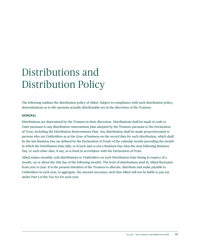# Distributions and Distribution Policy

The following outlines the distribution policy of Allied. Subject to compliance with such distribution policy, determinations as to the amounts actually distributable are in the discretion of the Trustees.

#### **GENERAL**

Distributions are determined by the Trustees in their discretion. Distributions shall be made in cash or Units pursuant to any distribution reinvestment plan adopted by the Trustees pursuant to the Declaration of Trust, including the Distribution Reinvestment Plan. Any distribution shall be made proportionately to persons who are Unitholders as at the close of business on the record date for such distribution, which shall be the last Business Day (as defined by the Declaration of Trust) of the calendar month preceding the month in which the Distribution Date falls, or if such date is not a Business Day then the next following Business Day, or such other date, if any, as is fixed in accordance with the Declaration of Trust.

Allied makes monthly cash distributions to Unitholders on each Distribution Date (being in respect of a month, on or about the 15th day of the following month). The level of distributions paid by Allied fluctuates from year to year. It is the present intention of the Trustees to allocate, distribute and make payable to Unitholders in each year, in aggregate, the amount necessary such that Allied will not be liable to pay tax under Part I of the Tax Act for such year.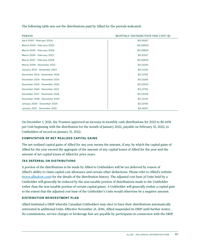The following table sets out the distributions paid by Allied for the periods indicated:

| <b>PERIOD</b>                 | MONTHLY DISTRIBUTION PER UNIT (\$) |
|-------------------------------|------------------------------------|
| April 2003 - February 2004    | \$0.09167                          |
| March 2004 - February 2005    | \$0.09500                          |
| March 2005 - February 2006    | \$0.09833                          |
| March 2006 - February 2007    | \$0.10167                          |
| March 2007 - February 2008    | \$0.10500                          |
| March 2008 - December 2012    | \$0.11000                          |
| January 2013 - November 2013  | \$0.11330                          |
| December 2013 - November 2014 | \$0.11750                          |
| December 2014 - November 2015 | \$0.12160                          |
| December 2015 - November 2016 | \$0.12500                          |
| December 2016 - November 2017 | \$0.12750                          |
| December 2017 - November 2018 | \$0.13000                          |
| December 2018 - December 2019 | \$0.13333                          |
| January 2020 - December 2020  | \$0.13750                          |
| January 2021 - December 2021  | \$0.14167                          |

On December 1, 2021, the Trustees approved an increase in monthly cash distributions for 2022 to \$0.1458 per Unit beginning with the distribution for the month of January 2022, payable on February 15, 2022, to Unitholders of record on January 31, 2022.

#### **COMPUTATION OF NET REALIZED CAPITAL GAINS**

The net realized capital gains of Allied for any year means the amount, if any, by which the capital gains of Allied for the year exceed the aggregate of the amount of any capital losses of Allied for the year and the amount of net capital losses of Allied for prior years.

#### **TAX DEFERRAL ON DISTRIBUTIONS**

A portion of the distributions to be made by Allied to Unitholders will be tax deferred by reason of Allied's ability to claim capital cost allowance and certain other deductions. Please refer to Allied's website ([www.alliedreit.com\)](https://www.alliedreit.com/) for the details of the distribution history. The adjusted cost base of Units held by a Unitholder will generally be reduced by the non-taxable portion of distributions made to the Unitholder (other than the non-taxable portion of certain capital gains). A Unitholder will generally realize a capital gain to the extent that the adjusted cost base of the Unitholder's Units would otherwise be a negative amount.

#### **DISTRIBUTION REINVESTMENT PLAN**

Allied instituted a DRIP whereby Canadian Unitholders may elect to have their distributions automatically reinvested in additional Units. Effective November 21, 2016, Allied suspended its DRIP until further notice. No commissions, service charges or brokerage fees are payable by participants in connection with the DRIP.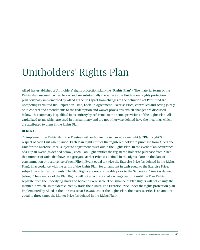## Unitholders' Rights Plan

Allied has established a Unitholders' rights protection plan (the "**Rights Plan**"). The material terms of the Rights Plan are summarized below and are substantially the same as the Unitholders' rights protection plan originally implemented by Allied at the IPO apart from changes to the definitions of Permitted Bid, Competing Permitted Bid, Expiration Time, Lock-up Agreement, Exercise Price, controlled and acting jointly or in concert and amendments to the redemption and waiver provisions, which changes are discussed below. This summary is qualified in its entirety by reference to the actual provisions of the Rights Plan. All capitalized terms which are used in this summary and are not otherwise defined have the meanings which are attributed to them in the Rights Plan.

#### **GENERAL**

To implement the Rights Plan, the Trustees will authorize the issuance of one right (a "**Plan Right**") in respect of each Unit when issued. Each Plan Right entitles the registered holder to purchase from Allied one Unit for the Exercise Price, subject to adjustment as set out in the Rights Plan. In the event of an occurrence of a Flip-in Event (as defined below), each Plan Right entitles the registered holder to purchase from Allied that number of Units that have an aggregate Market Price (as defined in the Rights Plan) on the date of consummation or occurrence of such Flip-in Event equal to twice the Exercise Price (as defined in the Rights Plan), in accordance with the terms of the Rights Plan, for an amount in cash equal to the Exercise Price, subject to certain adjustments. The Plan Rights are not exercisable prior to the Separation Time (as defined below). The issuance of the Plan Rights will not affect reported earnings per Unit until the Plan Rights separate from the underlying Units and become exercisable. The issuance of Plan Rights will not change the manner in which Unitholders currently trade their Units. The Exercise Price under the rights protection plan implemented by Allied at the IPO was set at \$40.00. Under the Rights Plan, the Exercise Price is an amount equal to three times the Market Price (as defined in the Rights Plan).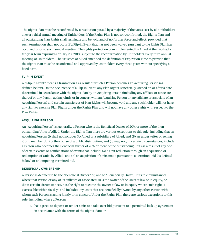The Rights Plan must be reconfirmed by a resolution passed by a majority of the votes cast by all Unitholders at every third annual meeting of Unitholders. If the Rights Plan is not so reconfirmed, the Rights Plan and all outstanding Plan Rights shall terminate and be void and of no further force and effect, provided that such termination shall not occur if a Flip-in Event that has not been waived pursuant to the Rights Plan has occurred prior to such annual meeting. The rights protection plan implemented by Allied at the IPO had a ten-year term expiring February 20, 2013, subject to the reconfirmation by Unitholders every third annual meeting of Unitholders. The Trustees of Allied amended the definition of Expiration Time to provide that the Rights Plan must be reconfirmed and approved by Unitholders every three years without specifying a fixed term.

#### **FLIP-IN EVENT**

A "Flip-in Event" means a transaction as a result of which a Person becomes an Acquiring Person (as defined below). On the occurrence of a Flip-in Event, any Plan Rights Beneficially Owned on or after a date determined in accordance with the Rights Plan by an Acquiring Person (including any affiliate or associate thereof or any Person acting jointly or in concert with an Acquiring Person or any affiliate or associate of an Acquiring Person) and certain transferees of Plan Rights will become void and any such holder will not have any right to exercise Plan Rights under the Rights Plan and will not have any other rights with respect to the Plan Rights.

#### **ACQUIRING PERSON**

An "Acquiring Person" is, generally, a Person who is the Beneficial Owner of 20% or more of the then outstanding Units of Allied. Under the Rights Plan there are various exceptions to this rule, including that an Acquiring Person: (i) shall not include: (A) Allied or a subsidiary of Allied, and (B) an underwriter or selling group member during the course of a public distribution, and (ii) may not, in certain circumstances, include a Person who becomes the Beneficial Owner of 20% or more of the outstanding Units as a result of any one of certain events or combinations of events that include: (A) a Unit reduction through an acquisition or redemption of Units by Allied, and (B) an acquisition of Units made pursuant to a Permitted Bid (as defined below) or a Competing Permitted Bid.

#### **BENEFICIAL OWNERSHIP**

A Person is deemed to be the "Beneficial Owner" of, and to "Beneficially Own", Units in circumstances where that Person or any of its affiliates or associates: (i) is the owner of the Units at law or in equity, or (ii) in certain circumstances, has the right to become the owner at law or in equity where such right is exercisable within 60 days and includes any Units that are Beneficially Owned by any other Person with whom such Person is acting jointly or in concert. Under the Rights Plan there are various exceptions to this rule, including where a Person:

a. has agreed to deposit or tender Units to a take-over bid pursuant to a permitted lock-up agreement in accordance with the terms of the Rights Plan; or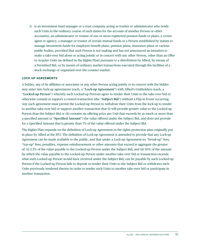b. is an investment fund manager or a trust company acting as trustee or administrator who holds such Units in the ordinary course of such duties for the account of another Person or other account(s), an administrator or trustee of one or more registered pension funds or plans, a crown agent or agency, a manager or trustee of certain mutual funds or a Person established by statute to manage investment funds for employee benefit plans, pension plans, insurance plans or various public bodies, provided that such Person is not making and has not announced an intention to make a take-over bid alone or acting jointly or in concert with any other Person, other than an Offer to Acquire Units (as defined in the Rights Plan) pursuant to a distribution by Allied, by means of a Permitted Bid, or by means of ordinary market transactions executed through the facilities of a stock exchange or organized over-the-counter market.

#### **LOCK-UP AGREEMENTS**

A bidder, any of its affiliates or associates or any other Person acting jointly or in concert with the bidder may enter into lock-up agreements (each, a "**Lock-up Agreement**") with Allied's Unitholders (each, a "**Locked-up Person**") whereby such Locked-up Persons agree to tender their Units to the take-over bid or otherwise commit to support a control transaction (the "**Subject Bid**") without a Flip-in Event occurring. Any such agreement must permit the Locked-up Person to withdraw their Units from the lock-up to tender to another take-over bid or support another transaction that (i) will provide greater value to the Locked-up Person than the Subject Bid or (ii) contains an offering price per Unit that exceeds by as much or more than a specified amount (a "**Specified Amount**") the value offered under the Subject Bid, and does not provide for a Specified Amount that is greater than 7% of the value offered under the Subject Bid.

The Rights Plan expands on the definition of Lock-up Agreement in the rights protection plan originally put in place by Allied at the IPO. The definition of Lock-up Agreement is amended to provide that any Lock-up Agreement can be made available to the public, and that under a Lock-up Agreement no "break-up" fees, "top-up" fees, penalties, expense reimbursement or other amounts that exceed in aggregate the greater of: (i) 2.5% of the value payable to the Locked-up Person under the Subject Bid; and (ii) 50% of the amount by which the value payable to the Locked-up Person under another take-over bid or transaction exceeds what such Locked-up Person would have received under the Subject Bid; can be payable by such Locked-up Person if the Locked-up Person fails to deposit or tender their Units to the Subject Bid or withdraws such Units previously tendered thereto in order to tender such Units to another take-over bid or participate in another transaction.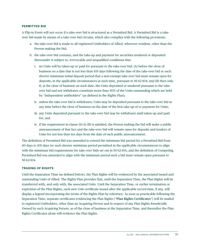#### **PERMITTED BID**

A Flip-in Event will not occur if a take-over bid is structured as a Permitted Bid. A Permitted Bid is a takeover bid made by means of a take-over bid circular, which also complies with the following provisions:

- a. the take-over bid is made to all registered Unitholders of Allied, wherever resident, other than the Person making the bid;
- b. the take-over bid contains, and the take-up and payment for securities tendered or deposited thereunder is subject to, irrevocable and unqualified conditions that:
	- i. no Units will be taken-up or paid for pursuant to the take-over bid: (A) before the close of business on a date that is not less than 105 days following the date of the take-over bid or such shorter minimum initial deposit period that a non-exempt take-over bid must remain open for deposits, in the applicable circumstances at such time, pursuant to NI 62-104; and (B) then only if, at the close of business on such date, the Units deposited or tendered pursuant to the takeover bid and not withdrawn constitute more than 50% of the Units outstanding which are held by "independent unitholders" (as defined in the Rights Plan);
	- ii. unless the take-over bid is withdrawn, Units may be deposited pursuant to the take-over bid at any time before the close of business on the date of the first take-up of or payment for Units;
	- iii. any Units deposited pursuant to the take-over bid may be withdrawn until taken-up and paid for; and
	- iv. if the requirement in clause (b) (i) (B) is satisfied, the Person making the bid will make a public announcement of that fact and the take-over bid will remain open for deposits and tenders of Units for not less than ten days from the date of such public announcement.

The definition of Permitted Bid was amended to extend the minimum bid period for a Permitted Bid from 60 days to 105 days (or such shorter minimum period permitted in the applicable circumstances) to align with the minimum bid requirements for take-over bids set out in NI 62-104, and the definition of Competing Permitted Bid was amended to align with the minimum period such a bid must remain open pursuant to NI-62-104.

#### **TRADING OF RIGHTS**

Until the Separation Time (as defined below), the Plan Rights will be evidenced by the associated issued and outstanding Units of Allied. The Rights Plan provides that, until the Separation Time, the Plan Rights will be transferred with, and only with, the associated Units. Until the Separation Time, or earlier termination or expiration of the Plan Rights, each new Unit certificate issued after the applicable record time, if any, will display a legend incorporating the terms of the Rights Plan by reference. As soon as practicable following the Separation Time, separate certificates evidencing the Plan Rights ("**Plan Rights Certificates**") will be mailed to registered Unitholders, other than an Acquiring Person and in respect of any Plan Rights Beneficially Owned by such Acquiring Person, as of the close of business at the Separation Time, and thereafter the Plan Rights Certificates alone will evidence the Plan Rights.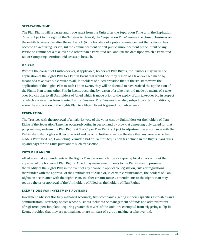#### **SEPARATION TIME**

The Plan Rights will separate and trade apart from the Units after the Separation Time until the Expiration Time. Subject to the right of the Trustees to defer it, the "Separation Time" means the close of business on the eighth business day after the earliest of: (i) the first date of a public announcement that a Person has become an Acquiring Person; (ii) the commencement or first public announcement of the intent of any Person to commence a take-over bid other than a Permitted Bid; and (iii) the date upon which a Permitted Bid or Competing Permitted Bid ceases to be such.

#### **WAIVER**

Without the consent of Unitholders or, if applicable, holders of Plan Rights, the Trustees may waive the application of the Rights Plan to a Flip-in Event that would occur by reason of a take-over bid made by means of a take-over bid circular to all Unitholders of Allied provided that, if the Trustees waive the application of the Rights Plan to such Flip-in Event, they will be deemed to have waived the application of the Rights Plan to any other Flip-in Events occurring by reason of a take-over bid made by means of a takeover bid circular to all Unitholders of Allied which is made prior to the expiry of any take-over bid in respect of which a waiver has been granted by the Trustees. The Trustees may also, subject to certain conditions, waive the application of the Rights Plan to a Flip-in Event triggered by inadvertence.

#### **REDEMPTION**

The Trustees with the approval of a majority vote of the votes cast by Unitholders (or the holders of Plan Rights if the Separation Time has occurred) voting in person and by proxy, at a meeting duly called for that purpose, may redeem the Plan Rights at \$0.001 per Plan Right, subject to adjustment in accordance with the Rights Plan. Plan Rights will become void and be of no further effect on the date that any Person who has made a Permitted Bid, Competing Permitted Bid or Exempt Acquisition (as defined in the Rights Plan) takes up and pays for the Units pursuant to such transaction.

#### **POWER TO AMEND**

Allied may make amendments to the Rights Plan to correct clerical or typographical errors without the approval of the holders of Plan Rights. Allied may make amendments to the Rights Plan to preserve the validity of the Rights Plan in the event of any change in applicable legislation, rules or regulations thereunder with the approval of the Unitholders of Allied or, in certain circumstances, the holders of Plan Rights, in accordance with the Rights Plan. In other circumstances, amendments to the Rights Plan may require the prior approval of the Unitholders of Allied or, the holders of Plan Rights.

#### **EXEMPTIONS FOR INVESTMENT ADVISORS**

Investment advisors (for fully managed accounts), trust companies (acting in their capacities as trustees and administrators), statutory bodies whose business includes the management of funds and administrators of registered pension plans acquiring greater than 20% of the Units are exempted from triggering a Flip-in Event, provided that they are not making, or are not part of a group making, a take-over bid.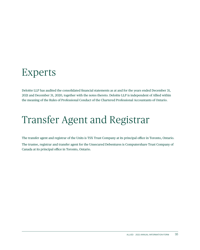### Experts

Deloitte LLP has audited the consolidated financial statements as at and for the years ended December 31, 2021 and December 31, 2020, together with the notes thereto. Deloitte LLP is independent of Allied within the meaning of the Rules of Professional Conduct of the Chartered Professional Accountants of Ontario.

## Transfer Agent and Registrar

The transfer agent and registrar of the Units is TSX Trust Company at its principal office in Toronto, Ontario. The trustee, registrar and transfer agent for the Unsecured Debentures is Computershare Trust Company of Canada at its principal office in Toronto, Ontario.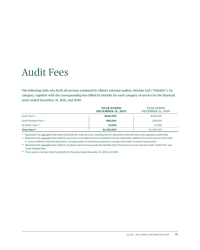## Audit Fees

The following table sets forth all services rendered by Allied's external auditor, Deloitte LLP ("Deloitte"), by category, together with the corresponding fees billed by Deloitte for each category of service for the financial years ended December 31, 2021, and 2020.

|                           | <b>YEAR ENDED</b><br><b>DECEMBER 31, 2021</b> | YEAR ENDED<br><b>DECEMBER 31, 2020</b> |
|---------------------------|-----------------------------------------------|----------------------------------------|
| Audit Fees (1)            | \$942,000                                     | \$944,000                              |
| Audit-Related Fees (2)    | 480,000                                       | 369,000                                |
| All Other Fees (3)        | 13,000                                        | 11.000                                 |
| Total Fees <sup>(4)</sup> | \$1,435,000                                   | \$1,324,000                            |

(1) Represents the aggregate fees billed by Deloitte for audit services, including fees for documents filed with securities regulatory authorities. (2) Represents the aggregate fees billed for assurance and related services by Deloitte that are reasonably related to the performance of the audit

or review of Allied's financial statements, including audits of individual properties to comply with lender or tenant requirements.

(3) Represents the aggregate fees billed for products and services provided by Deloitte other than those services reported under "Audit Fees" and "Audit-Related Fees".

(4) There were no tax fees billed by Deloitte for the years ended December 31, 2021 and 2020.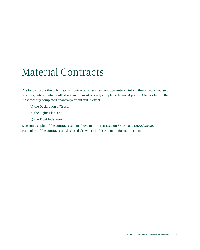## Material Contracts

The following are the only material contracts, other than contracts entered into in the ordinary course of business, entered into by Allied within the most recently completed financial year of Allied or before the most recently completed financial year but still in effect:

- (a) the Declaration of Trust;
- (b) the Rights Plan; and
- (c) the Trust Indenture.

Electronic copies of the contracts set out above may be accessed on SEDAR at *[www.sedar.com](https://sedar.com/)*. Particulars of the contracts are disclosed elsewhere in this Annual Information Form.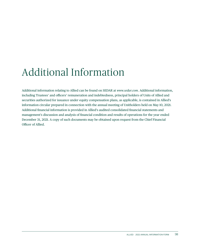# Additional Information

Additional information relating to Allied can be found on SEDAR at *[www.sedar.com](https://sedar.com/)*. Additional information, including Trustees' and officers' remuneration and indebtedness, principal holders of Units of Allied and securities authorized for issuance under equity compensation plans, as applicable, is contained in Allied's information circular prepared in connection with the annual meeting of Unitholders held on May 10, 2021. Additional financial information is provided in Allied's audited consolidated financial statements and management's discussion and analysis of financial condition and results of operations for the year ended December 31, 2021. A copy of such documents may be obtained upon request from the Chief Financial Officer of Allied.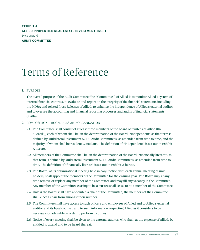**EXHIBIT A ALLIED PROPERTIES REAL ESTATE INVESTMENT TRUST ("ALLIED") AUDIT COMMITTEE**

## Terms of Reference

#### 1. PURPOSE

The overall purpose of the Audit Committee (the "Committee") of Allied is to monitor Allied's system of internal financial controls, to evaluate and report on the integrity of the financial statements including the MD&A and related Press Releases of Allied, to enhance the independence of Allied's external auditor and to oversee the accounting and financial reporting processes and audits of financial statements of Allied.

#### 2. COMPOSITION, PROCEDURES AND ORGANIZATION

- 2.1 The Committee shall consist of at least three members of the board of trustees of Allied (the "Board"), each of whom shall be, in the determination of the Board, "independent" as that term is defined by Multilateral Instrument 52-110 Audit Committees, as amended from time to time, and the majority of whom shall be resident Canadians. The definition of "independent" is set out in Exhibit A hereto.
- 2.2 All members of the Committee shall be, in the determination of the Board, "financially literate", as that term is defined by Multilateral Instrument 52-110 Audit Committees, as amended from time to time. The definition of "financially literate" is set out in Exhibit A hereto.
- 2.3 The Board, at its organizational meeting held in conjunction with each annual meeting of unit holders, shall appoint the members of the Committee for the ensuing year. The Board may at any time remove or replace any member of the Committee and may fill any vacancy in the Committee. Any member of the Committee ceasing to be a trustee shall cease to be a member of the Committee.
- 2.4 Unless the Board shall have appointed a chair of the Committee, the members of the Committee shall elect a chair from amongst their number.
- 2.5 The Committee shall have access to such officers and employees of Allied and to Allied's external auditor and its legal counsel, and to such information respecting Allied as it considers to be necessary or advisable in order to perform its duties.
- 2.6 Notice of every meeting shall be given to the external auditor, who shall, at the expense of Allied, be entitled to attend and to be heard thereat.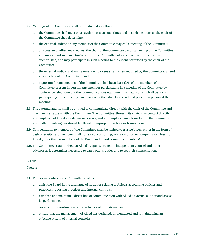- 2.7 Meetings of the Committee shall be conducted as follows:
	- a. the Committee shall meet on a regular basis, at such times and at such locations as the chair of the Committee shall determine;
	- b. the external auditor or any member of the Committee may call a meeting of the Committee;
	- c. any trustee of Allied may request the chair of the Committee to call a meeting of the Committee and may attend such meeting to inform the Committee of a specific matter of concern to such trustee, and may participate in such meeting to the extent permitted by the chair of the Committee;
	- d. the external auditor and management employees shall, when required by the Committee, attend any meeting of the Committee; and
	- e. a quorum for any meeting of the Committee shall be at least 50% of the members of the Committee present in person. Any member participating in a meeting of the Committee by conference telephone or other communications equipment by means of which all persons participating in the meeting can hear each other shall be considered present in person at the meeting.
- 2.8 The external auditor shall be entitled to communicate directly with the chair of the Committee and may meet separately with the Committee. The Committee, through its chair, may contact directly any employee of Allied as it deems necessary, and any employee may bring before the Committee any matter involving questionable, illegal or improper practices or transactions.
- 2.9 Compensation to members of the Committee shall be limited to trustee's fees, either in the form of cash or equity, and members shall not accept consulting, advisory or other compensatory fees from Allied (other than as members of the Board and Board committee members).
- 2.10 The Committee is authorized, at Allied's expense, to retain independent counsel and other advisors as it determines necessary to carry out its duties and to set their compensation.

#### 3. DUTIES

*General*

- 3.1 The overall duties of the Committee shall be to:
	- a. assist the Board in the discharge of its duties relating to Allied's accounting policies and practices, reporting practices and internal controls;
	- b. establish and maintain a direct line of communication with Allied's external auditor and assess its performance;
	- c. oversee the co-ordination of the activities of the external auditor;
	- d. ensure that the management of Allied has designed, implemented and is maintaining an effective system of internal controls;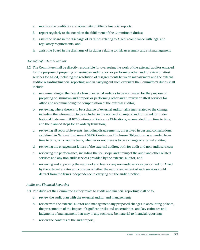- e. monitor the credibility and objectivity of Allied's financial reports;
- f. report regularly to the Board on the fulfillment of the Committee's duties;
- g. assist the Board in the discharge of its duties relating to Allied's compliance with legal and regulatory requirements; and
- h. assist the Board in the discharge of its duties relating to risk assessment and risk management.

#### *Oversight of External Auditor*

- 3.2 The Committee shall be directly responsible for overseeing the work of the external auditor engaged for the purpose of preparing or issuing an audit report or performing other audit, review or attest services for Allied, including the resolution of disagreements between management and the external auditor regarding financial reporting, and in carrying out such oversight the Committee's duties shall include:
	- a. recommending to the Board a firm of external auditors to be nominated for the purpose of preparing or issuing an audit report or performing other audit, review or attest services for Allied and recommending the compensation of the external auditor;
	- b. reviewing, where there is to be a change of external auditor, all issues related to the change, including the information to be included in the notice of change of auditor called for under National Instrument 51-102 Continuous Disclosure Obligations, as amended from time to time, and the planned steps for an orderly transition;
	- c. reviewing all reportable events, including disagreements, unresolved issues and consultations, as defined in National Instrument 51-102 Continuous Disclosure Obligations, as amended from time to time, on a routine basis, whether or not there is to be a change of external auditor;
	- d. reviewing the engagement letters of the external auditor, both for audit and non-audit services;
	- e. reviewing the performance, including the fee, scope and timing of the audit and other related services and any non-audit services provided by the external auditor; and
	- f. reviewing and approving the nature of and fees for any non-audit services performed for Allied by the external auditor and consider whether the nature and extent of such services could detract from the firm's independence in carrying out the audit function.

#### *Audits and Financial Reporting*

- 3.3 The duties of the Committee as they relate to audits and financial reporting shall be to:
	- a. review the audit plan with the external auditor and management;
	- b. review with the external auditor and management any proposed changes in accounting policies, the presentation of the impact of significant risks and uncertainties, and key estimates and judgments of management that may in any such case be material to financial reporting;
	- c. review the contents of the audit report;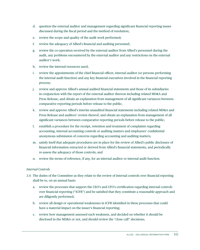- d. question the external auditor and management regarding significant financial reporting issues discussed during the fiscal period and the method of resolution;
- e. review the scope and quality of the audit work performed;
- f. review the adequacy of Allied's financial and auditing personnel;
- g. review the co-operation received by the external auditor from Allied's personnel during the audit, any problems encountered by the external auditor and any restrictions on the external auditor's work;
- h. review the internal resources used;
- i. review the appointments of the chief financial officer, internal auditor (or persons performing the internal audit function) and any key financial executives involved in the financial reporting process;
- j. review and approve Allied's annual audited financial statements and those of its subsidiaries in conjunction with the report of the external auditor thereon including related MD&A and Press Release, and obtain an explanation from management of all significant variances between comparative reporting periods before release to the public;
- k. review and approve Allied's interim unaudited financial statements including related MD&A and Press Release and auditors' review thereof, and obtain an explanation from management of all significant variances between comparative reporting periods before release to the public;
- l. establish a procedure for the receipt, retention and treatment of complaints regarding accounting, internal accounting controls or auditing matters and employees' confidential anonymous submission of concerns regarding accounting and auditing matters;
- m. satisfy itself that adequate procedures are in place for the review of Allied's public disclosure of financial information extracted or derived from Allied's financial statements, and periodically re-assess the adequacy of those controls; and
- n. review the terms of reference, if any, for an internal auditor or internal audit function.

#### *Internal Controls*

- 3.4 The duties of the Committee as they relate to the review of internal controls over financial reporting shall be to, on an annual basis:
	- a. review the processes that support the CEO's and CFO's certification regarding internal controls over financial reporting ("ICFR") and be satisfied that they constitute a reasonable approach and are diligently performed;
	- b. review all design or operational weaknesses in ICFR identified in these processes that could have a material impact on the issuer's financial reporting;
	- c. review how management assessed each weakness, and decided on whether it should be disclosed in the MD&A or not, and should review the "close call" decisions;